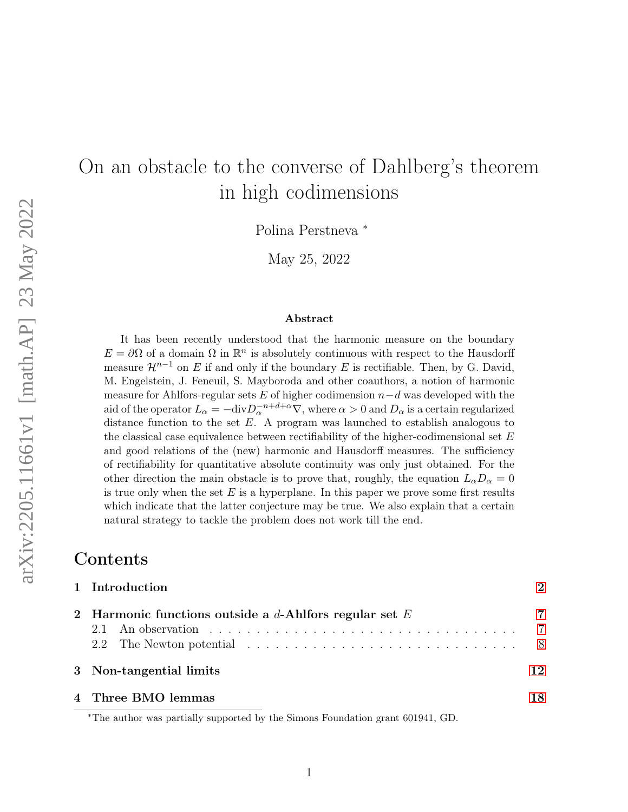# On an obstacle to the converse of Dahlberg's theorem in high codimensions

Polina Perstneva <sup>∗</sup>

May 25, 2022

#### Abstract

It has been recently understood that the harmonic measure on the boundary  $E = \partial\Omega$  of a domain  $\Omega$  in  $\mathbb{R}^n$  is absolutely continuous with respect to the Hausdorff measure  $\mathcal{H}^{n-1}$  on E if and only if the boundary E is rectifiable. Then, by G. David, M. Engelstein, J. Feneuil, S. Mayboroda and other coauthors, a notion of harmonic measure for Ahlfors-regular sets  $E$  of higher codimension  $n-d$  was developed with the aid of the operator  $L_{\alpha} = -\text{div}D_{\alpha}^{-n+d+\alpha}\nabla$ , where  $\alpha > 0$  and  $D_{\alpha}$  is a certain regularized distance function to the set  $E$ . A program was launched to establish analogous to the classical case equivalence between rectifiability of the higher-codimensional set  $E$ and good relations of the (new) harmonic and Hausdorff measures. The sufficiency of rectifiability for quantitative absolute continuity was only just obtained. For the other direction the main obstacle is to prove that, roughly, the equation  $L_{\alpha}D_{\alpha}=0$ is true only when the set  $E$  is a hyperplane. In this paper we prove some first results which indicate that the latter conjecture may be true. We also explain that a certain natural strategy to tackle the problem does not work till the end.

# Contents

| 1 Introduction                                            |                       |  |
|-----------------------------------------------------------|-----------------------|--|
| 2 Harmonic functions outside a $d$ -Ahlfors regular set E | $\overline{7}$<br>- 8 |  |
| 3 Non-tangential limits                                   |                       |  |
| 4 Three BMO lemmas                                        |                       |  |

<sup>∗</sup>The author was partially supported by the Simons Foundation grant 601941, GD.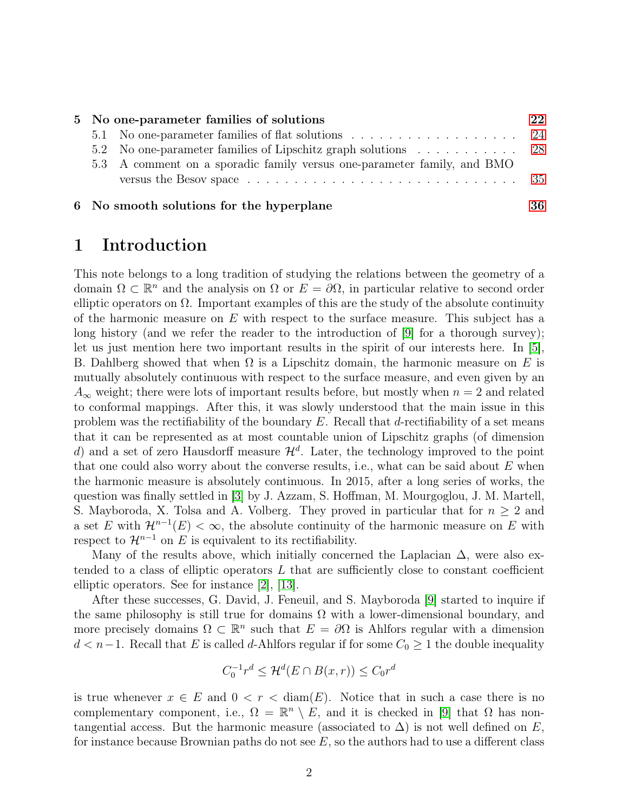|  | 5 No one-parameter families of solutions                                | 22 |
|--|-------------------------------------------------------------------------|----|
|  |                                                                         |    |
|  | 5.2 No one-parameter families of Lipschitz graph solutions 28           |    |
|  | 5.3 A comment on a sporadic family versus one-parameter family, and BMO |    |
|  |                                                                         |    |
|  |                                                                         |    |

6 No smooth solutions for the hyperplane [36](#page-35-0)

### <span id="page-1-0"></span>1 Introduction

This note belongs to a long tradition of studying the relations between the geometry of a domain  $\Omega \subset \mathbb{R}^n$  and the analysis on  $\Omega$  or  $E = \partial \Omega$ , in particular relative to second order elliptic operators on  $\Omega$ . Important examples of this are the study of the absolute continuity of the harmonic measure on  $E$  with respect to the surface measure. This subject has a long history (and we refer the reader to the introduction of [\[9\]](#page-39-0) for a thorough survey); let us just mention here two important results in the spirit of our interests here. In [\[5\]](#page-39-1), B. Dahlberg showed that when  $\Omega$  is a Lipschitz domain, the harmonic measure on E is mutually absolutely continuous with respect to the surface measure, and even given by an  $A_{\infty}$  weight; there were lots of important results before, but mostly when  $n = 2$  and related to conformal mappings. After this, it was slowly understood that the main issue in this problem was the rectifiability of the boundary  $E$ . Recall that d-rectifiability of a set means that it can be represented as at most countable union of Lipschitz graphs (of dimension d) and a set of zero Hausdorff measure  $\mathcal{H}^d$ . Later, the technology improved to the point that one could also worry about the converse results, i.e., what can be said about  $E$  when the harmonic measure is absolutely continuous. In 2015, after a long series of works, the question was finally settled in [\[3\]](#page-39-2) by J. Azzam, S. Hoffman, M. Mourgoglou, J. M. Martell, S. Mayboroda, X. Tolsa and A. Volberg. They proved in particular that for  $n \geq 2$  and a set E with  $\mathcal{H}^{n-1}(E) < \infty$ , the absolute continuity of the harmonic measure on E with respect to  $\mathcal{H}^{n-1}$  on E is equivalent to its rectifiability.

Many of the results above, which initially concerned the Laplacian  $\Delta$ , were also extended to a class of elliptic operators  $L$  that are sufficiently close to constant coefficient elliptic operators. See for instance [[2](#page-38-0)], [[13](#page-39-3)].

After these successes, G. David, J. Feneuil, and S. Mayboroda [\[9\]](#page-39-0) started to inquire if the same philosophy is still true for domains  $\Omega$  with a lower-dimensional boundary, and more precisely domains  $\Omega \subset \mathbb{R}^n$  such that  $E = \partial \Omega$  is Ahlfors regular with a dimension  $d < n-1$ . Recall that E is called d-Ahlfors regular if for some  $C_0 \geq 1$  the double inequality

$$
C_0^{-1}r^d \le \mathcal{H}^d(E \cap B(x,r)) \le C_0r^d
$$

is true whenever  $x \in E$  and  $0 < r < \text{diam}(E)$ . Notice that in such a case there is no complementary component, i.e.,  $\Omega = \mathbb{R}^n \setminus E$ , and it is checked in [\[9\]](#page-39-0) that  $\Omega$  has nontangential access. But the harmonic measure (associated to  $\Delta$ ) is not well defined on E, for instance because Brownian paths do not see  $E$ , so the authors had to use a different class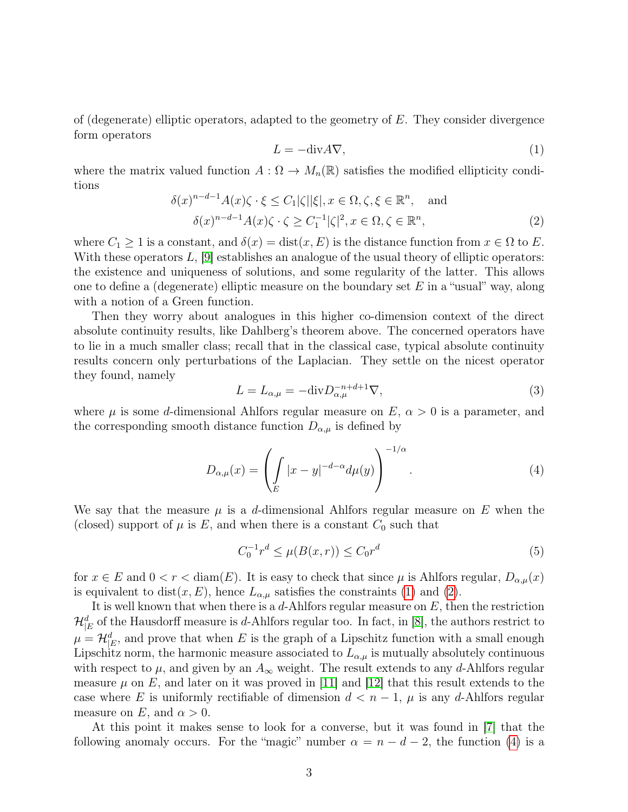of (degenerate) elliptic operators, adapted to the geometry of  $E$ . They consider divergence form operators

<span id="page-2-0"></span>
$$
L = -\text{div}A\nabla,\tag{1}
$$

where the matrix valued function  $A: \Omega \to M_n(\mathbb{R})$  satisfies the modified ellipticity conditions

<span id="page-2-1"></span>
$$
\delta(x)^{n-d-1} A(x)\zeta \cdot \xi \le C_1|\zeta||\xi|, x \in \Omega, \zeta, \xi \in \mathbb{R}^n, \text{ and}
$$

$$
\delta(x)^{n-d-1} A(x)\zeta \cdot \zeta \ge C_1^{-1}|\zeta|^2, x \in \Omega, \zeta \in \mathbb{R}^n,
$$
 (2)

where  $C_1 \geq 1$  is a constant, and  $\delta(x) = \text{dist}(x, E)$  is the distance function from  $x \in \Omega$  to E. With these operators  $L$ ,  $|9|$  establishes an analogue of the usual theory of elliptic operators: the existence and uniqueness of solutions, and some regularity of the latter. This allows one to define a (degenerate) elliptic measure on the boundary set  $E$  in a "usual" way, along with a notion of a Green function.

Then they worry about analogues in this higher co-dimension context of the direct absolute continuity results, like Dahlberg's theorem above. The concerned operators have to lie in a much smaller class; recall that in the classical case, typical absolute continuity results concern only perturbations of the Laplacian. They settle on the nicest operator they found, namely

<span id="page-2-3"></span>
$$
L = L_{\alpha,\mu} = -\text{div} D_{\alpha,\mu}^{-n+d+1} \nabla,\tag{3}
$$

where  $\mu$  is some d-dimensional Ahlfors regular measure on  $E, \alpha > 0$  is a parameter, and the corresponding smooth distance function  $D_{\alpha,\mu}$  is defined by

<span id="page-2-2"></span>
$$
D_{\alpha,\mu}(x) = \left(\int\limits_E |x-y|^{-d-\alpha} d\mu(y)\right)^{-1/\alpha}.\tag{4}
$$

We say that the measure  $\mu$  is a d-dimensional Ahlfors regular measure on E when the (closed) support of  $\mu$  is E, and when there is a constant  $C_0$  such that

$$
C_0^{-1}r^d \le \mu(B(x,r)) \le C_0r^d \tag{5}
$$

for  $x \in E$  and  $0 < r < \text{diam}(E)$ . It is easy to check that since  $\mu$  is Ahlfors regular,  $D_{\alpha,\mu}(x)$ is equivalent to dist(x, E), hence  $L_{\alpha,\mu}$  satisfies the constraints [\(1\)](#page-2-0) and [\(2\)](#page-2-1).

It is well known that when there is a  $d$ -Ahlfors regular measure on  $E$ , then the restriction  $\mathcal{H}_{|E}^{d}$  of the Hausdorff measure is d-Ahlfors regular too. In fact, in [\[8\]](#page-39-4), the authors restrict to  $\mu = \mathcal{H}_{|E}^d$ , and prove that when E is the graph of a Lipschitz function with a small enough Lipschitz norm, the harmonic measure associated to  $L_{\alpha,\mu}$  is mutually absolutely continuous with respect to  $\mu$ , and given by an  $A_{\infty}$  weight. The result extends to any d-Ahlfors regular measure  $\mu$  on E, and later on it was proved in [\[11\]](#page-39-5) and [\[12\]](#page-39-6) that this result extends to the case where E is uniformly rectifiable of dimension  $d < n - 1$ ,  $\mu$  is any d-Ahlfors regular measure on E, and  $\alpha > 0$ .

At this point it makes sense to look for a converse, but it was found in [\[7\]](#page-39-7) that the following anomaly occurs. For the "magic" number  $\alpha = n - d - 2$ , the function [\(4\)](#page-2-2) is a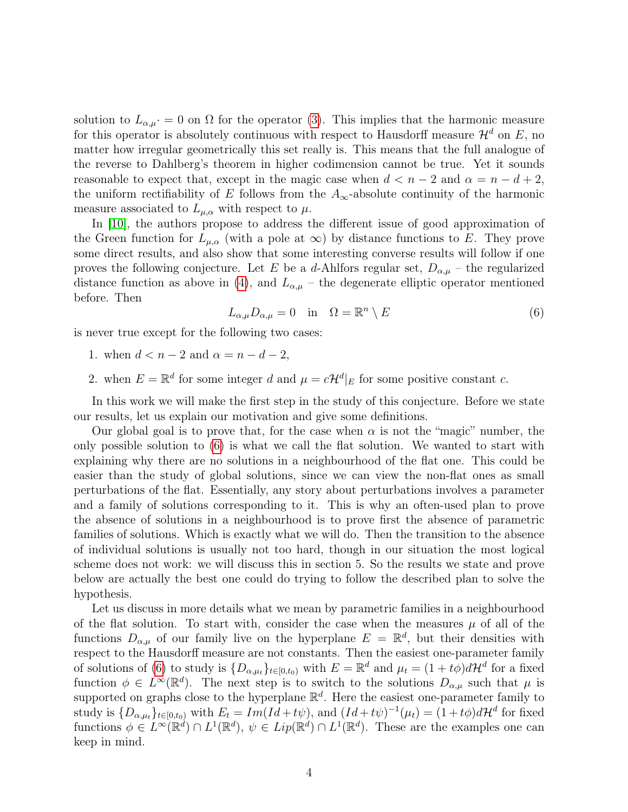solution to  $L_{\alpha,\mu}$  = 0 on  $\Omega$  for the operator [\(3\)](#page-2-3). This implies that the harmonic measure for this operator is absolutely continuous with respect to Hausdorff measure  $\mathcal{H}^d$  on E, no matter how irregular geometrically this set really is. This means that the full analogue of the reverse to Dahlberg's theorem in higher codimension cannot be true. Yet it sounds reasonable to expect that, except in the magic case when  $d < n - 2$  and  $\alpha = n - d + 2$ , the uniform rectifiability of E follows from the  $A_{\infty}$ -absolute continuity of the harmonic measure associated to  $L_{\mu,\alpha}$  with respect to  $\mu$ .

In [\[10\]](#page-39-8), the authors propose to address the different issue of good approximation of the Green function for  $L_{\mu,\alpha}$  (with a pole at  $\infty$ ) by distance functions to E. They prove some direct results, and also show that some interesting converse results will follow if one proves the following conjecture. Let E be a d-Ahlfors regular set,  $D_{\alpha,\mu}$  – the regularized distance function as above in [\(4\)](#page-2-2), and  $L_{\alpha,\mu}$  – the degenerate elliptic operator mentioned before. Then

<span id="page-3-0"></span>
$$
L_{\alpha,\mu}D_{\alpha,\mu} = 0 \quad \text{in} \quad \Omega = \mathbb{R}^n \setminus E \tag{6}
$$

is never true except for the following two cases:

- 1. when  $d < n 2$  and  $\alpha = n d 2$ ,
- 2. when  $E = \mathbb{R}^d$  for some integer d and  $\mu = c\mathcal{H}^d|_E$  for some positive constant c.

In this work we will make the first step in the study of this conjecture. Before we state our results, let us explain our motivation and give some definitions.

Our global goal is to prove that, for the case when  $\alpha$  is not the "magic" number, the only possible solution to [\(6\)](#page-3-0) is what we call the flat solution. We wanted to start with explaining why there are no solutions in a neighbourhood of the flat one. This could be easier than the study of global solutions, since we can view the non-flat ones as small perturbations of the flat. Essentially, any story about perturbations involves a parameter and a family of solutions corresponding to it. This is why an often-used plan to prove the absence of solutions in a neighbourhood is to prove first the absence of parametric families of solutions. Which is exactly what we will do. Then the transition to the absence of individual solutions is usually not too hard, though in our situation the most logical scheme does not work: we will discuss this in section 5. So the results we state and prove below are actually the best one could do trying to follow the described plan to solve the hypothesis.

Let us discuss in more details what we mean by parametric families in a neighbourhood of the flat solution. To start with, consider the case when the measures  $\mu$  of all of the functions  $D_{\alpha,\mu}$  of our family live on the hyperplane  $E = \mathbb{R}^d$ , but their densities with respect to the Hausdorff measure are not constants. Then the easiest one-parameter family of solutions of [\(6\)](#page-3-0) to study is  $\{D_{\alpha,\mu_t}\}_{t\in[0,t_0)}$  with  $E=\mathbb{R}^d$  and  $\mu_t=(1+t\phi)d\mathcal{H}^d$  for a fixed function  $\phi \in L^{\infty}(\mathbb{R}^d)$ . The next step is to switch to the solutions  $D_{\alpha,\mu}$  such that  $\mu$  is supported on graphs close to the hyperplane  $\mathbb{R}^d$ . Here the easiest one-parameter family to study is  $\{D_{\alpha,\mu_t}\}_{t\in[0,t_0)}$  with  $E_t = Im(Id+t\psi)$ , and  $(Id+t\psi)^{-1}(\mu_t) = (1+t\phi)d\mathcal{H}^d$  for fixed functions  $\phi \in L^{\infty}(\mathbb{R}^d) \cap L^1(\mathbb{R}^d)$ ,  $\psi \in Lip(\mathbb{R}^d) \cap L^1(\mathbb{R}^d)$ . These are the examples one can keep in mind.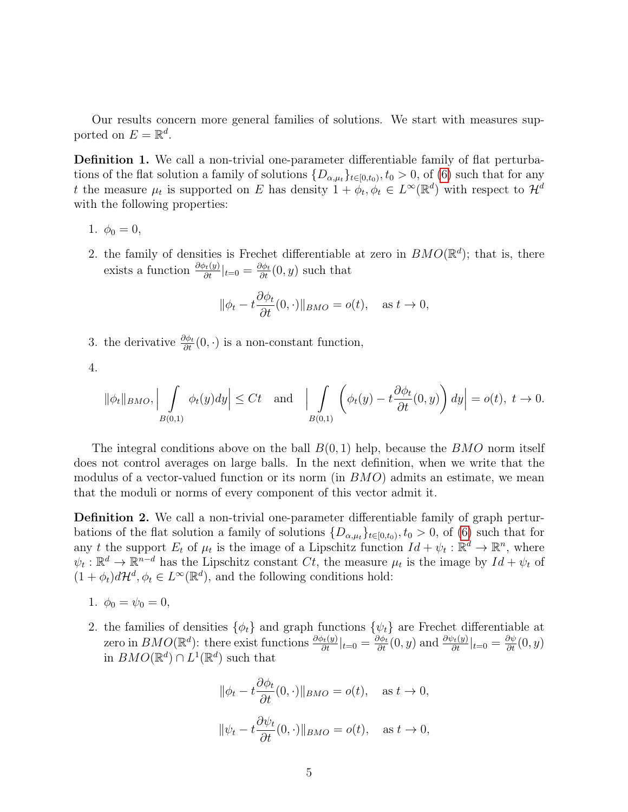Our results concern more general families of solutions. We start with measures supported on  $E = \mathbb{R}^d$ .

<span id="page-4-0"></span>Definition 1. We call a non-trivial one-parameter differentiable family of flat perturbations of the flat solution a family of solutions  ${D_{\alpha,\mu_t}}_{t\in[0,t_0)}$ ,  $t_0 > 0$ , of [\(6\)](#page-3-0) such that for any t the measure  $\mu_t$  is supported on E has density  $1 + \phi_t, \phi_t \in L^{\infty}(\mathbb{R}^d)$  with respect to  $\mathcal{H}^d$ with the following properties:

- 1.  $\phi_0 = 0$ ,
- 2. the family of densities is Frechet differentiable at zero in  $BMO(\mathbb{R}^d)$ ; that is, there exists a function  $\frac{\partial \phi_t(y)}{\partial t}|_{t=0} = \frac{\partial \phi_t}{\partial t}(0, y)$  such that

$$
\|\phi_t - t \frac{\partial \phi_t}{\partial t}(0, \cdot)\|_{BMO} = o(t), \quad \text{as } t \to 0,
$$

3. the derivative  $\frac{\partial \phi_t}{\partial t}(0, \cdot)$  is a non-constant function,

4.

$$
\|\phi_t\|_{BMO}, \Big| \int\limits_{B(0,1)} \phi_t(y) dy \Big| \le Ct \quad \text{and} \quad \Big| \int\limits_{B(0,1)} \left( \phi_t(y) - t \frac{\partial \phi_t}{\partial t}(0,y) \right) dy \Big| = o(t), \ t \to 0.
$$

The integral conditions above on the ball  $B(0, 1)$  help, because the  $BMO$  norm itself does not control averages on large balls. In the next definition, when we write that the modulus of a vector-valued function or its norm (in  $BMO$ ) admits an estimate, we mean that the moduli or norms of every component of this vector admit it.

<span id="page-4-1"></span>Definition 2. We call a non-trivial one-parameter differentiable family of graph perturbations of the flat solution a family of solutions  $\{D_{\alpha,\mu_t}\}_{t\in[0,t_0)}, t_0 > 0$ , of [\(6\)](#page-3-0) such that for any t the support  $E_t$  of  $\mu_t$  is the image of a Lipschitz function  $Id + \psi_t : \mathbb{R}^d \to \mathbb{R}^n$ , where  $\psi_t : \mathbb{R}^d \to \mathbb{R}^{n-d}$  has the Lipschitz constant  $Ct$ , the measure  $\mu_t$  is the image by  $Id + \psi_t$  of  $(1 + \phi_t)d\mathcal{H}^d, \phi_t \in L^{\infty}(\mathbb{R}^d)$ , and the following conditions hold:

- 1.  $\phi_0 = \psi_0 = 0$ ,
- 2. the families of densities  $\{\phi_t\}$  and graph functions  $\{\psi_t\}$  are Frechet differentiable at zero in  $BMO(\mathbb{R}^d)$ : there exist functions  $\frac{\partial \phi_t(y)}{\partial t}|_{t=0} = \frac{\partial \phi_t}{\partial t}(0, y)$  and  $\frac{\partial \psi_t(y)}{\partial t}|_{t=0} = \frac{\partial \psi}{\partial t}(0, y)$ in  $BMO(\mathbb{R}^d) \cap L^1(\mathbb{R}^d)$  such that

$$
\|\phi_t - t\frac{\partial \phi_t}{\partial t}(0, \cdot)\|_{BMO} = o(t), \quad \text{as } t \to 0,
$$
  

$$
\|\psi_t - t\frac{\partial \psi_t}{\partial t}(0, \cdot)\|_{BMO} = o(t), \quad \text{as } t \to 0,
$$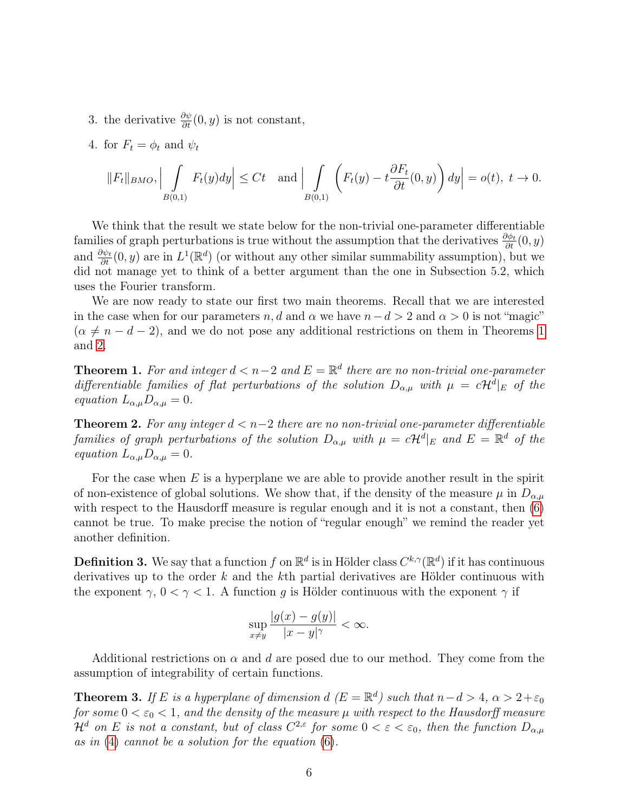3. the derivative  $\frac{\partial \psi}{\partial t}(0, y)$  is not constant,

4. for  $F_t = \phi_t$  and  $\psi_t$ 

$$
||F_t||_{BMO}, \Big| \int\limits_{B(0,1)} F_t(y) dy \Big| \le Ct \quad \text{and} \Big| \int\limits_{B(0,1)} \left( F_t(y) - t \frac{\partial F_t}{\partial t}(0,y) \right) dy \Big| = o(t), \ t \to 0.
$$

We think that the result we state below for the non-trivial one-parameter differentiable families of graph perturbations is true without the assumption that the derivatives  $\frac{\partial \phi_t}{\partial t}(0, y)$ and  $\frac{\partial \psi_t}{\partial t}(0, y)$  are in  $L^1(\mathbb{R}^d)$  (or without any other similar summability assumption), but we did not manage yet to think of a better argument than the one in Subsection 5.2, which uses the Fourier transform.

We are now ready to state our first two main theorems. Recall that we are interested in the case when for our parameters  $n, d$  and  $\alpha$  we have  $n - d > 2$  and  $\alpha > 0$  is not "magic"  $(\alpha \neq n - d - 2)$ , and we do not pose any additional restrictions on them in Theorems [1](#page-5-0) and [2](#page-5-1).

<span id="page-5-0"></span>**Theorem 1.** For and integer  $d < n-2$  and  $E = \mathbb{R}^d$  there are no non-trivial one-parameter differentiable families of flat perturbations of the solution  $D_{\alpha,\mu}$  with  $\mu = c\mathcal{H}^d|_E$  of the equation  $L_{\alpha,\mu}D_{\alpha,\mu}=0$ .

<span id="page-5-1"></span>**Theorem 2.** For any integer  $d < n-2$  there are no non-trivial one-parameter differentiable families of graph perturbations of the solution  $D_{\alpha,\mu}$  with  $\mu = c\mathcal{H}^d|_E$  and  $E = \mathbb{R}^d$  of the equation  $L_{\alpha,\mu}D_{\alpha,\mu} = 0.$ 

For the case when  $E$  is a hyperplane we are able to provide another result in the spirit of non-existence of global solutions. We show that, if the density of the measure  $\mu$  in  $D_{\alpha,\mu}$ with respect to the Hausdorff measure is regular enough and it is not a constant, then  $(6)$ cannot be true. To make precise the notion of "regular enough" we remind the reader yet another definition.

**Definition 3.** We say that a function f on  $\mathbb{R}^d$  is in Hölder class  $C^{k,\gamma}(\mathbb{R}^d)$  if it has continuous derivatives up to the order  $k$  and the  $k$ th partial derivatives are Hölder continuous with the exponent  $\gamma$ ,  $0 < \gamma < 1$ . A function g is Hölder continuous with the exponent  $\gamma$  if

$$
\sup_{x \neq y} \frac{|g(x) - g(y)|}{|x - y|^{\gamma}} < \infty.
$$

Additional restrictions on  $\alpha$  and d are posed due to our method. They come from the assumption of integrability of certain functions.

<span id="page-5-2"></span>**Theorem 3.** If E is a hyperplane of dimension  $d$  ( $E = \mathbb{R}^d$ ) such that  $n - d > 4$ ,  $\alpha > 2 + \varepsilon_0$ for some  $0 < \varepsilon_0 < 1$ , and the density of the measure  $\mu$  with respect to the Hausdorff measure  $\mathcal{H}^d$  on E is not a constant, but of class  $C^{2,\varepsilon}$  for some  $0 < \varepsilon < \varepsilon_0$ , then the function  $D_{\alpha,\mu}$ as in  $(4)$  cannot be a solution for the equation  $(6)$ .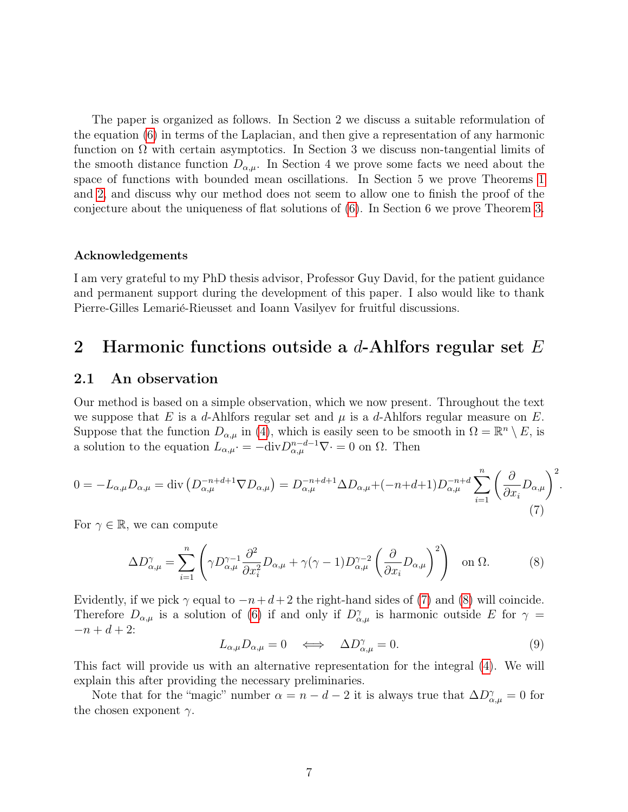The paper is organized as follows. In Section 2 we discuss a suitable reformulation of the equation [\(6\)](#page-3-0) in terms of the Laplacian, and then give a representation of any harmonic function on  $\Omega$  with certain asymptotics. In Section 3 we discuss non-tangential limits of the smooth distance function  $D_{\alpha,\mu}$ . In Section 4 we prove some facts we need about the space of functions with bounded mean oscillations. In Section 5 we prove Theorems [1](#page-5-0) and [2](#page-5-1), and discuss why our method does not seem to allow one to finish the proof of the conjecture about the uniqueness of flat solutions of [\(6\)](#page-3-0). In Section 6 we prove Theorem [3](#page-5-2).

#### Acknowledgements

I am very grateful to my PhD thesis advisor, Professor Guy David, for the patient guidance and permanent support during the development of this paper. I also would like to thank Pierre-Gilles Lemarié-Rieusset and Ioann Vasilyev for fruitful discussions.

### <span id="page-6-0"></span>2 Harmonic functions outside a  $d$ -Ahlfors regular set E

#### <span id="page-6-1"></span>2.1 An observation

Our method is based on a simple observation, which we now present. Throughout the text we suppose that E is a d-Ahlfors regular set and  $\mu$  is a d-Ahlfors regular measure on E. Suppose that the function  $D_{\alpha,\mu}$  in [\(4\)](#page-2-2), which is easily seen to be smooth in  $\Omega = \mathbb{R}^n \setminus E$ , is a solution to the equation  $L_{\alpha,\mu} \cdot = -\text{div} D_{\alpha,\mu}^{n-d-1} \nabla \cdot = 0$  on  $\Omega$ . Then

<span id="page-6-2"></span>
$$
0 = -L_{\alpha,\mu}D_{\alpha,\mu} = \text{div}\left(D_{\alpha,\mu}^{-n+d+1}\nabla D_{\alpha,\mu}\right) = D_{\alpha,\mu}^{-n+d+1}\Delta D_{\alpha,\mu} + (-n+d+1)D_{\alpha,\mu}^{-n+d}\sum_{i=1}^{n}\left(\frac{\partial}{\partial x_i}D_{\alpha,\mu}\right)^2.
$$
\n(7)

For  $\gamma \in \mathbb{R}$ , we can compute

<span id="page-6-3"></span>
$$
\Delta D_{\alpha,\mu}^{\gamma} = \sum_{i=1}^{n} \left( \gamma D_{\alpha,\mu}^{\gamma-1} \frac{\partial^2}{\partial x_i^2} D_{\alpha,\mu} + \gamma (\gamma - 1) D_{\alpha,\mu}^{\gamma-2} \left( \frac{\partial}{\partial x_i} D_{\alpha,\mu} \right)^2 \right) \text{ on } \Omega. \tag{8}
$$

Evidently, if we pick  $\gamma$  equal to  $-n+d+2$  the right-hand sides of [\(7\)](#page-6-2) and [\(8\)](#page-6-3) will coincide. Therefore  $D_{\alpha,\mu}$  is a solution of [\(6\)](#page-3-0) if and only if  $D_{\alpha,\mu}^{\gamma}$  is harmonic outside E for  $\gamma =$  $-n + d + 2$ :

$$
L_{\alpha,\mu}D_{\alpha,\mu}=0 \quad \Longleftrightarrow \quad \Delta D_{\alpha,\mu}^{\gamma}=0. \tag{9}
$$

This fact will provide us with an alternative representation for the integral [\(4\)](#page-2-2). We will explain this after providing the necessary preliminaries.

Note that for the "magic" number  $\alpha = n - d - 2$  it is always true that  $\Delta D_{\alpha,\mu}^{\gamma} = 0$  for the chosen exponent  $\gamma$ .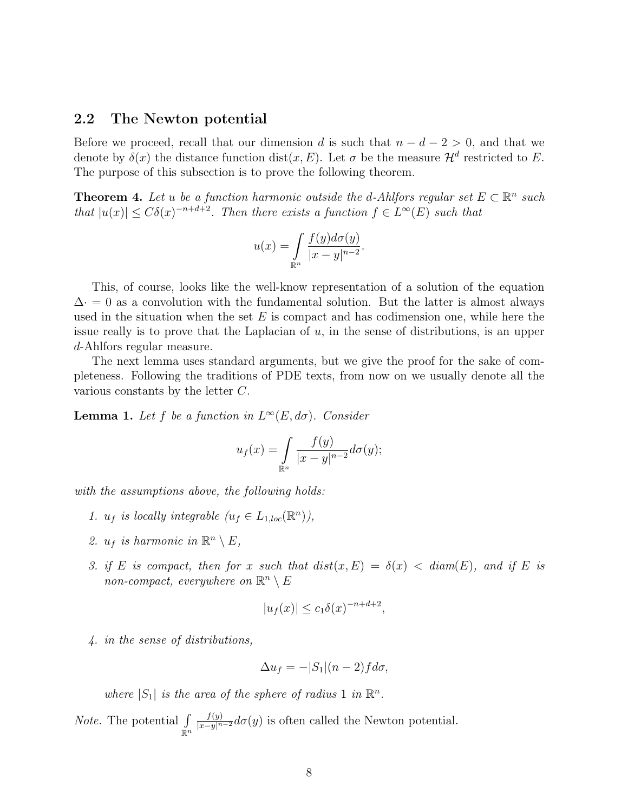#### <span id="page-7-0"></span>2.2 The Newton potential

Before we proceed, recall that our dimension d is such that  $n - d - 2 > 0$ , and that we denote by  $\delta(x)$  the distance function dist $(x, E)$ . Let  $\sigma$  be the measure  $\mathcal{H}^d$  restricted to E. The purpose of this subsection is to prove the following theorem.

<span id="page-7-2"></span>**Theorem 4.** Let u be a function harmonic outside the d-Ahlfors regular set  $E \subset \mathbb{R}^n$  such that  $|u(x)| \leq C\delta(x)^{-n+d+2}$ . Then there exists a function  $f \in L^{\infty}(E)$  such that

$$
u(x) = \int_{\mathbb{R}^n} \frac{f(y)d\sigma(y)}{|x - y|^{n-2}}.
$$

This, of course, looks like the well-know representation of a solution of the equation  $\Delta \cdot = 0$  as a convolution with the fundamental solution. But the latter is almost always used in the situation when the set  $E$  is compact and has codimension one, while here the issue really is to prove that the Laplacian of  $u$ , in the sense of distributions, is an upper d-Ahlfors regular measure.

The next lemma uses standard arguments, but we give the proof for the sake of completeness. Following the traditions of PDE texts, from now on we usually denote all the various constants by the letter  $C$ .

<span id="page-7-1"></span>**Lemma 1.** Let f be a function in  $L^{\infty}(E, d\sigma)$ . Consider

$$
u_f(x) = \int_{\mathbb{R}^n} \frac{f(y)}{|x - y|^{n-2}} d\sigma(y);
$$

with the assumptions above, the following holds:

- 1.  $u_f$  is locally integrable  $(u_f \in L_{1,loc}(\mathbb{R}^n))$ ,
- 2.  $u_f$  is harmonic in  $\mathbb{R}^n \setminus E$ ,
- 3. if E is compact, then for x such that  $dist(x, E) = \delta(x) < diam(E)$ , and if E is non-compact, everywhere on  $\mathbb{R}^n \setminus E$

$$
|u_f(x)| \le c_1 \delta(x)^{-n+d+2},
$$

4. in the sense of distributions,

$$
\Delta u_f = -|S_1|(n-2)f d\sigma,
$$

where  $|S_1|$  is the area of the sphere of radius 1 in  $\mathbb{R}^n$ .

*Note.* The potential  $\int$  $\check{\mathbb{R}}^n$  $\frac{f(y)}{|x-y|^{n-2}}d\sigma(y)$  is often called the Newton potential.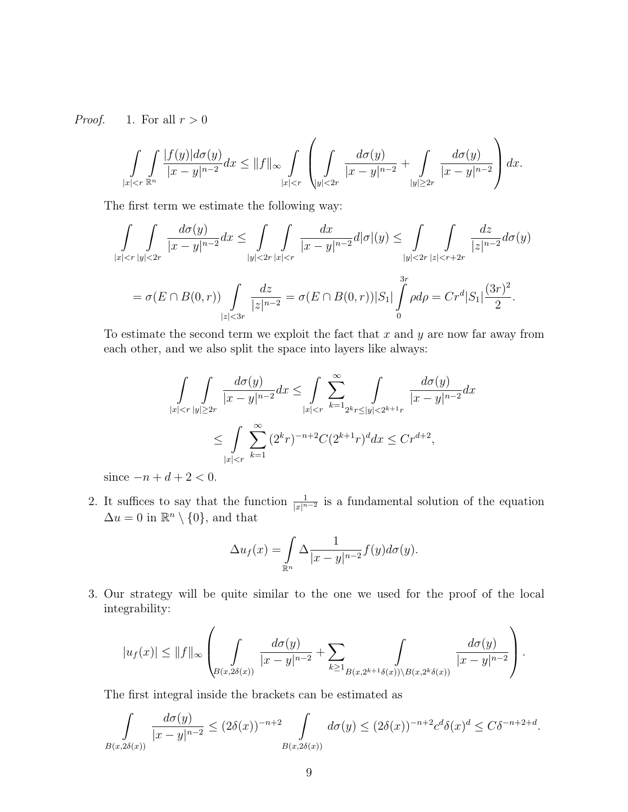*Proof.* 1. For all  $r > 0$ 

$$
\int_{|x| < r^{\frac{n}{k}}}\int_{|x-y|^{n-2}}^{|f(y)|d\sigma(y)}dx \le ||f||_{\infty} \int_{|x| < r}\left(\int_{|y| < 2r}\frac{d\sigma(y)}{|x-y|^{n-2}} + \int_{|y| \ge 2r}\frac{d\sigma(y)}{|x-y|^{n-2}}\right)dx.
$$

The first term we estimate the following way:

$$
\int_{|x| < r} \int_{|y| < 2r} \frac{d\sigma(y)}{|x - y|^{n - 2}} dx \le \int_{|y| < 2r} \int_{|x| < r} \frac{dx}{|x - y|^{n - 2}} d|\sigma|(y) \le \int_{|y| < 2r} \int_{|z| < r + 2r} \frac{dz}{|z|^{n - 2}} d\sigma(y)
$$
\n
$$
= \sigma(E \cap B(0, r)) \int_{|z| < 3r} \frac{dz}{|z|^{n - 2}} = \sigma(E \cap B(0, r)) |S_1| \int_0^{3r} \rho d\rho = C r^d |S_1| \frac{(3r)^2}{2}.
$$

To estimate the second term we exploit the fact that  $x$  and  $y$  are now far away from each other, and we also split the space into layers like always:

$$
\int_{|x| < r} \int_{|y| \ge 2r} \frac{d\sigma(y)}{|x - y|^{n - 2}} dx \le \int_{|x| < r} \sum_{k = 1}^{\infty} \int_{2^k r \le |y| < 2^{k + 1}r} \frac{d\sigma(y)}{|x - y|^{n - 2}} dx
$$
\n
$$
\le \int_{|x| < r} \sum_{k = 1}^{\infty} (2^k r)^{-n + 2} C (2^{k + 1} r)^d dx \le C r^{d + 2},
$$

since  $-n + d + 2 < 0$ .

2. It suffices to say that the function  $\frac{1}{|x|^{n-2}}$  is a fundamental solution of the equation  $\Delta u = 0$  in  $\mathbb{R}^n \setminus \{0\}$ , and that

$$
\Delta u_f(x) = \int_{\mathbb{R}^n} \Delta \frac{1}{|x - y|^{n - 2}} f(y) d\sigma(y).
$$

3. Our strategy will be quite similar to the one we used for the proof of the local integrability:

$$
|u_f(x)|\leq \|f\|_\infty \left(\int\limits_{B(x,2\delta(x))}{\frac{d\sigma(y)}{|x-y|^{n-2}}}+\sum_{k\geq 1}\int\limits_{B(x,2^{k+1}\delta(x))\backslash B(x,2^k\delta(x))}{\frac{d\sigma(y)}{|x-y|^{n-2}}}\right).
$$

The first integral inside the brackets can be estimated as

$$
\int\limits_{B(x,2\delta(x))} \frac{d\sigma(y)}{|x-y|^{n-2}} \le (2\delta(x))^{-n+2} \int\limits_{B(x,2\delta(x))} d\sigma(y) \le (2\delta(x))^{-n+2} c^d \delta(x)^d \le C\delta^{-n+2+d}.
$$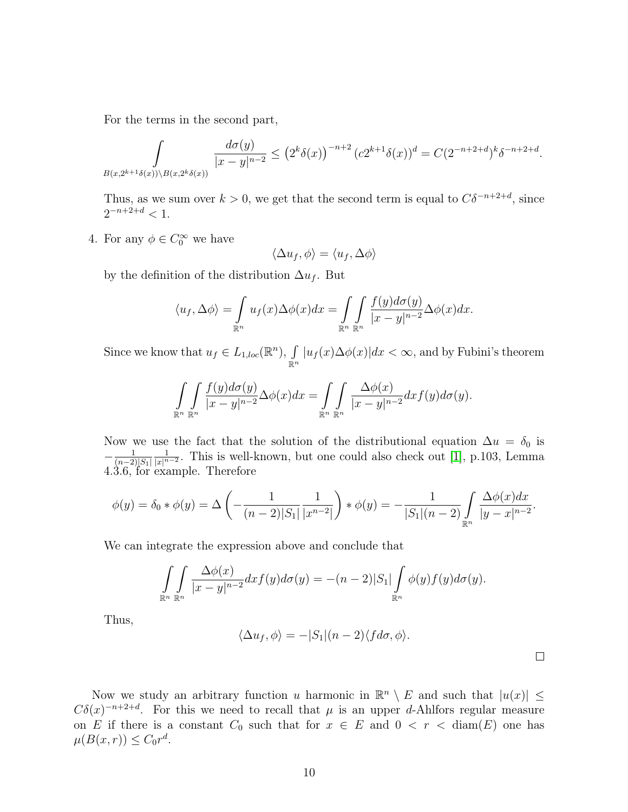For the terms in the second part,

$$
\int_{B(x,2^{k+1}\delta(x))\setminus B(x,2^k\delta(x))} \frac{d\sigma(y)}{|x-y|^{n-2}} \le (2^k \delta(x))^{-n+2} (c2^{k+1} \delta(x))^d = C(2^{-n+2+d})^k \delta^{-n+2+d}.
$$

Thus, as we sum over  $k > 0$ , we get that the second term is equal to  $C\delta^{-n+2+d}$ , since  $2^{-n+2+d} < 1.$ 

4. For any  $\phi \in C_0^{\infty}$  we have

$$
\langle \Delta u_f, \phi \rangle = \langle u_f, \Delta \phi \rangle
$$

by the definition of the distribution  $\Delta u_f$ . But

$$
\langle u_f, \Delta \phi \rangle = \int_{\mathbb{R}^n} u_f(x) \Delta \phi(x) dx = \int_{\mathbb{R}^n} \int_{\mathbb{R}^n} \frac{f(y) d\sigma(y)}{|x - y|^{n - 2}} \Delta \phi(x) dx.
$$

Since we know that  $u_f \in L_{1,loc}(\mathbb{R}^n)$ ,  $\int$  $\int\limits_{\mathbb{R}^n} |u_f(x)\Delta\phi(x)|dx < \infty$ , and by Fubini's theorem

$$
\int_{\mathbb{R}^n} \int_{\mathbb{R}^n} \frac{f(y)d\sigma(y)}{|x-y|^{n-2}} \Delta \phi(x) dx = \int_{\mathbb{R}^n} \int_{\mathbb{R}^n} \frac{\Delta \phi(x)}{|x-y|^{n-2}} dx f(y) d\sigma(y).
$$

Now we use the fact that the solution of the distributional equation  $\Delta u = \delta_0$  is  $-\frac{1}{(n-2)}$  $(n-2)|S_1|$ 1  $\frac{1}{|x|^{n-2}}$  $\frac{1}{|x|^{n-2}}$  $\frac{1}{|x|^{n-2}}$ . This is well-known, but one could also check out [1], p.103, Lemma 4.3.6, for example. Therefore

$$
\phi(y) = \delta_0 * \phi(y) = \Delta \left( -\frac{1}{(n-2)|S_1|} \frac{1}{|x^{n-2}|} \right) * \phi(y) = -\frac{1}{|S_1|(n-2)} \int_{\mathbb{R}^n} \frac{\Delta \phi(x) dx}{|y - x|^{n-2}}.
$$

We can integrate the expression above and conclude that

$$
\int_{\mathbb{R}^n} \int_{\mathbb{R}^n} \frac{\Delta \phi(x)}{|x - y|^{n - 2}} dx f(y) d\sigma(y) = -(n - 2)|S_1| \int_{\mathbb{R}^n} \phi(y) f(y) d\sigma(y).
$$

Thus,

$$
\langle \Delta u_f, \phi \rangle = -|S_1|(n-2)\langle f d\sigma, \phi \rangle.
$$

 $\Box$ 

Now we study an arbitrary function u harmonic in  $\mathbb{R}^n \setminus E$  and such that  $|u(x)| \leq$  $C\delta(x)^{-n+2+d}$ . For this we need to recall that  $\mu$  is an upper d-Ahlfors regular measure on E if there is a constant  $C_0$  such that for  $x \in E$  and  $0 < r <$  diam(E) one has  $\mu(B(x,r)) \leq C_0 r^d$ .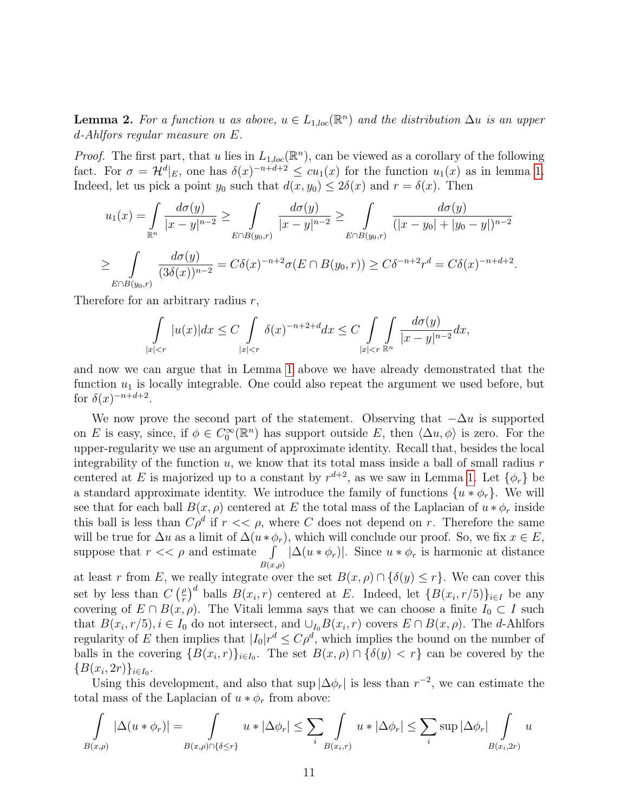<span id="page-10-0"></span>**Lemma 2.** For a function u as above,  $u \in L_{1,loc}(\mathbb{R}^n)$  and the distribution  $\Delta u$  is an upper  $d$ -Ahlfors regular measure on  $E$ .

*Proof.* The first part, that u lies in  $L_{1,loc}(\mathbb{R}^n)$ , can be viewed as a corollary of the following fact. For  $\sigma = \mathcal{H}^d|_E$ , one has  $\delta(x)^{-n+d+2} \leq cu_1(x)$  $\delta(x)^{-n+d+2} \leq cu_1(x)$  $\delta(x)^{-n+d+2} \leq cu_1(x)$  for the function  $u_1(x)$  as in lemma 1. Indeed, let us pick a point  $y_0$  such that  $d(x, y_0) \leq 2\delta(x)$  and  $r = \delta(x)$ . Then

$$
u_1(x) = \int_{\mathbb{R}^n} \frac{d\sigma(y)}{|x - y|^{n-2}} \ge \int_{E \cap B(y_0, r)} \frac{d\sigma(y)}{|x - y|^{n-2}} \ge \int_{E \cap B(y_0, r)} \frac{d\sigma(y)}{|(x - y_0| + |y_0 - y|)^{n-2}} \ge \int_{E \cap B(y_0, r)} \frac{d\sigma(y)}{(3\delta(x))^{n-2}} = C\delta(x)^{-n+2}\sigma(E \cap B(y_0, r)) \ge C\delta^{-n+2}r^d = C\delta(x)^{-n+d+2}.
$$

Therefore for an arbitrary radius  $r$ ,

$$
\int\limits_{|x|
$$

and now we can argue that in Lemma [1](#page-7-1) above we have already demonstrated that the function  $u_1$  is locally integrable. One could also repeat the argument we used before, but for  $\delta(x)^{-n+d+2}$ .

We now prove the second part of the statement. Observing that  $-\Delta u$  is supported on E is easy, since, if  $\phi \in C_0^{\infty}(\mathbb{R}^n)$  has support outside E, then  $\langle \Delta u, \phi \rangle$  is zero. For the upper-regularity we use an argument of approximate identity. Recall that, besides the local integrability of the function  $u$ , we know that its total mass inside a ball of small radius r centered at E is majorized up to a constant by  $r^{d+2}$ , as we saw in Lemma [1](#page-7-1). Let  $\{\phi_r\}$  be a standard approximate identity. We introduce the family of functions  $\{u * \phi_r\}$ . We will see that for each ball  $B(x, \rho)$  centered at E the total mass of the Laplacian of  $u * \phi_r$  inside this ball is less than  $C\rho^d$  if  $r \ll \rho$ , where C does not depend on r. Therefore the same will be true for  $\Delta u$  as a limit of  $\Delta (u * \phi_r)$ , which will conclude our proof. So, we fix  $x \in E$ , suppose that  $r \ll \rho$  and estimate  $\int |\Delta(u * \phi_r)|$ . Since  $u * \phi_r$  is harmonic at distance  $B(x,\rho)$ 

at least r from E, we really integrate over the set  $B(x, \rho) \cap {\delta(y) \leq r}$ . We can cover this set by less than  $C\left(\frac{\rho}{r}\right)$  $\int_{r}^{\rho}$  balls  $B(x_i, r)$  centered at E. Indeed, let  $\{B(x_i, r/5)\}_{i \in I}$  be any covering of  $E \cap B(x, \rho)$ . The Vitali lemma says that we can choose a finite  $I_0 \subset I$  such that  $B(x_i, r/5), i \in I_0$  do not intersect, and  $\cup_{I_0} B(x_i, r)$  covers  $E \cap B(x, \rho)$ . The d-Ahlfors regularity of E then implies that  $|I_0| r^d \leq C \rho^d$ , which implies the bound on the number of balls in the covering  ${B(x_i, r)}_{i \in I_0}$ . The set  $B(x, \rho) \cap {\delta(y) < r}$  can be covered by the  ${B(x_i, 2r)}_{i \in I_0}.$ 

Using this development, and also that sup  $|\Delta \phi_r|$  is less than  $r^{-2}$ , we can estimate the total mass of the Laplacian of  $u * \phi_r$  from above:

$$
\int_{B(x,\rho)} |\Delta(u * \phi_r)| = \int_{B(x,\rho)\cap\{\delta \le r\}} u * |\Delta \phi_r| \le \sum_i \int_{B(x_i,r)} u * |\Delta \phi_r| \le \sum_i \sup |\Delta \phi_r| \int_{B(x_i,2r)} u
$$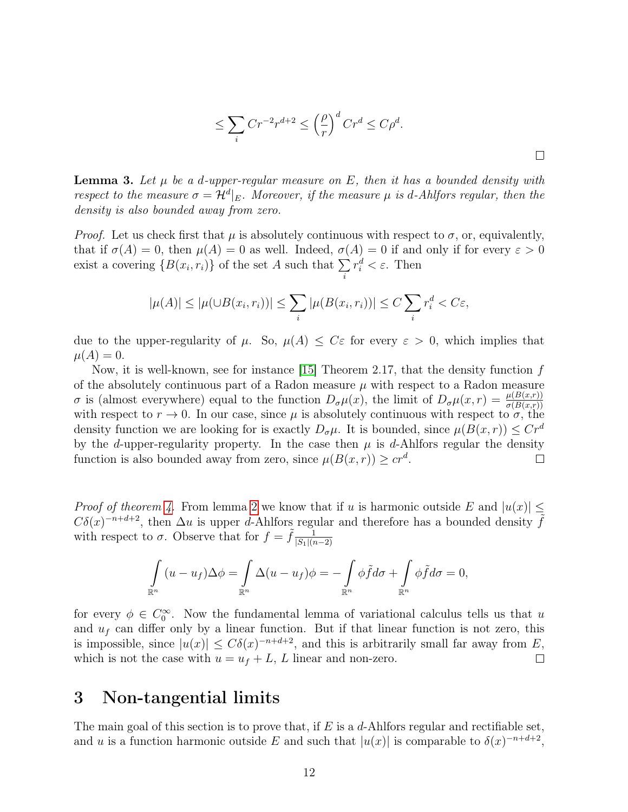$$
\leq \sum_{i} Cr^{-2}r^{d+2} \leq \left(\frac{\rho}{r}\right)^d Cr^d \leq C\rho^d.
$$

<span id="page-11-1"></span>**Lemma 3.** Let  $\mu$  be a d-upper-regular measure on E, then it has a bounded density with respect to the measure  $\sigma = \mathcal{H}^d|_E$ . Moreover, if the measure  $\mu$  is d-Ahlfors regular, then the density is also bounded away from zero.

*Proof.* Let us check first that  $\mu$  is absolutely continuous with respect to  $\sigma$ , or, equivalently, that if  $\sigma(A) = 0$ , then  $\mu(A) = 0$  as well. Indeed,  $\sigma(A) = 0$  if and only if for every  $\varepsilon > 0$ exist a covering  $\{B(x_i, r_i)\}\$  of the set A such that  $\sum$  $\dot{i}$  $r_i^d < \varepsilon$ . Then

$$
|\mu(A)| \leq |\mu(\cup B(x_i, r_i))| \leq \sum_i |\mu(B(x_i, r_i))| \leq C \sum_i r_i^d < C\varepsilon,
$$

due to the upper-regularity of  $\mu$ . So,  $\mu(A) \leq C \varepsilon$  for every  $\varepsilon > 0$ , which implies that  $\mu(A) = 0.$ 

Now, it is well-known, see for instance [\[15\]](#page-39-9) Theorem 2.17, that the density function  $f$ of the absolutely continuous part of a Radon measure  $\mu$  with respect to a Radon measure  $\sigma$  is (almost everywhere) equal to the function  $D_{\sigma}\mu(x)$ , the limit of  $D_{\sigma}\mu(x,r) = \frac{\mu(B(x,r))}{\sigma(B(x,r))}$ with respect to  $r \to 0$ . In our case, since  $\mu$  is absolutely continuous with respect to  $\sigma$ , the density function we are looking for is exactly  $D_{\sigma}\mu$ . It is bounded, since  $\mu(B(x, r)) \leq Cr^d$ by the d-upper-regularity property. In the case then  $\mu$  is d-Ahlfors regular the density function is also bounded away from zero, since  $\mu(B(x,r)) \geq cr^d$ .  $\Box$ 

*Proof of theorem [4.](#page-7-2)* From lemma [2](#page-10-0) we know that if u is harmonic outside E and  $|u(x)| \le$  $C\delta(x)^{-n+d+2}$ , then  $\Delta u$  is upper d-Ahlfors regular and therefore has a bounded density  $\tilde{f}$ with respect to  $\sigma$ . Observe that for  $f = \tilde{f} \frac{1}{|S_1||\sigma}$  $|S_1|(n-2)$ 

$$
\int_{\mathbb{R}^n} (u - u_f) \Delta \phi = \int_{\mathbb{R}^n} \Delta (u - u_f) \phi = - \int_{\mathbb{R}^n} \phi \tilde{f} d\sigma + \int_{\mathbb{R}^n} \phi \tilde{f} d\sigma = 0,
$$

for every  $\phi \in C_0^{\infty}$ . Now the fundamental lemma of variational calculus tells us that u and  $u_f$  can differ only by a linear function. But if that linear function is not zero, this is impossible, since  $|u(x)| \leq C\delta(x)^{-n+d+2}$ , and this is arbitrarily small far away from E, which is not the case with  $u = u_f + L$ , L linear and non-zero.  $\Box$ 

# <span id="page-11-0"></span>3 Non-tangential limits

The main goal of this section is to prove that, if  $E$  is a  $d$ -Ahlfors regular and rectifiable set, and u is a function harmonic outside E and such that  $|u(x)|$  is comparable to  $\delta(x)^{-n+d+2}$ ,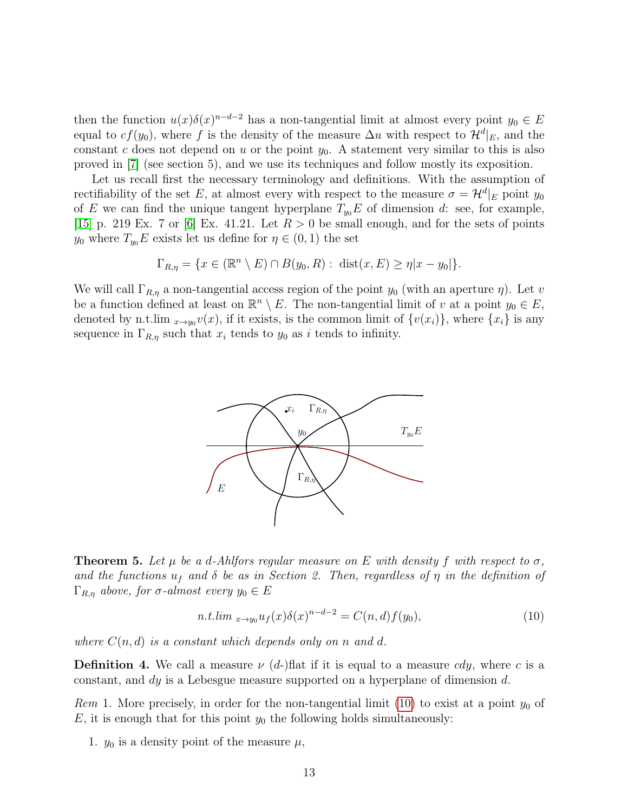then the function  $u(x)\delta(x)^{n-d-2}$  has a non-tangential limit at almost every point  $y_0 \in E$ equal to  $cf(y_0)$ , where f is the density of the measure  $\Delta u$  with respect to  $\mathcal{H}^d|_E$ , and the constant c does not depend on u or the point  $y_0$ . A statement very similar to this is also proved in [[7](#page-39-7)] (see section 5), and we use its techniques and follow mostly its exposition.

Let us recall first the necessary terminology and definitions. With the assumption of rectifiability of the set E, at almost every with respect to the measure  $\sigma = \mathcal{H}^d|_E$  point  $y_0$ of E we can find the unique tangent hyperplane  $T_{y_0}E$  of dimension d: see, for example, [[15](#page-39-9)] p. 219 Ex. 7 or [[6](#page-39-10)] Ex. 41.21. Let  $R > 0$  be small enough, and for the sets of points  $y_0$  where  $T_{y_0}E$  exists let us define for  $\eta \in (0,1)$  the set

$$
\Gamma_{R,\eta} = \{ x \in (\mathbb{R}^n \setminus E) \cap B(y_0, R) : \operatorname{dist}(x, E) \ge \eta | x - y_0 | \}.
$$

We will call  $\Gamma_{R,\eta}$  a non-tangential access region of the point  $y_0$  (with an aperture  $\eta$ ). Let v be a function defined at least on  $\mathbb{R}^n \setminus E$ . The non-tangential limit of v at a point  $y_0 \in E$ , denoted by n.t.lim  $_{x\to y_0}v(x)$ , if it exists, is the common limit of  $\{v(x_i)\}\text{, where }\{x_i\}$  is any sequence in  $\Gamma_{R,\eta}$  such that  $x_i$  tends to  $y_0$  as *i* tends to infinity.



**Theorem 5.** Let  $\mu$  be a d-Ahlfors regular measure on E with density f with respect to  $\sigma$ , and the functions  $u_f$  and  $\delta$  be as in Section 2. Then, regardless of  $\eta$  in the definition of  $\Gamma_{R,n}$  above, for  $\sigma$ -almost every  $y_0 \in E$ 

<span id="page-12-0"></span>
$$
n.t. \lim_{x \to y_0} u_f(x) \delta(x)^{n-d-2} = C(n,d)f(y_0), \tag{10}
$$

where  $C(n, d)$  is a constant which depends only on n and d.

**Definition 4.** We call a measure  $\nu$  (d-)flat if it is equal to a measure cdy, where c is a constant, and  $dy$  is a Lebesgue measure supported on a hyperplane of dimension d.

<span id="page-12-1"></span>Rem 1. More precisely, in order for the non-tangential limit [\(10\)](#page-12-0) to exist at a point  $y_0$  of  $E$ , it is enough that for this point  $y_0$  the following holds simultaneously:

1.  $y_0$  is a density point of the measure  $\mu$ ,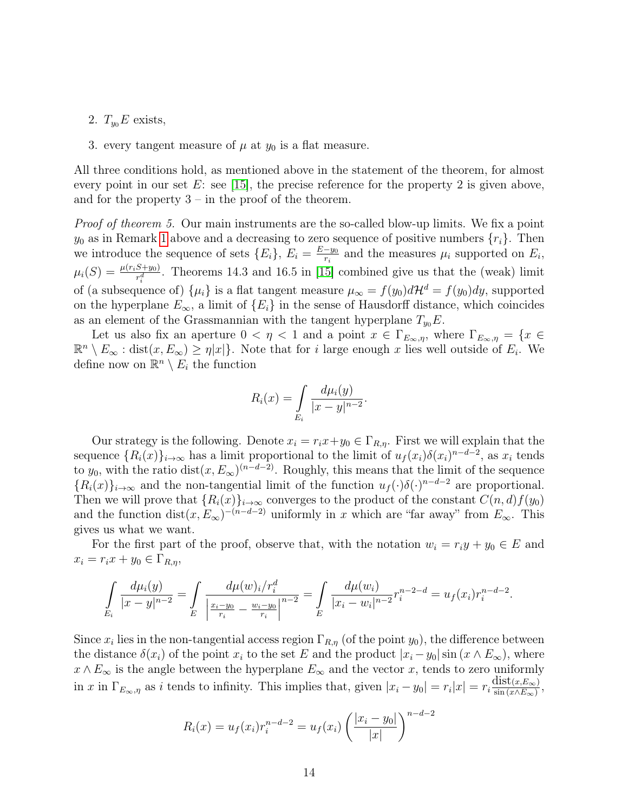- 2.  $T_{y_0}E$  exists,
- 3. every tangent measure of  $\mu$  at  $y_0$  is a flat measure.

All three conditions hold, as mentioned above in the statement of the theorem, for almost every point in our set  $E$ : see [[15](#page-39-9)], the precise reference for the property 2 is given above, and for the property  $3 -$  in the proof of the theorem.

Proof of theorem 5. Our main instruments are the so-called blow-up limits. We fix a point  $y_0$  as in Remark [1](#page-12-1) above and a decreasing to zero sequence of positive numbers  $\{r_i\}$ . Then we introduce the sequence of sets  ${E_i}$ ,  $E_i = \frac{E - y_0}{r_i}$  $\frac{-y_0}{r_i}$  and the measures  $\mu_i$  supported on  $E_i$ ,  $\mu_i(S) = \frac{\mu(r_i S + y_0)}{r_i^d}$ . Theorems 14.3 and 16.5 in [\[15\]](#page-39-9) combined give us that the (weak) limit of (a subsequence of)  $\{\mu_i\}$  is a flat tangent measure  $\mu_\infty = f(y_0)d\mathcal{H}^d = f(y_0)dy$ , supported on the hyperplane  $E_{\infty}$ , a limit of  $\{E_i\}$  in the sense of Hausdorff distance, which coincides as an element of the Grassmannian with the tangent hyperplane  $T_{y_0}E$ .

Let us also fix an aperture  $0 < \eta < 1$  and a point  $x \in \Gamma_{E_{\infty}, \eta}$ , where  $\Gamma_{E_{\infty}, \eta} = \{x \in$  $\mathbb{R}^n \setminus E_\infty$ : dist $(x, E_\infty) \geq \eta |x|$ . Note that for *i* large enough *x* lies well outside of  $E_i$ . We define now on  $\mathbb{R}^n \setminus E_i$  the function

$$
R_i(x) = \int_{E_i} \frac{d\mu_i(y)}{|x - y|^{n - 2}}.
$$

Our strategy is the following. Denote  $x_i = r_i x + y_0 \in \Gamma_{R,n}$ . First we will explain that the sequence  $\{R_i(x)\}_{i\to\infty}$  has a limit proportional to the limit of  $u_f(x_i)\delta(x_i)^{n-d-2}$ , as  $x_i$  tends to  $y_0$ , with the ratio dist $(x, E_{\infty})^{(n-d-2)}$ . Roughly, this means that the limit of the sequence  ${R_i(x)}_{i\to\infty}$  and the non-tangential limit of the function  $u_f(\cdot)\delta(\cdot)^{n-d-2}$  are proportional. Then we will prove that  $\{R_i(x)\}_{i\to\infty}$  converges to the product of the constant  $C(n, d)f(y_0)$ and the function  $dist(x, E_{\infty})^{-(n-d-2)}$  uniformly in x which are "far away" from  $E_{\infty}$ . This gives us what we want.

For the first part of the proof, observe that, with the notation  $w_i = r_i y + y_0 \in E$  and  $x_i = r_i x + y_0 \in \Gamma_{R,\eta},$ 

$$
\int_{E_i} \frac{d\mu_i(y)}{|x-y|^{n-2}} = \int_{E} \frac{d\mu(w)_i/r_i^d}{\left|\frac{x_i-y_0}{r_i} - \frac{w_i-y_0}{r_i}\right|^{n-2}} = \int_{E} \frac{d\mu(w_i)}{|x_i - w_i|^{n-2}} r_i^{n-2-d} = u_f(x_i) r_i^{n-d-2}.
$$

Since  $x_i$  lies in the non-tangential access region  $\Gamma_{R,\eta}$  (of the point  $y_0$ ), the difference between the distance  $\delta(x_i)$  of the point  $x_i$  to the set E and the product  $|x_i - y_0| \sin(x \wedge E_{\infty})$ , where  $x \wedge E_{\infty}$  is the angle between the hyperplane  $E_{\infty}$  and the vector x, tends to zero uniformly in x in  $\Gamma_{E_{\infty},\eta}$  as *i* tends to infinity. This implies that, given  $|x_i - y_0| = r_i |x| = r_i \frac{\text{dist}(x,E_{\infty})}{\text{sin}(x \wedge E_{\infty})}$  $\frac{\text{dist}(x, E_{\infty})}{\sin (x \wedge E_{\infty})},$ 

$$
R_i(x) = u_f(x_i)r_i^{n-d-2} = u_f(x_i) \left(\frac{|x_i - y_0|}{|x|}\right)^{n-d-2}
$$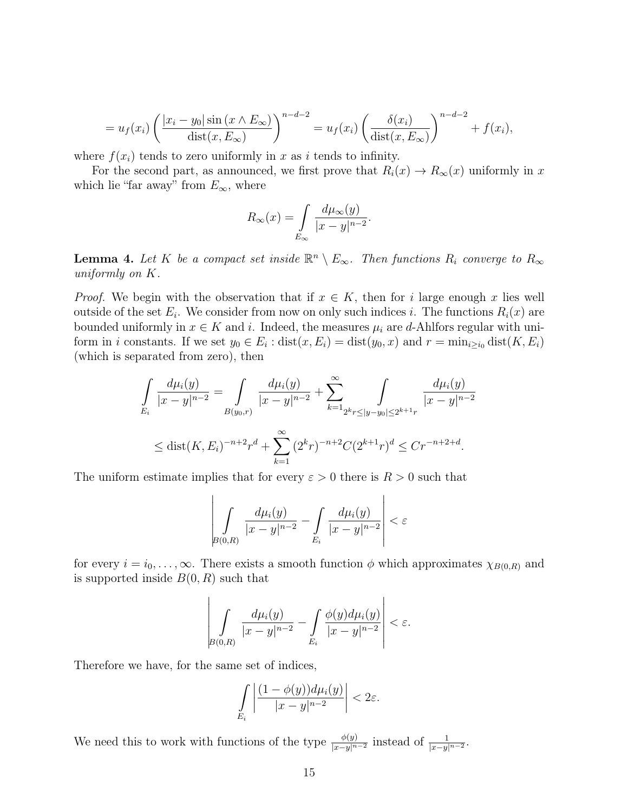$$
= u_f(x_i) \left( \frac{|x_i - y_0| \sin (x \wedge E_{\infty})}{\text{dist}(x, E_{\infty})} \right)^{n-d-2} = u_f(x_i) \left( \frac{\delta(x_i)}{\text{dist}(x, E_{\infty})} \right)^{n-d-2} + f(x_i),
$$

where  $f(x_i)$  tends to zero uniformly in x as *i* tends to infinity.

For the second part, as announced, we first prove that  $R_i(x) \to R_\infty(x)$  uniformly in x which lie "far away" from  $E_{\infty}$ , where

$$
R_{\infty}(x) = \int\limits_{E_{\infty}} \frac{d\mu_{\infty}(y)}{|x - y|^{n - 2}}.
$$

<span id="page-14-0"></span>**Lemma 4.** Let K be a compact set inside  $\mathbb{R}^n \setminus E_\infty$ . Then functions  $R_i$  converge to  $R_\infty$ uniformly on  $K$ .

*Proof.* We begin with the observation that if  $x \in K$ , then for i large enough x lies well outside of the set  $E_i$ . We consider from now on only such indices i. The functions  $R_i(x)$  are bounded uniformly in  $x \in K$  and i. Indeed, the measures  $\mu_i$  are d-Ahlfors regular with uniform in *i* constants. If we set  $y_0 \in E_i$ : dist $(x, E_i) = \text{dist}(y_0, x)$  and  $r = \min_{i \geq i_0} \text{dist}(K, E_i)$ (which is separated from zero), then

$$
\int_{E_i} \frac{d\mu_i(y)}{|x - y|^{n-2}} = \int_{B(y_0, r)} \frac{d\mu_i(y)}{|x - y|^{n-2}} + \sum_{k=1}^{\infty} \int_{2^k r \le |y - y_0| \le 2^{k+1} r} \frac{d\mu_i(y)}{|x - y|^{n-2}}
$$
\n
$$
\le \text{dist}(K, E_i)^{-n+2} r^d + \sum_{k=1}^{\infty} (2^k r)^{-n+2} C (2^{k+1} r)^d \le Cr^{-n+2+d}.
$$

The uniform estimate implies that for every  $\varepsilon > 0$  there is  $R > 0$  such that

$$
\left| \int\limits_{B(0,R)} \frac{d\mu_i(y)}{|x-y|^{n-2}} - \int\limits_{E_i} \frac{d\mu_i(y)}{|x-y|^{n-2}} \right| < \varepsilon
$$

for every  $i = i_0, \ldots, \infty$ . There exists a smooth function  $\phi$  which approximates  $\chi_{B(0,R)}$  and is supported inside  $B(0, R)$  such that

$$
\left| \int\limits_{B(0,R)} \frac{d\mu_i(y)}{|x-y|^{n-2}} - \int\limits_{E_i} \frac{\phi(y)d\mu_i(y)}{|x-y|^{n-2}} \right| < \varepsilon.
$$

Therefore we have, for the same set of indices,

$$
\int\limits_{E_i}\left|\frac{(1-\phi(y))d\mu_i(y)}{|x-y|^{n-2}}\right|<2\varepsilon.
$$

We need this to work with functions of the type  $\frac{\phi(y)}{|x-y|^{n-2}}$  instead of  $\frac{1}{|x-y|^{n-2}}$ .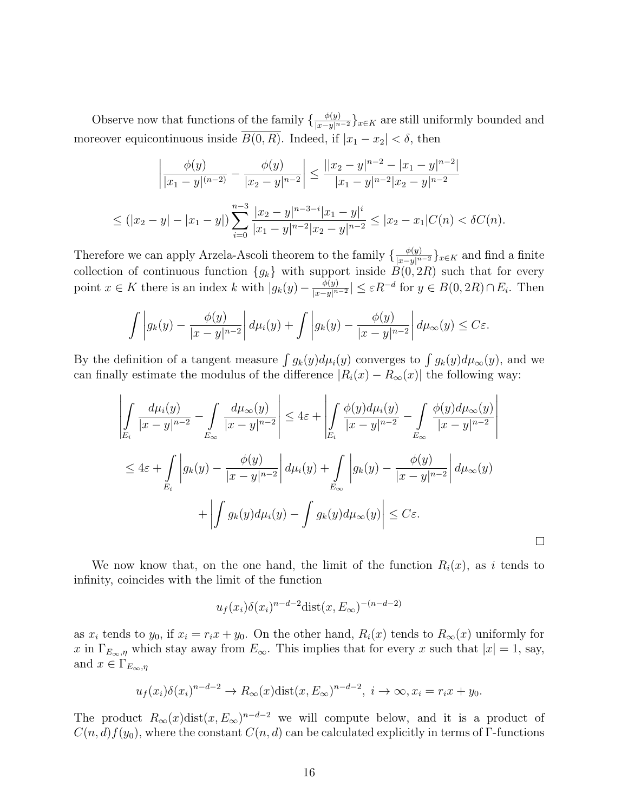Observe now that functions of the family  $\{\frac{\phi(y)}{|x-y|^{n-2}}\}_{x\in K}$  are still uniformly bounded and moreover equicontinuous inside  $B(0, R)$ . Indeed, if  $|x_1 - x_2| < \delta$ , then

$$
\left| \frac{\phi(y)}{|x_1 - y|^{(n-2)}} - \frac{\phi(y)}{|x_2 - y|^{n-2}} \right| \le \frac{||x_2 - y|^{n-2} - |x_1 - y|^{n-2}}{|x_1 - y|^{n-2}|x_2 - y|^{n-2}}
$$
  

$$
\le (|x_2 - y| - |x_1 - y|) \sum_{i=0}^{n-3} \frac{|x_2 - y|^{n-3-i} |x_1 - y|^i}{|x_1 - y|^{n-2}|x_2 - y|^{n-2}} \le |x_2 - x_1| C(n) < \delta C(n).
$$

Therefore we can apply Arzela-Ascoli theorem to the family  $\{\frac{\phi(y)}{|x-y|^{n-2}}\}_{x\in K}$  and find a finite collection of continuous function  ${g_k}$  with support inside  $B(0, 2R)$  such that for every point  $x \in K$  there is an index  $k$  with  $|g_k(y) - \frac{\phi(y)}{|x-y|^n}$  $\frac{\phi(y)}{|x-y|^{n-2}} \leq \varepsilon R^{-d}$  for  $y \in B(0, 2R) \cap E_i$ . Then

$$
\int \left| g_k(y) - \frac{\phi(y)}{|x - y|^{n - 2}} \right| d\mu_i(y) + \int \left| g_k(y) - \frac{\phi(y)}{|x - y|^{n - 2}} \right| d\mu_\infty(y) \le C\varepsilon.
$$

By the definition of a tangent measure  $\int g_k(y) d\mu_i(y)$  converges to  $\int g_k(y) d\mu_{\infty}(y)$ , and we can finally estimate the modulus of the difference  $|R_i(x) - R_\infty(x)|$  the following way:

$$
\left| \int_{E_i} \frac{d\mu_i(y)}{|x - y|^{n-2}} - \int_{E_{\infty}} \frac{d\mu_{\infty}(y)}{|x - y|^{n-2}} \right| \leq 4\varepsilon + \left| \int_{E_i} \frac{\phi(y)d\mu_i(y)}{|x - y|^{n-2}} - \int_{E_{\infty}} \frac{\phi(y)d\mu_{\infty}(y)}{|x - y|^{n-2}} \right|
$$
  

$$
\leq 4\varepsilon + \int_{E_i} \left| g_k(y) - \frac{\phi(y)}{|x - y|^{n-2}} \right| d\mu_i(y) + \int_{E_{\infty}} \left| g_k(y) - \frac{\phi(y)}{|x - y|^{n-2}} \right| d\mu_{\infty}(y)
$$
  

$$
+ \left| \int g_k(y)d\mu_i(y) - \int g_k(y)d\mu_{\infty}(y) \right| \leq C\varepsilon.
$$

We now know that, on the one hand, the limit of the function  $R_i(x)$ , as i tends to infinity, coincides with the limit of the function

$$
u_f(x_i)\delta(x_i)^{n-d-2}\text{dist}(x,E_{\infty})^{-(n-d-2)}
$$

as  $x_i$  tends to  $y_0$ , if  $x_i = r_i x + y_0$ . On the other hand,  $R_i(x)$  tends to  $R_\infty(x)$  uniformly for x in  $\Gamma_{E_{\infty}, \eta}$  which stay away from  $E_{\infty}$ . This implies that for every x such that  $|x| = 1$ , say, and  $x \in \Gamma_{E_{\infty},\eta}$ 

$$
u_f(x_i)\delta(x_i)^{n-d-2} \to R_\infty(x)\text{dist}(x, E_\infty)^{n-d-2}, \ i \to \infty, x_i = r_ix + y_0.
$$

The product  $R_{\infty}(x)$ dist $(x, E_{\infty})^{n-d-2}$  we will compute below, and it is a product of  $C(n, d) f(y_0)$ , where the constant  $C(n, d)$  can be calculated explicitly in terms of Γ-functions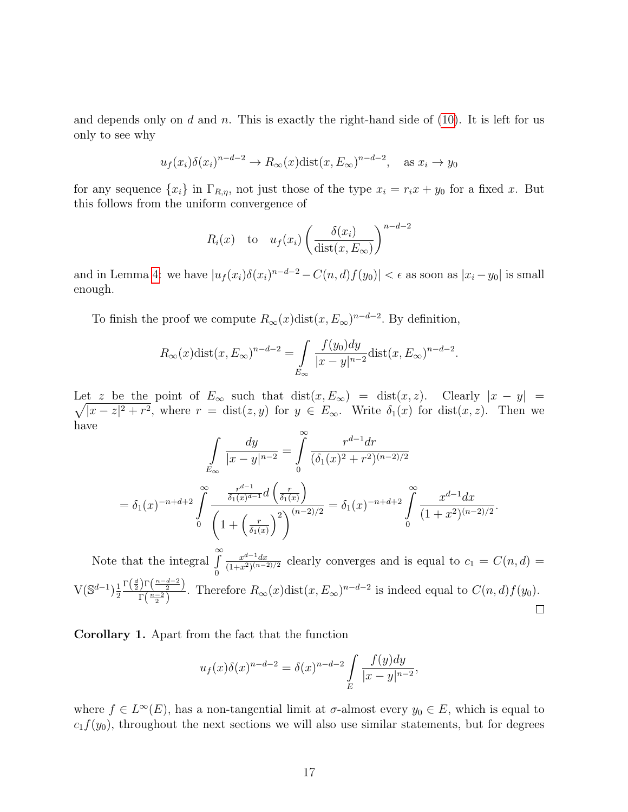and depends only on  $d$  and  $n$ . This is exactly the right-hand side of [\(10\)](#page-12-0). It is left for us only to see why

$$
u_f(x_i)\delta(x_i)^{n-d-2} \to R_\infty(x)\text{dist}(x, E_\infty)^{n-d-2}
$$
, as  $x_i \to y_0$ 

for any sequence  $\{x_i\}$  in  $\Gamma_{R,\eta}$ , not just those of the type  $x_i = r_i x + y_0$  for a fixed x. But this follows from the uniform convergence of

$$
R_i(x)
$$
 to  $u_f(x_i) \left( \frac{\delta(x_i)}{\text{dist}(x, E_\infty)} \right)^{n-d-2}$ 

and in Lemma [4:](#page-14-0) we have  $|u_f(x_i)\delta(x_i)^{n-d-2} - C(n,d)f(y_0)| < \epsilon$  as soon as  $|x_i - y_0|$  is small enough.

To finish the proof we compute  $R_{\infty}(x)$ dist $(x, E_{\infty})^{n-d-2}$ . By definition,

$$
R_{\infty}(x)\text{dist}(x, E_{\infty})^{n-d-2} = \int\limits_{E_{\infty}} \frac{f(y_0)dy}{|x-y|^{n-2}} \text{dist}(x, E_{\infty})^{n-d-2}.
$$

Let √︀ z be the point of  $E_{\infty}$  such that  $dist(x, E_{\infty}) = dist(x, z)$ . Clearly  $|x - y|$  $|x-z|^2 + r^2$ , where  $r = \text{dist}(z, y)$  for  $y \in E_{\infty}$ . Write  $\delta_1(x)$  for  $\text{dist}(x, z)$ . Then we have  $\alpha$ 

$$
\int_{E_{\infty}} \frac{dy}{|x - y|^{n - 2}} = \int_{0}^{\infty} \frac{r^{d - 1} dr}{(\delta_1(x)^2 + r^2)^{(n - 2)/2}}
$$

$$
= \delta_1(x)^{-n + d + 2} \int_{0}^{\infty} \frac{\frac{r^{d - 1}}{\delta_1(x)^{d - 1}} d\left(\frac{r}{\delta_1(x)}\right)}{\left(1 + \left(\frac{r}{\delta_1(x)}\right)^2\right)^{(n - 2)/2}} = \delta_1(x)^{-n + d + 2} \int_{0}^{\infty} \frac{x^{d - 1} dx}{(1 + x^2)^{(n - 2)/2}}.
$$

Note that the integral  $\int_{0}^{\infty}$  $x^{d-1}dx$  $\frac{x^{a-1}dx}{(1+x^2)^{(n-2)/2}}$  clearly converges and is equal to  $c_1 = C(n, d)$ 0  $\Gamma\left(\frac{d}{2}\right) \Gamma\left(\frac{n-d-2}{2}\right)$  $V(\mathbb{S}^{d-1})\frac{1}{2}$  $\frac{\int_1^1(\frac{x}{\sqrt{2}})}{\Gamma(\frac{n-2}{2})}$ . Therefore  $R_\infty(x)$ dist $(x, E_\infty)^{n-d-2}$  is indeed equal to  $C(n, d)f(y_0)$ . 2  $\Box$ 

<span id="page-16-0"></span>Corollary 1. Apart from the fact that the function

$$
u_f(x)\delta(x)^{n-d-2} = \delta(x)^{n-d-2} \int\limits_{E} \frac{f(y)dy}{|x-y|^{n-2}},
$$

where  $f \in L^{\infty}(E)$ , has a non-tangential limit at  $\sigma$ -almost every  $y_0 \in E$ , which is equal to  $c_1f(y_0)$ , throughout the next sections we will also use similar statements, but for degrees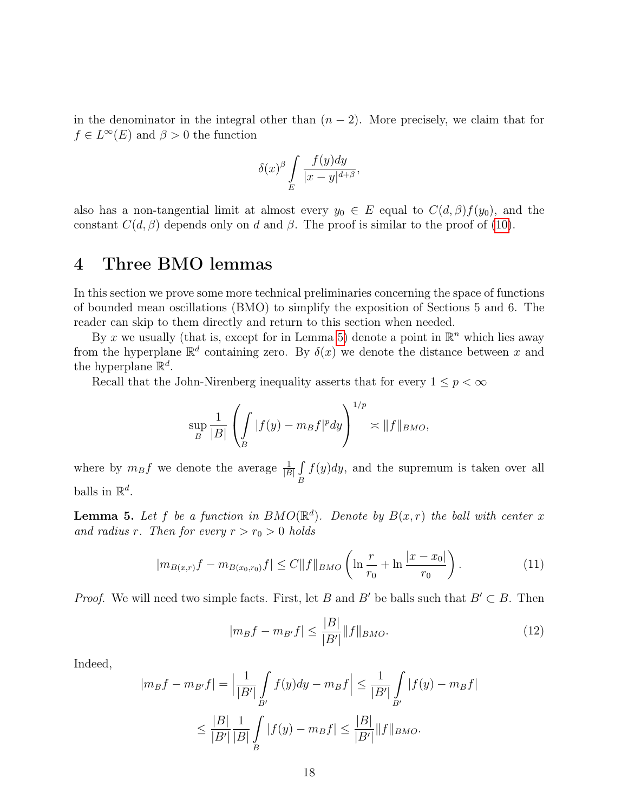in the denominator in the integral other than  $(n-2)$ . More precisely, we claim that for  $f \in L^{\infty}(E)$  and  $\beta > 0$  the function

$$
\delta(x)^{\beta} \int\limits_{E} \frac{f(y)dy}{|x-y|^{d+\beta}},
$$

also has a non-tangential limit at almost every  $y_0 \in E$  equal to  $C(d, \beta) f(y_0)$ , and the constant  $C(d, \beta)$  depends only on d and  $\beta$ . The proof is similar to the proof of [\(10\)](#page-12-0).

# <span id="page-17-0"></span>4 Three BMO lemmas

In this section we prove some more technical preliminaries concerning the space of functions of bounded mean oscillations (BMO) to simplify the exposition of Sections 5 and 6. The reader can skip to them directly and return to this section when needed.

By x we usually (that is, except for in Lemma [5](#page-17-1)) denote a point in  $\mathbb{R}^n$  which lies away from the hyperplane  $\mathbb{R}^d$  containing zero. By  $\delta(x)$  we denote the distance between x and the hyperplane  $\mathbb{R}^d$ .

Recall that the John-Nirenberg inequality asserts that for every  $1 \leq p < \infty$ 

$$
\sup_{B} \frac{1}{|B|} \left( \int_{B} |f(y) - m_B f|^p dy \right)^{1/p} \asymp ||f||_{BMO},
$$

where by  $m_B f$  we denote the average  $\frac{1}{|B|} \int$  $\boldsymbol{B}$  $f(y)dy$ , and the supremum is taken over all balls in  $\mathbb{R}^d$ .

<span id="page-17-1"></span>**Lemma 5.** Let f be a function in  $BMO(\mathbb{R}^d)$ . Denote by  $B(x,r)$  the ball with center x and radius r. Then for every  $r > r_0 > 0$  holds

<span id="page-17-3"></span>
$$
|m_{B(x,r)}f - m_{B(x_0,r_0)}f| \le C||f||_{BMO} \left(\ln\frac{r}{r_0} + \ln\frac{|x - x_0|}{r_0}\right). \tag{11}
$$

*Proof.* We will need two simple facts. First, let B and B' be balls such that  $B' \subset B$ . Then

<span id="page-17-2"></span>
$$
|m_B f - m_{B'} f| \le \frac{|B|}{|B'|} \|f\|_{BMO}.\tag{12}
$$

Indeed,

$$
|m_B f - m_{B'} f| = \left| \frac{1}{|B'|} \int_{B'} f(y) dy - m_B f \right| \le \frac{1}{|B'|} \int_{B'} |f(y) - m_B f|
$$
  

$$
\le \frac{|B|}{|B'|} \frac{1}{|B|} \int_{B} |f(y) - m_B f| \le \frac{|B|}{|B'|} ||f||_{BMO}.
$$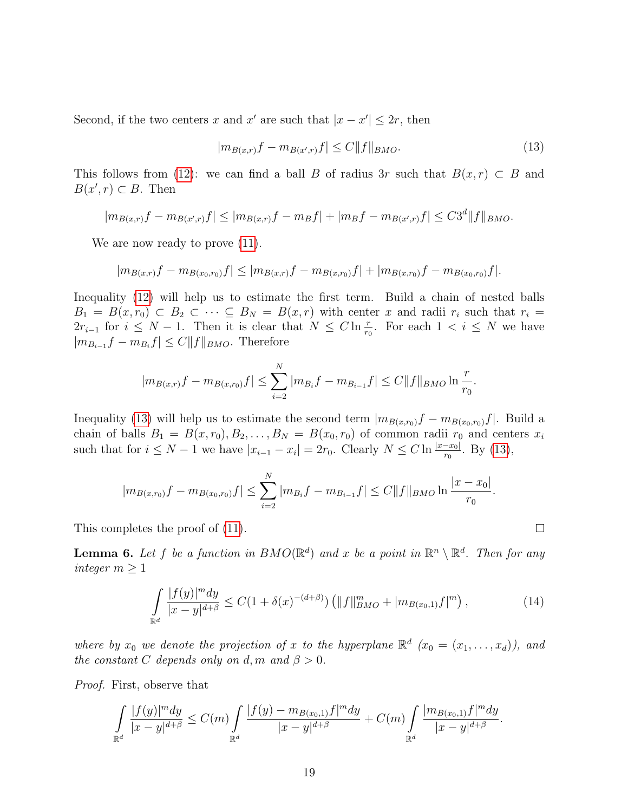Second, if the two centers x and x' are such that  $|x - x'| \leq 2r$ , then

<span id="page-18-0"></span>
$$
|m_{B(x,r)}f - m_{B(x',r)}f| \le C \|f\|_{BMO}.\tag{13}
$$

This follows from [\(12\)](#page-17-2): we can find a ball B of radius 3r such that  $B(x, r) \subset B$  and  $B(x', r) \subset B$ . Then

$$
|m_{B(x,r)}f - m_{B(x',r)}f| \le |m_{B(x,r)}f - m_{B}f| + |m_{B}f - m_{B(x',r)}f| \le C3^d \|f\|_{BMO}.
$$

We are now ready to prove  $(11)$ .

$$
|m_{B(x,r)}f - m_{B(x_0,r_0)}f| \leq |m_{B(x,r)}f - m_{B(x,r_0)}f| + |m_{B(x,r_0)}f - m_{B(x_0,r_0)}f|.
$$

Inequality [\(12\)](#page-17-2) will help us to estimate the first term. Build a chain of nested balls  $B_1 = B(x, r_0) \subset B_2 \subset \cdots \subset B_N = B(x, r)$  with center x and radii  $r_i$  such that  $r_i =$  $2r_{i-1}$  for  $i \leq N-1$ . Then it is clear that  $N \leq C \ln \frac{r}{r_0}$ . For each  $1 < i \leq N$  we have  $|m_{B_{i-1}}f - m_{B_i}f| \leq C||f||_{BMO}$ . Therefore

$$
|m_{B(x,r)}f - m_{B(x,r_0)}f| \le \sum_{i=2}^{N} |m_{B_i}f - m_{B_{i-1}}f| \le C||f||_{BMO} \ln \frac{r}{r_0}.
$$

Inequality [\(13\)](#page-18-0) will help us to estimate the second term  $|m_{B(x,r_0)}f - m_{B(x_0,r_0)}f|$ . Build a chain of balls  $B_1 = B(x, r_0), B_2, \ldots, B_N = B(x_0, r_0)$  of common radii  $r_0$  and centers  $x_i$ such that for  $i \leq N-1$  we have  $|x_{i-1}-x_i|=2r_0$ . Clearly  $N \leq C \ln \frac{|x-x_0|}{r_0}$ . By [\(13\)](#page-18-0),

$$
|m_{B(x,r_0)}f - m_{B(x_0,r_0)}f| \leq \sum_{i=2}^{N} |m_{B_i}f - m_{B_{i-1}}f| \leq C||f||_{BMO} \ln \frac{|x - x_0|}{r_0}.
$$

This completes the proof of [\(11\)](#page-17-3).

**Lemma 6.** Let f be a function in  $BMO(\mathbb{R}^d)$  and x be a point in  $\mathbb{R}^n \setminus \mathbb{R}^d$ . Then for any integer  $m \geq 1$ 

<span id="page-18-1"></span>
$$
\int_{\mathbb{R}^d} \frac{|f(y)|^m dy}{|x-y|^{d+\beta}} \le C(1+\delta(x)^{-(d+\beta)}) \left( \|f\|_{BMO}^m + |m_{B(x_0,1)}f|^m \right),\tag{14}
$$

 $\Box$ 

where by  $x_0$  we denote the projection of x to the hyperplane  $\mathbb{R}^d$   $(x_0 = (x_1, \ldots, x_d)$ , and the constant C depends only on d, m and  $\beta > 0$ .

Proof. First, observe that

$$
\int\limits_{\mathbb{R}^d}{\frac{|f(y)|^m dy}{|x - y|^{d + \beta}}} \leq C(m) \int\limits_{\mathbb{R}^d}{\frac{|f(y) - m_{B(x_0, 1)}f|^m dy}{|x - y|^{d + \beta}}} + C(m) \int\limits_{\mathbb{R}^d}{\frac{|m_{B(x_0, 1)}f|^m dy}{|x - y|^{d + \beta}}}.
$$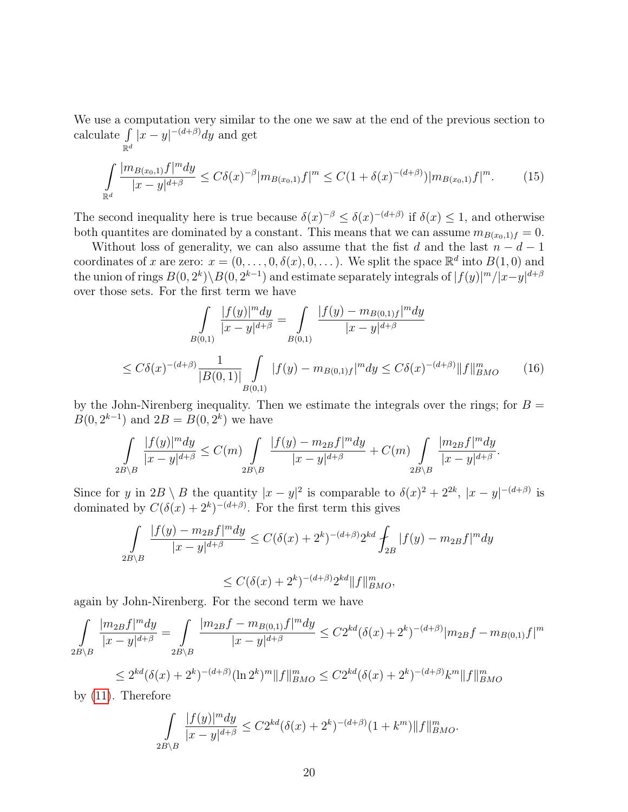We use a computation very similar to the one we saw at the end of the previous section to calculate  $\int$  $\mathbb{R}^d$  $|x-y|^{-(d+\beta)}dy$  and get

<span id="page-19-0"></span>
$$
\int_{\mathbb{R}^d} \frac{|m_{B(x_0,1)}f|^m dy}{|x-y|^{d+\beta}} \le C\delta(x)^{-\beta}|m_{B(x_0,1)}f|^m \le C(1+\delta(x)^{-(d+\beta)})|m_{B(x_0,1)}f|^m. \tag{15}
$$

The second inequality here is true because  $\delta(x)^{-\beta} \leq \delta(x)^{-(d+\beta)}$  if  $\delta(x) \leq 1$ , and otherwise both quantities are dominated by a constant. This means that we can assume  $m_{B(x_0,1)f} = 0$ .

Without loss of generality, we can also assume that the fist d and the last  $n - d - 1$ coordinates of x are zero:  $x = (0, \ldots, 0, \delta(x), 0, \ldots)$ . We split the space  $\mathbb{R}^d$  into  $B(1, 0)$  and the union of rings  $B(0, 2^k) \setminus B(0, 2^{k-1})$  and estimate separately integrals of  $|f(y)|^m/|x-y|^{d+\beta}$ over those sets. For the first term we have

<span id="page-19-1"></span>
$$
\int_{B(0,1)} \frac{|f(y)|^m dy}{|x - y|^{d + \beta}} = \int_{B(0,1)} \frac{|f(y) - m_{B(0,1)f}|^m dy}{|x - y|^{d + \beta}}
$$
  

$$
\leq C\delta(x)^{-(d + \beta)} \frac{1}{|B(0,1)|} \int_{B(0,1)} |f(y) - m_{B(0,1)f}|^m dy \leq C\delta(x)^{-(d + \beta)} ||f||_{BMO}^m \qquad (16)
$$

by the John-Nirenberg inequality. Then we estimate the integrals over the rings; for  $B =$  $B(0, 2^{k-1})$  and  $2B = B(0, 2^k)$  we have

$$
\int_{2B\setminus B} \frac{|f(y)|^m dy}{|x-y|^{d+\beta}} \le C(m) \int_{2B\setminus B} \frac{|f(y) - m_{2B}f|^m dy}{|x-y|^{d+\beta}} + C(m) \int_{2B\setminus B} \frac{|m_{2B}f|^m dy}{|x-y|^{d+\beta}}.
$$

Since for y in  $2B \setminus B$  the quantity  $|x-y|^2$  is comparable to  $\delta(x)^2 + 2^{2k}$ ,  $|x-y|^{-(d+\beta)}$  is dominated by  $C(\delta(x) + 2^k)^{-(d+\beta)}$ . For the first term this gives

$$
\int_{2B\setminus B} \frac{|f(y) - m_{2B}f|^m dy}{|x - y|^{d + \beta}} \le C(\delta(x) + 2^k)^{-(d + \beta)} 2^{kd} \int_{2B} |f(y) - m_{2B}f|^m dy
$$
  

$$
\le C(\delta(x) + 2^k)^{-(d + \beta)} 2^{kd} ||f||_{BMO}^m,
$$

again by John-Nirenberg. For the second term we have

$$
\int_{2B\setminus B} \frac{|m_{2B}f|^m dy}{|x-y|^{d+\beta}} = \int_{2B\setminus B} \frac{|m_{2B}f - m_{B(0,1)}f|^m dy}{|x-y|^{d+\beta}} \le C2^{kd}(\delta(x) + 2^k)^{-(d+\beta)}|m_{2B}f - m_{B(0,1)}f|^m
$$
  

$$
\le 2^{kd}(\delta(x) + 2^k)^{-(d+\beta)}(\ln 2^k)^m \|f\|_{BMO}^m \le C2^{kd}(\delta(x) + 2^k)^{-(d+\beta)}k^m \|f\|_{BMO}^m
$$

by [\(11\)](#page-17-3). Therefore

$$
\int_{2B\setminus B} \frac{|f(y)|^m dy}{|x-y|^{d+\beta}} \le C2^{kd} (\delta(x) + 2^k)^{-(d+\beta)} (1+k^m) \|f\|_{BMO}^m.
$$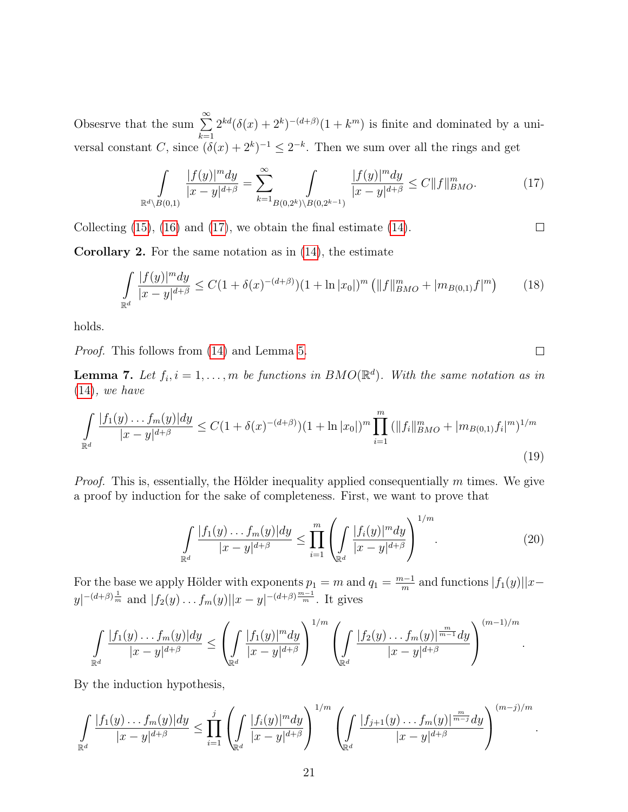Obsesrve that the sum  $\sum_{n=1}^{\infty}$  $k=1$  $2^{kd}(\delta(x) + 2^k)^{-(d+\beta)}(1 + k^m)$  is finite and dominated by a universal constant C, since  $(\delta(x) + 2^k)^{-1} \leq 2^{-k}$ . Then we sum over all the rings and get

<span id="page-20-0"></span>
$$
\int_{\mathbb{R}^d \setminus B(0,1)} \frac{|f(y)|^m dy}{|x - y|^{d + \beta}} = \sum_{k=1}^{\infty} \int_{B(0,2^k) \setminus B(0,2^{k-1})} \frac{|f(y)|^m dy}{|x - y|^{d + \beta}} \le C \|f\|_{BMO}^m. \tag{17}
$$

Collecting [\(15\)](#page-19-0), [\(16\)](#page-19-1) and [\(17\)](#page-20-0), we obtain the final estimate [\(14\)](#page-18-1).

 $\Box$ 

 $\Box$ 

.

Corollary 2. For the same notation as in [\(14\)](#page-18-1), the estimate

<span id="page-20-2"></span>
$$
\int_{\mathbb{R}^d} \frac{|f(y)|^m dy}{|x-y|^{d+\beta}} \le C(1+\delta(x)^{-(d+\beta)})(1+\ln|x_0|)^m \left(\|f\|_{BMO}^m + |m_{B(0,1)}f|^m\right) \tag{18}
$$

holds.

Proof. This follows from [\(14\)](#page-18-1) and Lemma [5](#page-17-1).

**Lemma 7.** Let  $f_i$ ,  $i = 1, ..., m$  be functions in  $BMO(\mathbb{R}^d)$ . With the same notation as in [\(14\)](#page-18-1), we have

<span id="page-20-1"></span>
$$
\int_{\mathbb{R}^d} \frac{|f_1(y) \dots f_m(y)| dy}{|x - y|^{d + \beta}} \le C(1 + \delta(x)^{-(d + \beta)})(1 + \ln|x_0|)^m \prod_{i=1}^m (||f_i||_{BMO}^m + |m_{B(0,1)} f_i|^m)^{1/m}
$$
\n(19)

*Proof.* This is, essentially, the Hölder inequality applied consequentially  $m$  times. We give a proof by induction for the sake of completeness. First, we want to prove that

<span id="page-20-3"></span>
$$
\int_{\mathbb{R}^d} \frac{|f_1(y) \dots f_m(y)| dy}{|x - y|^{d + \beta}} \le \prod_{i=1}^m \left( \int_{\mathbb{R}^d} \frac{|f_i(y)|^m dy}{|x - y|^{d + \beta}} \right)^{1/m}.
$$
 (20)

For the base we apply Hölder with exponents  $p_1 = m$  and  $q_1 = \frac{m-1}{m}$  $\frac{n-1}{m}$  and functions  $|f_1(y)||x |y|^{-(d+\beta)\frac{1}{m}}$  and  $|f_2(y) \dots f_m(y)||x-y|^{-(d+\beta)\frac{m-1}{m}}$ . It gives

$$
\int_{\mathbb{R}^d} \frac{|f_1(y) \dots f_m(y)| dy}{|x - y|^{d + \beta}} \le \left( \int_{\mathbb{R}^d} \frac{|f_1(y)|^m dy}{|x - y|^{d + \beta}} \right)^{1/m} \left( \int_{\mathbb{R}^d} \frac{|f_2(y) \dots f_m(y)|^{\frac{m}{m - 1}} dy}{|x - y|^{d + \beta}} \right)^{(m - 1)/m}
$$

By the induction hypothesis,

$$
\int_{\mathbb{R}^d} \frac{|f_1(y) \dots f_m(y)| dy}{|x - y|^{d + \beta}} \leq \prod_{i=1}^j \left( \int_{\mathbb{R}^d} \frac{|f_i(y)|^m dy}{|x - y|^{d + \beta}} \right)^{1/m} \left( \int_{\mathbb{R}^d} \frac{|f_{j+1}(y) \dots f_m(y)|^{\frac{m}{m - j}} dy}{|x - y|^{d + \beta}} \right)^{(m - j)/m}.
$$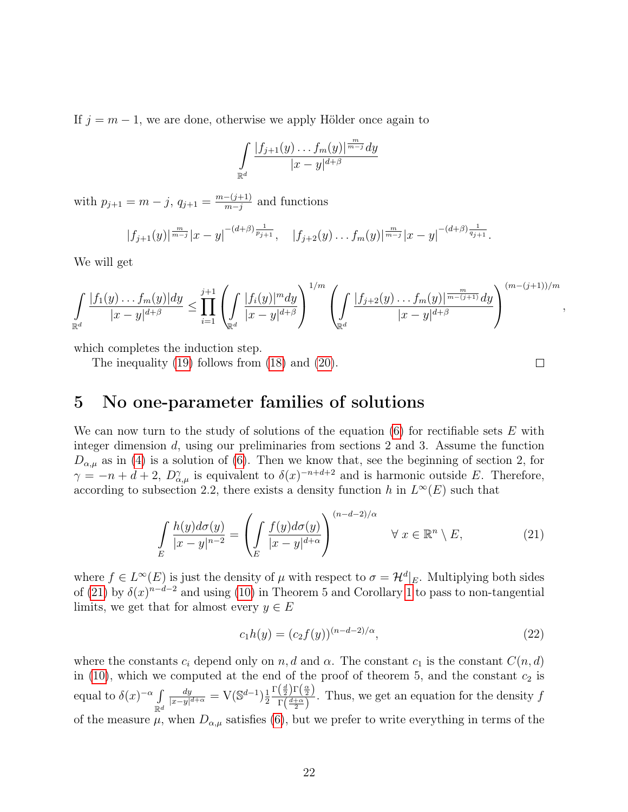If  $j = m - 1$ , we are done, otherwise we apply Hölder once again to

$$
\int\limits_{\mathbb{R}^d}{\frac{|f_{j+1}(y)\dots f_m(y)|^{\frac{m}{m-j}}dy}{|x-y|^{d+\beta}}}
$$

with  $p_{j+1} = m - j$ ,  $q_{j+1} = \frac{m - (j+1)}{m - j}$  $\frac{-(j+1)}{m-j}$  and functions

$$
|f_{j+1}(y)|^{\frac{m}{m-j}}|x-y|^{-(d+\beta)\frac{1}{p_{j+1}}}, \quad |f_{j+2}(y)\ldots f_m(y)|^{\frac{m}{m-j}}|x-y|^{-(d+\beta)\frac{1}{q_{j+1}}}.
$$

We will get

$$
\int_{\mathbb{R}^d} \frac{|f_1(y) \dots f_m(y)| dy}{|x - y|^{d + \beta}} \le \prod_{i=1}^{j+1} \left( \int_{\mathbb{R}^d} \frac{|f_i(y)|^m dy}{|x - y|^{d + \beta}} \right)^{1/m} \left( \int_{\mathbb{R}^d} \frac{|f_{j+2}(y) \dots f_m(y)|^{\frac{m}{m - (j+1)}} dy}{|x - y|^{d + \beta}} \right)^{(m - (j+1))/m}
$$

which completes the induction step.

The inequality [\(19\)](#page-20-1) follows from [\(18\)](#page-20-2) and [\(20\)](#page-20-3).

# <span id="page-21-0"></span>5 No one-parameter families of solutions

We can now turn to the study of solutions of the equation  $(6)$  for rectifiable sets E with integer dimension  $d$ , using our preliminaries from sections 2 and 3. Assume the function  $D_{\alpha,\mu}$  as in [\(4\)](#page-2-2) is a solution of [\(6\)](#page-3-0). Then we know that, see the beginning of section 2, for  $\gamma = -n + d + 2$ ,  $D^{\gamma}_{\alpha,\mu}$  is equivalent to  $\delta(x)^{-n+d+2}$  and is harmonic outside E. Therefore, according to subsection 2.2, there exists a density function h in  $L^{\infty}(E)$  such that

<span id="page-21-1"></span>
$$
\int_{E} \frac{h(y)d\sigma(y)}{|x-y|^{n-2}} = \left(\int_{E} \frac{f(y)d\sigma(y)}{|x-y|^{d+\alpha}}\right)^{(n-d-2)/\alpha} \quad \forall x \in \mathbb{R}^n \setminus E,
$$
\n(21)

where  $f \in L^{\infty}(E)$  is just the density of  $\mu$  with respect to  $\sigma = \mathcal{H}^{d}|_{E}$ . Multiplying both sides of [\(21\)](#page-21-1) by  $\delta(x)^{n-d-2}$  and using [\(10\)](#page-12-0) in Theorem 5 and Corollary [1](#page-16-0) to pass to non-tangential limits, we get that for almost every  $y \in E$ 

<span id="page-21-2"></span>
$$
c_1 h(y) = (c_2 f(y))^{(n-d-2)/\alpha},\tag{22}
$$

where the constants  $c_i$  depend only on  $n, d$  and  $\alpha$ . The constant  $c_1$  is the constant  $C(n, d)$ in [\(10\)](#page-12-0), which we computed at the end of the proof of theorem 5, and the constant  $c_2$  is equal to  $\delta(x)^{-\alpha}$  $\mathbb{R}^d$  $_{dy}$  $\frac{dy}{|x-y|^{d+\alpha}} = \mathcal{V}(\mathbb{S}^{d-1})\frac{1}{2}$ 2  $\Gamma\left(\frac{d}{2}\right) \Gamma\left(\frac{\alpha}{2}\right)$  $\frac{\left(\frac{2}{2}\right)^{1} \left(\frac{2}{2}\right)}{\Gamma\left(\frac{d+\alpha}{2}\right)}$ . Thus, we get an equation for the density f of the measure  $\mu$ , when  $D_{\alpha,\mu}$  satisfies [\(6\)](#page-3-0), but we prefer to write everything in terms of the

 $\Box$ 

,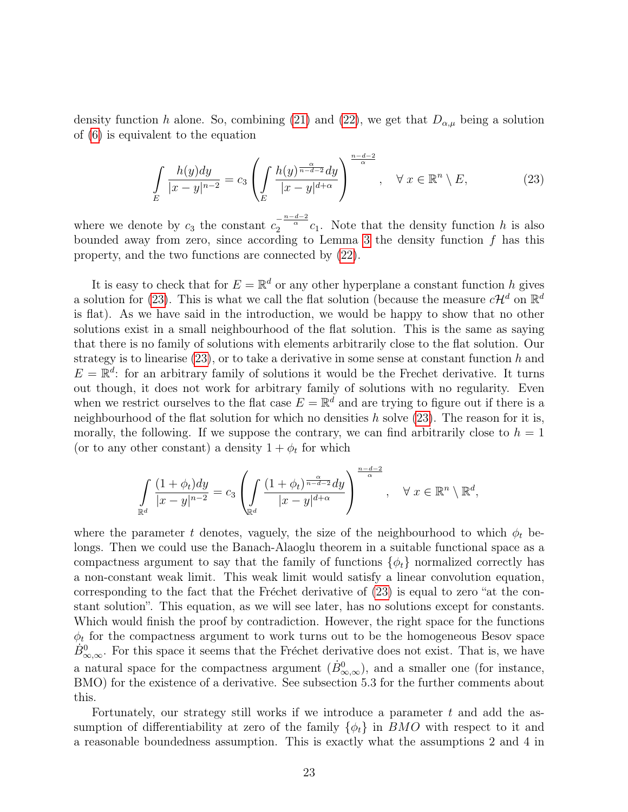density function h alone. So, combining [\(21\)](#page-21-1) and [\(22\)](#page-21-2), we get that  $D_{\alpha,\mu}$  being a solution of [\(6\)](#page-3-0) is equivalent to the equation

<span id="page-22-0"></span>
$$
\int_{E} \frac{h(y)dy}{|x-y|^{n-2}} = c_3 \left( \int_{E} \frac{h(y)^{\frac{\alpha}{n-d-2}} dy}{|x-y|^{d+\alpha}} \right)^{\frac{n-d-2}{\alpha}}, \quad \forall \ x \in \mathbb{R}^n \setminus E,
$$
\n(23)

where we denote by  $c_3$  the constant  $c_2^{-\frac{n-d-2}{\alpha}}c_1$ . Note that the density function h is also bounded away from zero, since according to Lemma [3](#page-11-1) the density function  $f$  has this property, and the two functions are connected by [\(22\)](#page-21-2).

It is easy to check that for  $E = \mathbb{R}^d$  or any other hyperplane a constant function h gives a solution for [\(23\)](#page-22-0). This is what we call the flat solution (because the measure  $c\mathcal{H}^d$  on  $\mathbb{R}^d$ is flat). As we have said in the introduction, we would be happy to show that no other solutions exist in a small neighbourhood of the flat solution. This is the same as saying that there is no family of solutions with elements arbitrarily close to the flat solution. Our strategy is to linearise  $(23)$ , or to take a derivative in some sense at constant function h and  $E = \mathbb{R}^d$ : for an arbitrary family of solutions it would be the Frechet derivative. It turns out though, it does not work for arbitrary family of solutions with no regularity. Even when we restrict ourselves to the flat case  $E = \mathbb{R}^d$  and are trying to figure out if there is a neighbourhood of the flat solution for which no densities  $h$  solve [\(23\)](#page-22-0). The reason for it is, morally, the following. If we suppose the contrary, we can find arbitrarily close to  $h = 1$ (or to any other constant) a density  $1 + \phi_t$  for which

$$
\int_{\mathbb{R}^d} \frac{(1+\phi_t)dy}{|x-y|^{n-2}} = c_3 \left( \int_{\mathbb{R}^d} \frac{(1+\phi_t)^{\frac{\alpha}{n-d-2}}dy}{|x-y|^{d+\alpha}} \right)^{\frac{n-d-2}{\alpha}}, \quad \forall \ x \in \mathbb{R}^n \setminus \mathbb{R}^d,
$$

where the parameter t denotes, vaguely, the size of the neighbourhood to which  $\phi_t$  belongs. Then we could use the Banach-Alaoglu theorem in a suitable functional space as a compactness argument to say that the family of functions  $\{\phi_t\}$  normalized correctly has a non-constant weak limit. This weak limit would satisfy a linear convolution equation, corresponding to the fact that the Fréchet derivative of  $(23)$  is equal to zero "at the constant solution". This equation, as we will see later, has no solutions except for constants. Which would finish the proof by contradiction. However, the right space for the functions  $\phi_t$  for the compactness argument to work turns out to be the homogeneous Besov space  $B_{\infty,\infty}^0$ . For this space it seems that the Fréchet derivative does not exist. That is, we have a natural space for the compactness argument  $(\dot{B}^0_{\infty,\infty})$ , and a smaller one (for instance, BMO) for the existence of a derivative. See subsection 5.3 for the further comments about this.

Fortunately, our strategy still works if we introduce a parameter  $t$  and add the assumption of differentiability at zero of the family  $\{\phi_t\}$  in BMO with respect to it and a reasonable boundedness assumption. This is exactly what the assumptions 2 and 4 in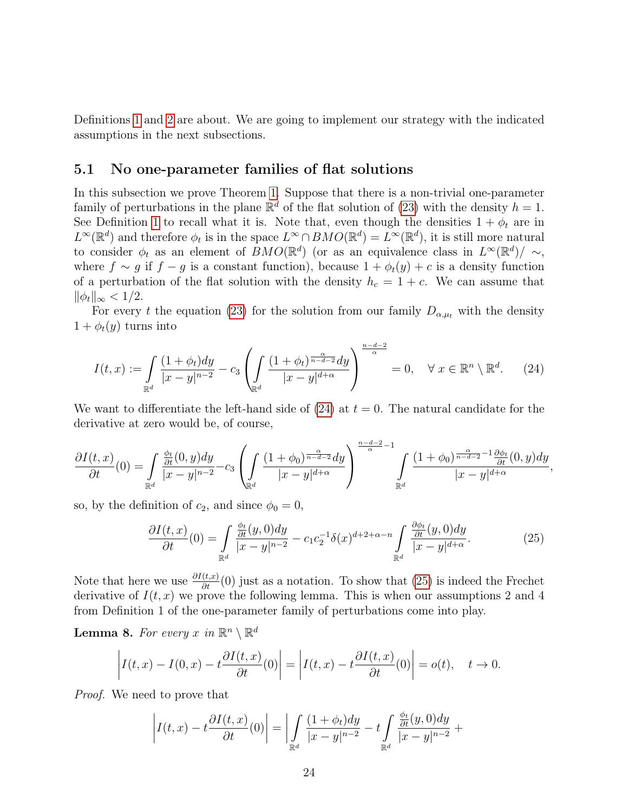Definitions [1](#page-4-0) and [2](#page-4-1) are about. We are going to implement our strategy with the indicated assumptions in the next subsections.

#### <span id="page-23-0"></span>5.1 No one-parameter families of flat solutions

In this subsection we prove Theorem [1](#page-5-0). Suppose that there is a non-trivial one-parameter family of perturbations in the plane  $\mathbb{R}^d$  of the flat solution of [\(23\)](#page-22-0) with the density  $h = 1$ . See Definition [1](#page-4-0) to recall what it is. Note that, even though the densities  $1 + \phi_t$  are in  $L^{\infty}(\mathbb{R}^d)$  and therefore  $\phi_t$  is in the space  $L^{\infty} \cap BMO(\mathbb{R}^d) = L^{\infty}(\mathbb{R}^d)$ , it is still more natural to consider  $\phi_t$  as an element of  $BMO(\mathbb{R}^d)$  (or as an equivalence class in  $L^{\infty}(\mathbb{R}^d)/\sim$ , where  $f \sim g$  if  $f - g$  is a constant function), because  $1 + \phi_t(y) + c$  is a density function of a perturbation of the flat solution with the density  $h_c = 1 + c$ . We can assume that  $\|\phi_t\|_{\infty} < 1/2.$ 

For every t the equation [\(23\)](#page-22-0) for the solution from our family  $D_{\alpha,\mu_t}$  with the density  $1 + \phi_t(y)$  turns into

<span id="page-23-1"></span>
$$
I(t,x) := \int\limits_{\mathbb{R}^d} \frac{(1+\phi_t)dy}{|x-y|^{n-2}} - c_3 \left( \int\limits_{\mathbb{R}^d} \frac{(1+\phi_t)^{\frac{\alpha}{n-d-2}} dy}{|x-y|^{d+\alpha}} \right)^{\frac{n-d-2}{\alpha}} = 0, \quad \forall \ x \in \mathbb{R}^n \setminus \mathbb{R}^d. \tag{24}
$$

We want to differentiate the left-hand side of  $(24)$  at  $t = 0$ . The natural candidate for the derivative at zero would be, of course,

$$
\frac{\partial I(t,x)}{\partial t}(0) = \int_{\mathbb{R}^d} \frac{\frac{\phi_t}{\partial t}(0,y)dy}{|x-y|^{n-2}} - c_3 \left( \int_{\mathbb{R}^d} \frac{(1+\phi_0)^{\frac{\alpha}{n-d-2}}dy}{|x-y|^{d+\alpha}} \right)^{\frac{n-d-2}{\alpha}-1} \int_{\mathbb{R}^d} \frac{(1+\phi_0)^{\frac{\alpha}{n-d-2}-1} \frac{\partial \phi_t}{\partial t}(0,y)dy}{|x-y|^{d+\alpha}},
$$

so, by the definition of  $c_2$ , and since  $\phi_0 = 0$ ,

<span id="page-23-2"></span>
$$
\frac{\partial I(t,x)}{\partial t}(0) = \int\limits_{\mathbb{R}^d} \frac{\frac{\phi_t}{\partial t}(y,0)dy}{|x-y|^{n-2}} - c_1 c_2^{-1} \delta(x)^{d+2+\alpha-n} \int\limits_{\mathbb{R}^d} \frac{\frac{\partial \phi_t}{\partial t}(y,0)dy}{|x-y|^{d+\alpha}}.\tag{25}
$$

Note that here we use  $\frac{\partial I(t,x)}{\partial t}(0)$  just as a notation. To show that [\(25\)](#page-23-2) is indeed the Frechet derivative of  $I(t, x)$  we prove the following lemma. This is when our assumptions 2 and 4 from Definition 1 of the one-parameter family of perturbations come into play.

**Lemma 8.** For every x in  $\mathbb{R}^n \setminus \mathbb{R}^d$ 

$$
\left| I(t,x) - I(0,x) - t \frac{\partial I(t,x)}{\partial t}(0) \right| = \left| I(t,x) - t \frac{\partial I(t,x)}{\partial t}(0) \right| = o(t), \quad t \to 0.
$$

Proof. We need to prove that

$$
\left| I(t,x) - t \frac{\partial I(t,x)}{\partial t}(0) \right| = \left| \int\limits_{\mathbb{R}^d} \frac{(1+\phi_t) dy}{|x-y|^{n-2}} - t \int\limits_{\mathbb{R}^d} \frac{\frac{\phi_t}{\partial t}(y,0) dy}{|x-y|^{n-2}} + \right|
$$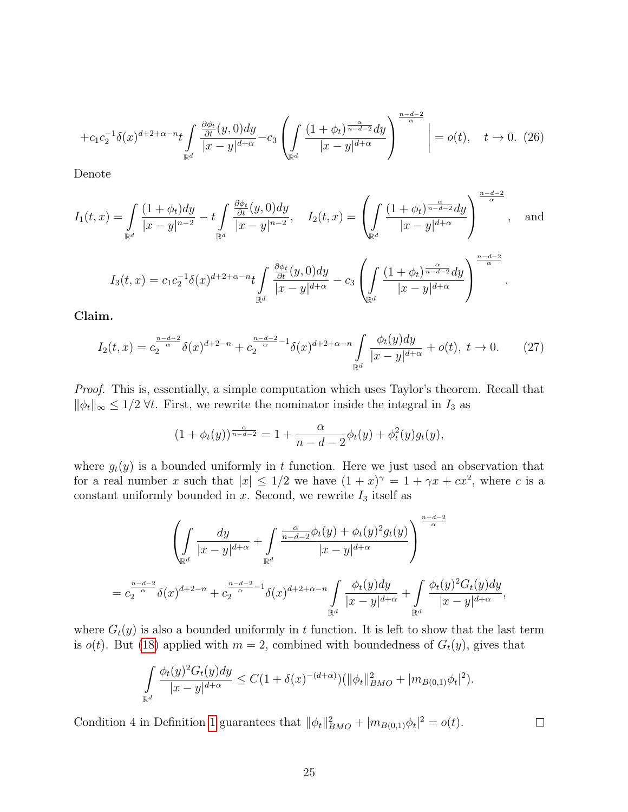$$
+c_1c_2^{-1}\delta(x)^{d+2+\alpha-n}t\int\limits_{\mathbb{R}^d}\frac{\frac{\partial\phi_t}{\partial t}(y,0)dy}{|x-y|^{d+\alpha}}-c_3\left(\int\limits_{\mathbb{R}^d}\frac{(1+\phi_t)^{\frac{\alpha}{n-d-2}}dy}{|x-y|^{d+\alpha}}\right)^{\frac{n-d-2}{\alpha}}\bigg|=o(t),\quad t\to 0. \tag{26}
$$

Denote

$$
I_1(t,x) = \int_{\mathbb{R}^d} \frac{(1+\phi_t)dy}{|x-y|^{n-2}} - t \int_{\mathbb{R}^d} \frac{\frac{\partial \phi_t}{\partial t}(y,0)dy}{|x-y|^{n-2}}, \quad I_2(t,x) = \left(\int_{\mathbb{R}^d} \frac{(1+\phi_t)^{\frac{\alpha}{n-d-2}}dy}{|x-y|^{d+\alpha}}\right)^{\frac{n-d-2}{\alpha}}, \quad \text{and}
$$

$$
I_3(t,x) = c_1 c_2^{-1} \delta(x)^{d+2+\alpha-n} t \int_{\mathbb{R}^d} \frac{\frac{\partial \phi_t}{\partial t}(y,0)dy}{|x-y|^{d+\alpha}} - c_3 \left(\int_{\mathbb{R}^d} \frac{(1+\phi_t)^{\frac{\alpha}{n-d-2}}dy}{|x-y|^{d+\alpha}}\right)^{\frac{n-d-2}{\alpha}}.
$$

Claim.

<span id="page-24-0"></span>
$$
I_2(t,x) = c_2^{\frac{n-d-2}{\alpha}} \delta(x)^{d+2-n} + c_2^{\frac{n-d-2}{\alpha}-1} \delta(x)^{d+2+\alpha-n} \int_{\mathbb{R}^d} \frac{\phi_t(y) dy}{|x-y|^{d+\alpha}} + o(t), \ t \to 0. \tag{27}
$$

Proof. This is, essentially, a simple computation which uses Taylor's theorem. Recall that  $\|\phi_t\|_{\infty}$  ≤ 1/2  $\forall t$ . First, we rewrite the nominator inside the integral in  $I_3$  as

$$
(1 + \phi_t(y))^{\frac{\alpha}{n-d-2}} = 1 + \frac{\alpha}{n-d-2} \phi_t(y) + \phi_t^2(y) g_t(y),
$$

where  $g_t(y)$  is a bounded uniformly in t function. Here we just used an observation that for a real number x such that  $|x| \leq 1/2$  we have  $(1+x)^{\gamma} = 1 + \gamma x + cx^2$ , where c is a constant uniformly bounded in  $x$ . Second, we rewrite  $I_3$  itself as

$$
\left(\int_{\mathbb{R}^d} \frac{dy}{|x-y|^{d+\alpha}} + \int_{\mathbb{R}^d} \frac{\frac{\alpha}{n-d-2} \phi_t(y) + \phi_t(y)^2 g_t(y)}{|x-y|^{d+\alpha}} \right)^{\frac{n-d-2}{\alpha}}
$$
  
=  $c_2^{\frac{n-d-2}{\alpha}} \delta(x)^{d+2-n} + c_2^{\frac{n-d-2}{\alpha}-1} \delta(x)^{d+2+\alpha-n} \int_{\mathbb{R}^d} \frac{\phi_t(y) dy}{|x-y|^{d+\alpha}} + \int_{\mathbb{R}^d} \frac{\phi_t(y)^2 G_t(y) dy}{|x-y|^{d+\alpha}},$ 

where  $G_t(y)$  is also a bounded uniformly in t function. It is left to show that the last term is  $o(t)$ . But [\(18\)](#page-20-2) applied with  $m = 2$ , combined with boundedness of  $G_t(y)$ , gives that

$$
\int_{\mathbb{R}^d} \frac{\phi_t(y)^2 G_t(y) dy}{|x - y|^{d + \alpha}} \le C(1 + \delta(x)^{-(d + \alpha)}) (\|\phi_t\|_{BMO}^2 + |m_{B(0,1)}\phi_t|^2).
$$

 $\Box$ 

Condition 4 in Definition [1](#page-4-0) guarantees that  $\|\phi_t\|_{BMO}^2 + |m_{B(0,1)}\phi_t|^2 = o(t)$ .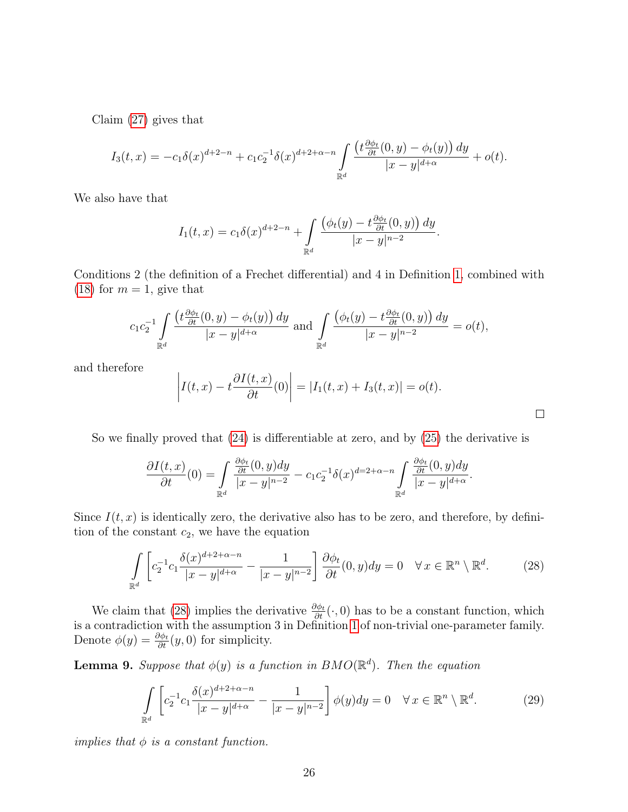Claim [\(27\)](#page-24-0) gives that

$$
I_3(t,x) = -c_1 \delta(x)^{d+2-n} + c_1 c_2^{-1} \delta(x)^{d+2+\alpha-n} \int_{\mathbb{R}^d} \frac{\left(t \frac{\partial \phi_t}{\partial t}(0,y) - \phi_t(y)\right) dy}{|x-y|^{d+\alpha}} + o(t).
$$

We also have that

$$
I_1(t,x) = c_1 \delta(x)^{d+2-n} + \int_{\mathbb{R}^d} \frac{\left(\phi_t(y) - t \frac{\partial \phi_t}{\partial t}(0,y)\right) dy}{|x - y|^{n-2}}.
$$

Conditions 2 (the definition of a Frechet differential) and 4 in Definition [1](#page-4-0), combined with [\(18\)](#page-20-2) for  $m = 1$ , give that

$$
c_1 c_2^{-1} \int\limits_{\mathbb{R}^d} \frac{\left(t \frac{\partial \phi_t}{\partial t}(0, y) - \phi_t(y)\right) dy}{|x - y|^{d + \alpha}} \text{ and } \int\limits_{\mathbb{R}^d} \frac{\left(\phi_t(y) - t \frac{\partial \phi_t}{\partial t}(0, y)\right) dy}{|x - y|^{n - 2}} = o(t),
$$

and therefore

$$
\left| I(t,x) - t \frac{\partial I(t,x)}{\partial t}(0) \right| = |I_1(t,x) + I_3(t,x)| = o(t).
$$

 $\Box$ 

So we finally proved that [\(24\)](#page-23-1) is differentiable at zero, and by [\(25\)](#page-23-2) the derivative is

$$
\frac{\partial I(t,x)}{\partial t}(0) = \int\limits_{\mathbb{R}^d} \frac{\frac{\partial \phi_t}{\partial t}(0,y)dy}{|x-y|^{n-2}} - c_1 c_2^{-1} \delta(x)^{d-2+\alpha-n} \int\limits_{\mathbb{R}^d} \frac{\frac{\partial \phi_t}{\partial t}(0,y)dy}{|x-y|^{d+\alpha}}.
$$

Since  $I(t, x)$  is identically zero, the derivative also has to be zero, and therefore, by definition of the constant  $c_2$ , we have the equation

<span id="page-25-0"></span>
$$
\int_{\mathbb{R}^d} \left[ c_2^{-1} c_1 \frac{\delta(x)^{d+2+\alpha-n}}{|x-y|^{d+\alpha}} - \frac{1}{|x-y|^{n-2}} \right] \frac{\partial \phi_t}{\partial t}(0, y) dy = 0 \quad \forall x \in \mathbb{R}^n \setminus \mathbb{R}^d.
$$
 (28)

We claim that [\(28\)](#page-25-0) implies the derivative  $\frac{\partial \phi_t}{\partial t}(\cdot,0)$  has to be a constant function, which is a contradiction with the assumption 3 in Definition [1](#page-4-0) of non-trivial one-parameter family. Denote  $\phi(y) = \frac{\partial \phi_t}{\partial t}(y, 0)$  for simplicity.

<span id="page-25-2"></span>**Lemma 9.** Suppose that  $\phi(y)$  is a function in  $BMO(\mathbb{R}^d)$ . Then the equation

<span id="page-25-1"></span>
$$
\int_{\mathbb{R}^d} \left[ c_2^{-1} c_1 \frac{\delta(x)^{d+2+\alpha-n}}{|x-y|^{d+\alpha}} - \frac{1}{|x-y|^{n-2}} \right] \phi(y) dy = 0 \quad \forall x \in \mathbb{R}^n \setminus \mathbb{R}^d.
$$
 (29)

implies that  $\phi$  is a constant function.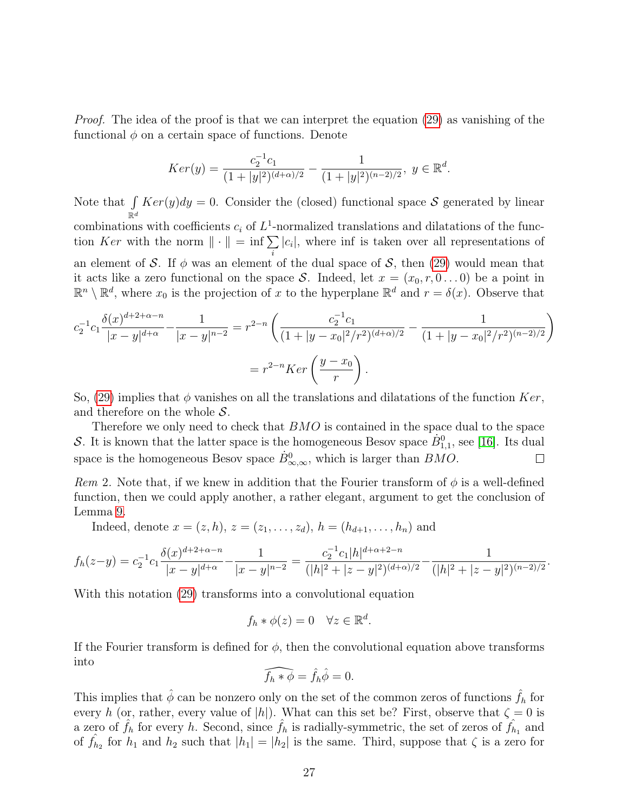Proof. The idea of the proof is that we can interpret the equation [\(29\)](#page-25-1) as vanishing of the functional  $\phi$  on a certain space of functions. Denote

$$
Ker(y) = \frac{c_2^{-1}c_1}{(1+|y|^2)^{(d+\alpha)/2}} - \frac{1}{(1+|y|^2)^{(n-2)/2}}, \ y \in \mathbb{R}^d.
$$

Note that  $\int$  $\mathbb{R}^d$  $Ker(y)dy = 0.$  Consider the (closed) functional space S generated by linear combinations with coefficients  $c_i$  of  $L^1$ -normalized translations and dilatations of the function Ker with the norm  $\|\cdot\| = \inf \sum |c_i|$ , where inf is taken over all representations of an element of S. If  $\phi$  was an element of the dual space of S, then [\(29\)](#page-25-1) would mean that it acts like a zero functional on the space S. Indeed, let  $x = (x_0, r, 0 \dots 0)$  be a point in  $\mathbb{R}^n \setminus \mathbb{R}^d$ , where  $x_0$  is the projection of x to the hyperplane  $\mathbb{R}^d$  and  $r = \delta(x)$ . Observe that

$$
c_2^{-1}c_1 \frac{\delta(x)^{d+2+\alpha-n}}{|x-y|^{d+\alpha}} - \frac{1}{|x-y|^{n-2}} = r^{2-n} \left( \frac{c_2^{-1}c_1}{(1+|y-x_0|^2/r^2)^{(d+\alpha)/2}} - \frac{1}{(1+|y-x_0|^2/r^2)^{(n-2)/2}} \right)
$$

$$
= r^{2-n}Ker\left(\frac{y-x_0}{r}\right).
$$

So, [\(29\)](#page-25-1) implies that  $\phi$  vanishes on all the translations and dilatations of the function  $Ker$ , and therefore on the whole  $S$ .

Therefore we only need to check that  $BMO$  is contained in the space dual to the space S. It is known that the latter space is the homogeneous Besov space  $\dot{B}_{1,1}^0$ , see [[16](#page-39-11)]. Its dual space is the homogeneous Besov space  $\dot{B}^0_{\infty,\infty}$ , which is larger than  $BMO$ .  $\Box$ 

Rem 2. Note that, if we knew in addition that the Fourier transform of  $\phi$  is a well-defined function, then we could apply another, a rather elegant, argument to get the conclusion of Lemma [9](#page-25-2).

Indeed, denote  $x = (z, h), z = (z_1, \ldots, z_d), h = (h_{d+1}, \ldots, h_n)$  and

$$
f_h(z-y) = c_2^{-1}c_1 \frac{\delta(x)^{d+2+\alpha-n}}{|x-y|^{d+\alpha}} - \frac{1}{|x-y|^{n-2}} = \frac{c_2^{-1}c_1|h|^{d+\alpha+2-n}}{(|h|^2+|z-y|^2)^{(d+\alpha)/2}} - \frac{1}{(|h|^2+|z-y|^2)^{(n-2)/2}}.
$$

With this notation [\(29\)](#page-25-1) transforms into a convolutional equation

$$
f_h * \phi(z) = 0 \quad \forall z \in \mathbb{R}^d.
$$

If the Fourier transform is defined for  $\phi$ , then the convolutional equation above transforms into

$$
\widehat{f_h * \phi} = \hat{f}_h \hat{\phi} = 0.
$$

This implies that  $\hat{\phi}$  can be nonzero only on the set of the common zeros of functions  $\hat{f}_h$  for every h (or, rather, every value of |h|). What can this set be? First, observe that  $\zeta = 0$  is a zero of  $\hat{f}_h$  for every h. Second, since  $f_h$  is radially-symmetric, the set of zeros of  $f_{h_1}$  and of  $\hat{f}_{h_2}$  for  $h_1$  and  $h_2$  such that  $|h_1| = |h_2|$  is the same. Third, suppose that  $\zeta$  is a zero for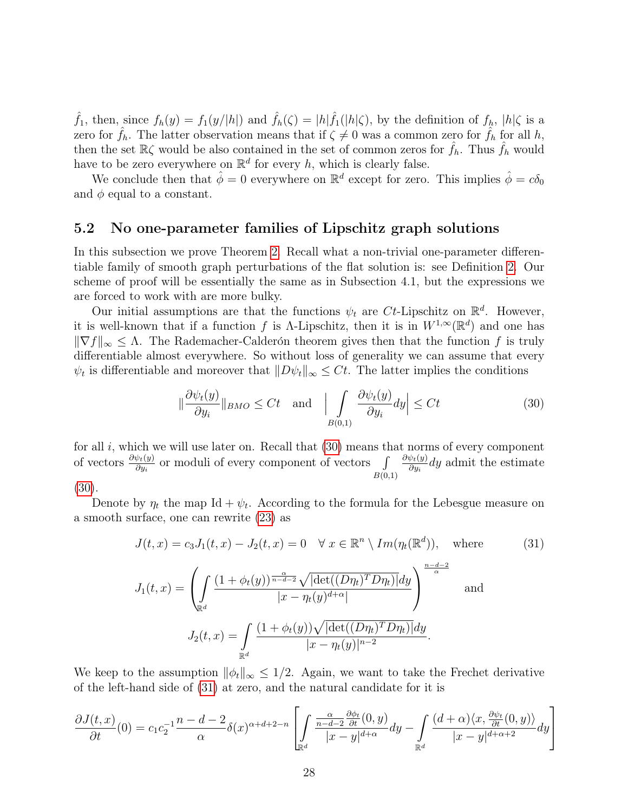$\hat{f}_1$ , then, since  $f_h(y) = f_1(y/|h|)$  and  $\hat{f}_h(\zeta) = |h|\hat{f}_1(|h|\zeta)$ , by the definition of  $f_h$ ,  $|h|\zeta$  is a zero for  $\hat{f}_h$ . The latter observation means that if  $\zeta \neq 0$  was a common zero for  $\hat{f}_h$  for all h, then the set  $\mathbb{R}\zeta$  would be also contained in the set of common zeros for  $f_h$ . Thus  $f_h$  would have to be zero everywhere on  $\mathbb{R}^d$  for every h, which is clearly false.

We conclude then that  $\hat{\phi} = 0$  everywhere on  $\mathbb{R}^d$  except for zero. This implies  $\hat{\phi} = c\delta_0$ and  $\phi$  equal to a constant.

#### <span id="page-27-0"></span>5.2 No one-parameter families of Lipschitz graph solutions

In this subsection we prove Theorem [2](#page-5-1). Recall what a non-trivial one-parameter differentiable family of smooth graph perturbations of the flat solution is: see Definition [2](#page-4-1). Our scheme of proof will be essentially the same as in Subsection 4.1, but the expressions we are forced to work with are more bulky.

Our initial assumptions are that the functions  $\psi_t$  are Ct-Lipschitz on  $\mathbb{R}^d$ . However, it is well-known that if a function f is  $\Lambda$ -Lipschitz, then it is in  $W^{1,\infty}(\mathbb{R}^d)$  and one has  $\|\nabla f\|_{\infty} \leq \Lambda$ . The Rademacher-Calderón theorem gives then that the function f is truly differentiable almost everywhere. So without loss of generality we can assume that every  $\psi_t$  is differentiable and moreover that  $||D\psi_t||_{\infty} \leq Ct$ . The latter implies the conditions

<span id="page-27-1"></span>
$$
\|\frac{\partial \psi_t(y)}{\partial y_i}\|_{BMO} \le Ct \quad \text{and} \quad \Big| \int\limits_{B(0,1)} \frac{\partial \psi_t(y)}{\partial y_i} dy \Big| \le Ct \tag{30}
$$

for all  $i$ , which we will use later on. Recall that  $(30)$  means that norms of every component of vectors  $\frac{\partial \psi_t(y)}{\partial y_i}$  or moduli of every component of vectors  $\iint$  $B(0,1)$  $\partial \psi_t( y )$  $\frac{\partial \psi_t(y)}{\partial y_i}$ dy admit the estimate

[\(30\)](#page-27-1).

Denote by  $\eta_t$  the map Id +  $\psi_t$ . According to the formula for the Lebesgue measure on a smooth surface, one can rewrite [\(23\)](#page-22-0) as

<span id="page-27-2"></span>
$$
J(t,x) = c_3 J_1(t,x) - J_2(t,x) = 0 \quad \forall x \in \mathbb{R}^n \setminus Im(\eta_t(\mathbb{R}^d)), \quad \text{where}
$$
\n
$$
J_1(t,x) = \left( \int_{\mathbb{R}^d} \frac{(1 + \phi_t(y))^{\frac{\alpha}{n - d - 2}} \sqrt{|\det((D\eta_t)^T D\eta_t)|} dy}{|x - \eta_t(y)^{d + \alpha}|} \right)^{\frac{n - d - 2}{\alpha}}
$$
\nand\n
$$
J_2(t,x) = \int_{\mathbb{R}^d} \frac{(1 + \phi_t(y))\sqrt{|\det((D\eta_t)^T D\eta_t)|} dy}{|x - \eta_t(y)|^{n - 2}}.
$$
\n(31)

We keep to the assumption  $\|\phi_t\|_{\infty} \leq 1/2$ . Again, we want to take the Frechet derivative of the left-hand side of [\(31\)](#page-27-2) at zero, and the natural candidate for it is

$$
\frac{\partial J(t,x)}{\partial t}(0) = c_1 c_2^{-1} \frac{n-d-2}{\alpha} \delta(x)^{\alpha+d+2-n} \left[ \int_{\mathbb{R}^d} \frac{\frac{\alpha}{n-d-2} \frac{\partial \phi_t}{\partial t}(0,y)}{|x-y|^{d+\alpha}} dy - \int_{\mathbb{R}^d} \frac{(d+\alpha)\langle x, \frac{\partial \psi_t}{\partial t}(0,y)\rangle}{|x-y|^{d+\alpha+2}} dy \right]
$$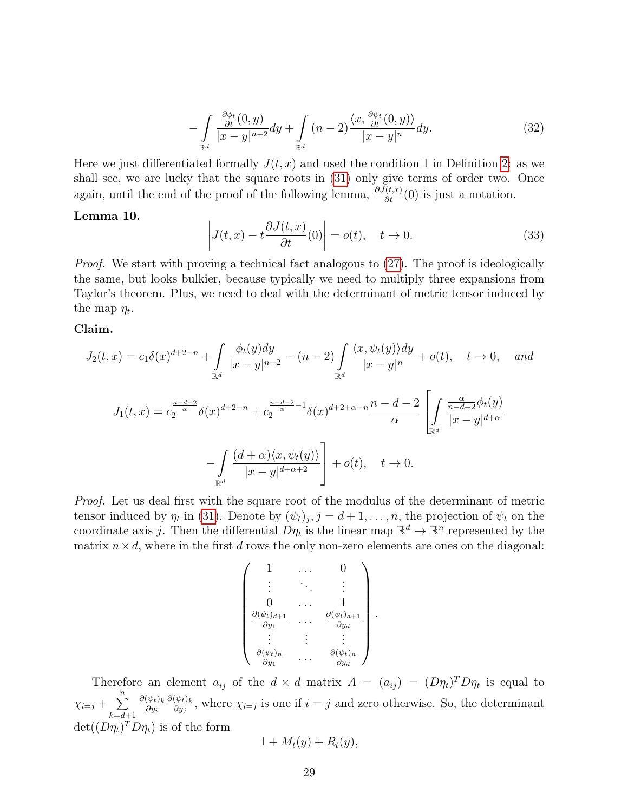<span id="page-28-0"></span>
$$
-\int\limits_{\mathbb{R}^d} \frac{\frac{\partial \phi_t}{\partial t}(0, y)}{|x - y|^{n-2}} dy + \int\limits_{\mathbb{R}^d} (n - 2) \frac{\langle x, \frac{\partial \psi_t}{\partial t}(0, y) \rangle}{|x - y|^n} dy.
$$
 (32)

Here we just differentiated formally  $J(t, x)$  and used the condition 1 in Definition [2](#page-4-1): as we shall see, we are lucky that the square roots in [\(31\)](#page-27-2) only give terms of order two. Once again, until the end of the proof of the following lemma,  $\frac{\partial J(t,x)}{\partial t}(0)$  is just a notation.

#### Lemma 10.

$$
\left| J(t, x) - t \frac{\partial J(t, x)}{\partial t}(0) \right| = o(t), \quad t \to 0.
$$
 (33)

Proof. We start with proving a technical fact analogous to  $(27)$ . The proof is ideologically the same, but looks bulkier, because typically we need to multiply three expansions from Taylor's theorem. Plus, we need to deal with the determinant of metric tensor induced by the map  $\eta_t$ .

#### Claim.

$$
J_2(t,x) = c_1 \delta(x)^{d+2-n} + \int_{\mathbb{R}^d} \frac{\phi_t(y)dy}{|x-y|^{n-2}} - (n-2) \int_{\mathbb{R}^d} \frac{\langle x, \psi_t(y) \rangle dy}{|x-y|^n} + o(t), \quad t \to 0, \quad \text{and}
$$
  

$$
J_1(t,x) = c_2^{\frac{n-d-2}{\alpha}} \delta(x)^{d+2-n} + c_2^{\frac{n-d-2}{\alpha}-1} \delta(x)^{d+2+\alpha-n} \frac{n-d-2}{\alpha} \left[ \int_{\mathbb{R}^d} \frac{\frac{\alpha}{n-d-2} \phi_t(y)}{|x-y|^{d+\alpha}} \right]
$$

$$
- \int_{\mathbb{R}^d} \frac{(d+\alpha)\langle x, \psi_t(y)\rangle}{|x-y|^{d+\alpha+2}} + o(t), \quad t \to 0.
$$

Proof. Let us deal first with the square root of the modulus of the determinant of metric tensor induced by  $\eta_t$  in [\(31\)](#page-27-2). Denote by  $(\psi_t)_j$ ,  $j = d+1, \ldots, n$ , the projection of  $\psi_t$  on the coordinate axis j. Then the differential  $D\eta_t$  is the linear map  $\mathbb{R}^d \to \mathbb{R}^n$  represented by the matrix  $n \times d$ , where in the first d rows the only non-zero elements are ones on the diagonal:

$$
\begin{pmatrix}\n1 & \cdots & 0 \\
\vdots & \ddots & \vdots \\
0 & \cdots & 1 \\
\frac{\partial (\psi_t)_{d+1}}{\partial y_1} & \cdots & \frac{\partial (\psi_t)_{d+1}}{\partial y_d} \\
\vdots & \vdots & \vdots \\
\frac{\partial (\psi_t)_n}{\partial y_1} & \cdots & \frac{\partial (\psi_t)_n}{\partial y_d}\n\end{pmatrix}.
$$

Therefore an element  $a_{ij}$  of the  $d \times d$  matrix  $A = (a_{ij}) = (D\eta_t)^T D\eta_t$  is equal to  $\chi_{i=j}+\sum_{i=1}^n$  $k = d + 1$  $\partial (\psi_t)_k$  $\partial y_i$  $\partial (\psi_t)_k$  $\frac{\psi_{t,k}}{\partial y_j}$ , where  $\chi_{i=j}$  is one if  $i=j$  and zero otherwise. So, the determinant  $\det((D\eta_t)^T D\eta_t)$  is of the form

$$
1 + M_t(y) + R_t(y),
$$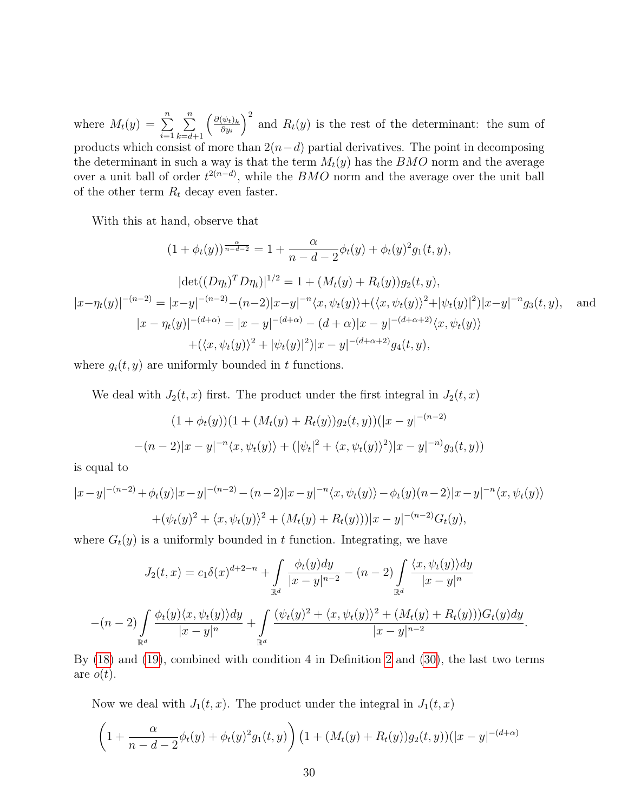where  $M_t(y) = \sum^n$  $i=1$  $\sum_{n=1}^{\infty}$  $k = d + 1$  $\int \frac{\partial (\psi_t)_k}{\partial \psi}$  $\partial y_i$  $\int^2$  and  $R_t(y)$  is the rest of the determinant: the sum of products which consist of more than  $2(n-d)$  partial derivatives. The point in decomposing the determinant in such a way is that the term  $M_t(y)$  has the  $BMO$  norm and the average over a unit ball of order  $t^{2(n-d)}$ , while the *BMO* norm and the average over the unit ball of the other term  $R_t$  decay even faster.

With this at hand, observe that

$$
(1 + \phi_t(y))^{\frac{\alpha}{n - d - 2}} = 1 + \frac{\alpha}{n - d - 2} \phi_t(y) + \phi_t(y)^2 g_1(t, y),
$$
  
\n
$$
|\det((D\eta_t)^T D\eta_t)|^{1/2} = 1 + (M_t(y) + R_t(y))g_2(t, y),
$$
  
\n
$$
|x - \eta_t(y)|^{-(n - 2)} = |x - y|^{-(n - 2)} - (n - 2)|x - y|^{-n} \langle x, \psi_t(y) \rangle + (\langle x, \psi_t(y))^2 + |\psi_t(y)|^2 |x - y|^{-n} g_3(t, y),
$$
and  
\n
$$
|x - \eta_t(y)|^{-(d + \alpha)} = |x - y|^{-(d + \alpha)} - (d + \alpha)|x - y|^{-(d + \alpha + 2)} \langle x, \psi_t(y) \rangle
$$
  
\n
$$
+ (\langle x, \psi_t(y) \rangle^2 + |\psi_t(y)|^2) |x - y|^{-(d + \alpha + 2)} g_4(t, y),
$$

where  $g_i(t, y)$  are uniformly bounded in t functions.

We deal with  $J_2(t, x)$  first. The product under the first integral in  $J_2(t, x)$ 

$$
(1 + \phi_t(y))(1 + (M_t(y) + R_t(y))g_2(t, y))(|x - y|^{-(n-2)}
$$

$$
-(n-2)|x - y|^{-n}\langle x, \psi_t(y)\rangle + (|\psi_t|^2 + \langle x, \psi_t(y)\rangle^2)|x - y|^{-n}\langle g_3(t, y)\rangle
$$

is equal to

$$
|x-y|^{-(n-2)} + \phi_t(y)|x-y|^{-(n-2)} - (n-2)|x-y|^{-n}\langle x, \psi_t(y)\rangle - \phi_t(y)(n-2)|x-y|^{-n}\langle x, \psi_t(y)\rangle
$$
  
+ 
$$
(\psi_t(y))^2 + \langle x, \psi_t(y)\rangle^2 + (M_t(y) + R_t(y)))|x-y|^{-(n-2)}G_t(y),
$$

where  $G_t(y)$  is a uniformly bounded in t function. Integrating, we have

$$
J_2(t,x) = c_1 \delta(x)^{d+2-n} + \int_{\mathbb{R}^d} \frac{\phi_t(y)dy}{|x-y|^{n-2}} - (n-2) \int_{\mathbb{R}^d} \frac{\langle x, \psi_t(y) \rangle dy}{|x-y|^n}
$$

$$
-(n-2) \int_{\mathbb{R}^d} \frac{\phi_t(y) \langle x, \psi_t(y) \rangle dy}{|x-y|^n} + \int_{\mathbb{R}^d} \frac{(\psi_t(y))^2 + \langle x, \psi_t(y) \rangle^2 + (M_t(y) + R_t(y))) G_t(y) dy}{|x-y|^{n-2}}.
$$

By [\(18\)](#page-20-2) and [\(19\)](#page-20-1), combined with condition 4 in Definition [2](#page-4-1) and [\(30\)](#page-27-1), the last two terms are  $o(t)$ .

Now we deal with  $J_1(t, x)$ . The product under the integral in  $J_1(t, x)$ 

$$
\left(1+\frac{\alpha}{n-d-2}\phi_t(y)+\phi_t(y)^2g_1(t,y)\right)\left(1+(M_t(y)+R_t(y))g_2(t,y)\right)(|x-y|^{-(d+\alpha)}
$$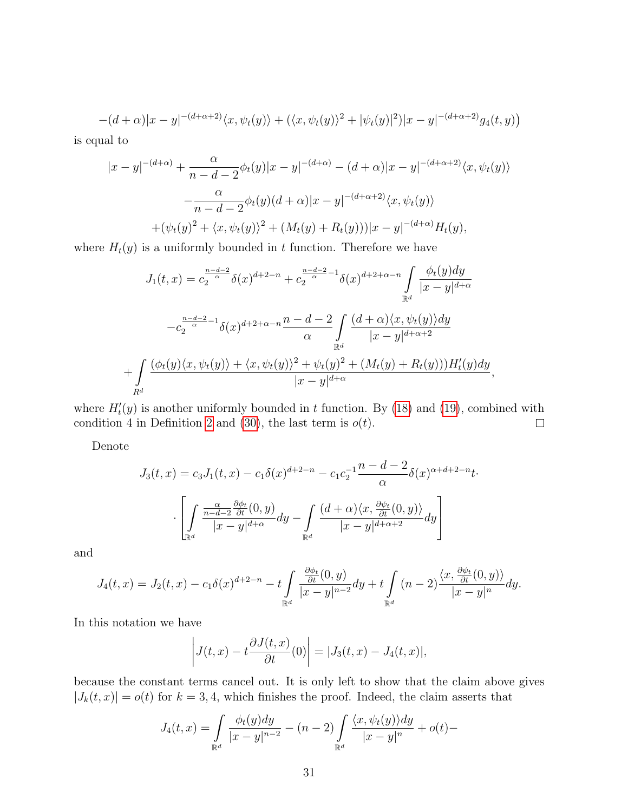$$
-(d+\alpha)|x-y|^{-(d+\alpha+2)}\langle x,\psi_t(y)\rangle+(\langle x,\psi_t(y)\rangle^2+|\psi_t(y)|^2)|x-y|^{-(d+\alpha+2)}g_4(t,y)
$$

is equal to

$$
|x - y|^{-(d+\alpha)} + \frac{\alpha}{n - d - 2} \phi_t(y)|x - y|^{-(d+\alpha)} - (d+\alpha)|x - y|^{-(d+\alpha+2)} \langle x, \psi_t(y) \rangle
$$
  

$$
- \frac{\alpha}{n - d - 2} \phi_t(y)(d+\alpha)|x - y|^{-(d+\alpha+2)} \langle x, \psi_t(y) \rangle
$$
  

$$
+ (\psi_t(y))^2 + \langle x, \psi_t(y) \rangle^2 + (M_t(y) + R_t(y)))|x - y|^{-(d+\alpha)} H_t(y),
$$

where  $H_t(y)$  is a uniformly bounded in t function. Therefore we have

$$
J_1(t,x) = c_2^{\frac{n-d-2}{\alpha}} \delta(x)^{d+2-n} + c_2^{\frac{n-d-2}{\alpha}-1} \delta(x)^{d+2+\alpha-n} \int_{\mathbb{R}^d} \frac{\phi_t(y)dy}{|x-y|^{d+\alpha}}
$$

$$
-c_2^{\frac{n-d-2}{\alpha}-1} \delta(x)^{d+2+\alpha-n} \frac{n-d-2}{\alpha} \int_{\mathbb{R}^d} \frac{(d+\alpha)\langle x, \psi_t(y)\rangle dy}{|x-y|^{d+\alpha+2}}
$$

$$
+ \int_{R^d} \frac{(\phi_t(y)\langle x, \psi_t(y)\rangle + \langle x, \psi_t(y)\rangle^2 + \psi_t(y)^2 + (M_t(y) + R_t(y)))H'_t(y)dy}{|x-y|^{d+\alpha}},
$$

where  $H'_{t}(y)$  is another uniformly bounded in t function. By [\(18\)](#page-20-2) and [\(19\)](#page-20-1), combined with condition 4 in Definition [2](#page-4-1) and [\(30\)](#page-27-1), the last term is  $o(t)$ .  $\Box$ 

Denote

$$
J_3(t,x) = c_3 J_1(t,x) - c_1 \delta(x)^{d+2-n} - c_1 c_2^{-1} \frac{n-d-2}{\alpha} \delta(x)^{\alpha+d+2-n} t
$$

$$
\cdot \left[ \int_{\mathbb{R}^d} \frac{\frac{\alpha}{n-d-2} \frac{\partial \phi_t}{\partial t}(0,y)}{|x-y|^{d+\alpha}} dy - \int_{\mathbb{R}^d} \frac{(d+\alpha)\langle x, \frac{\partial \psi_t}{\partial t}(0,y)\rangle}{|x-y|^{d+\alpha+2}} dy \right]
$$

and

$$
J_4(t,x) = J_2(t,x) - c_1 \delta(x)^{d+2-n} - t \int_{\mathbb{R}^d} \frac{\frac{\partial \phi_t}{\partial t}(0,y)}{|x-y|^{n-2}} dy + t \int_{\mathbb{R}^d} (n-2) \frac{\langle x, \frac{\partial \psi_t}{\partial t}(0,y) \rangle}{|x-y|^n} dy.
$$

In this notation we have

$$
\left|J(t,x) - t\frac{\partial J(t,x)}{\partial t}(0)\right| = |J_3(t,x) - J_4(t,x)|,
$$

because the constant terms cancel out. It is only left to show that the claim above gives  $|J_k(t, x)| = o(t)$  for  $k = 3, 4$ , which finishes the proof. Indeed, the claim asserts that

$$
J_4(t,x) = \int_{\mathbb{R}^d} \frac{\phi_t(y)dy}{|x-y|^{n-2}} - (n-2) \int_{\mathbb{R}^d} \frac{\langle x, \psi_t(y) \rangle dy}{|x-y|^n} + o(t) -
$$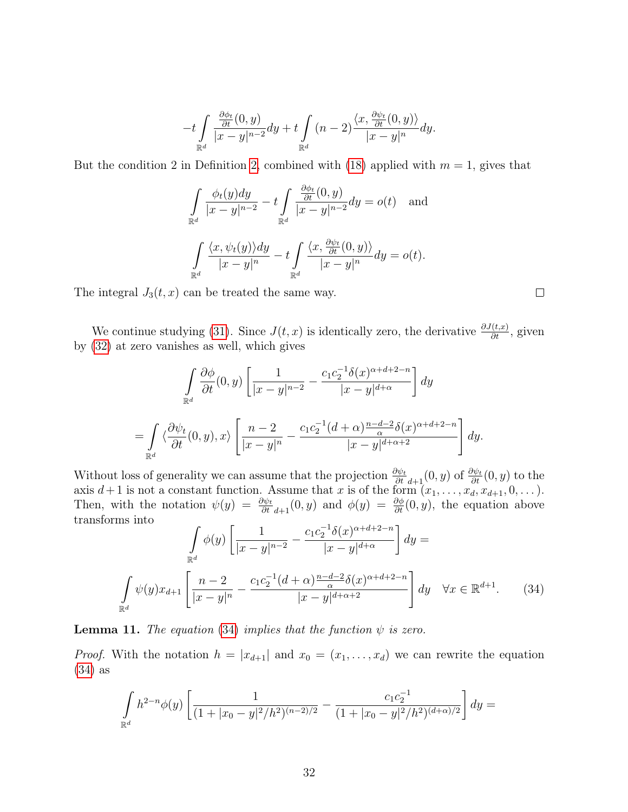$$
-t\int\limits_{\mathbb{R}^d}{\frac{\frac{\partial \phi_t}{\partial t}(0,y)}{|x-y|^{n-2}}dy}+t\int\limits_{\mathbb{R}^d}{(n-2)\frac{\langle x,\frac{\partial \psi_t}{\partial t}(0,y)\rangle}{|x-y|^n}dy}.
$$

But the condition [2](#page-4-1) in Definition 2, combined with [\(18\)](#page-20-2) applied with  $m = 1$ , gives that

$$
\int_{\mathbb{R}^d} \frac{\phi_t(y)dy}{|x-y|^{n-2}} - t \int_{\mathbb{R}^d} \frac{\frac{\partial \phi_t}{\partial t}(0, y)}{|x-y|^{n-2}} dy = o(t) \text{ and}
$$

$$
\int_{\mathbb{R}^d} \frac{\langle x, \psi_t(y) \rangle dy}{|x-y|^n} - t \int_{\mathbb{R}^d} \frac{\langle x, \frac{\partial \psi_t}{\partial t}(0, y) \rangle}{|x-y|^n} dy = o(t).
$$

The integral  $J_3(t, x)$  can be treated the same way.

We continue studying [\(31\)](#page-27-2). Since  $J(t, x)$  is identically zero, the derivative  $\frac{\partial J(t, x)}{\partial t}$ , given by [\(32\)](#page-28-0) at zero vanishes as well, which gives

$$
\int_{\mathbb{R}^d} \frac{\partial \phi}{\partial t}(0, y) \left[ \frac{1}{|x - y|^{n - 2}} - \frac{c_1 c_2^{-1} \delta(x)^{\alpha + d + 2 - n}}{|x - y|^{d + \alpha}} \right] dy
$$
  
= 
$$
\int_{\mathbb{R}^d} \left\langle \frac{\partial \psi_t}{\partial t}(0, y), x \right\rangle \left[ \frac{n - 2}{|x - y|^n} - \frac{c_1 c_2^{-1} (d + \alpha) \frac{n - d - 2}{\alpha} \delta(x)^{\alpha + d + 2 - n}}{|x - y|^{d + \alpha + 2}} \right] dy.
$$

Without loss of generality we can assume that the projection  $\frac{\partial \psi_t}{\partial t}_{d+1}(0, y)$  of  $\frac{\partial \psi_t}{\partial t}(0, y)$  to the axis  $d+1$  is not a constant function. Assume that x is of the form  $(x_1, \ldots, x_d, x_{d+1}, 0, \ldots)$ . Then, with the notation  $\psi(y) = \frac{\partial \psi_t}{\partial t} a_{t+1}(0, y)$  and  $\phi(y) = \frac{\partial \phi}{\partial t}(0, y)$ , the equation above transforms into

<span id="page-31-0"></span>
$$
\int_{\mathbb{R}^d} \phi(y) \left[ \frac{1}{|x-y|^{n-2}} - \frac{c_1 c_2^{-1} \delta(x)^{\alpha+d+2-n}}{|x-y|^{d+\alpha}} \right] dy =
$$
\n
$$
\int_{\mathbb{R}^d} \psi(y) x_{d+1} \left[ \frac{n-2}{|x-y|^n} - \frac{c_1 c_2^{-1} (d+\alpha) \frac{n-d-2}{\alpha} \delta(x)^{\alpha+d+2-n}}{|x-y|^{d+\alpha+2}} \right] dy \quad \forall x \in \mathbb{R}^{d+1}.
$$
\n(34)

**Lemma 11.** The equation [\(34\)](#page-31-0) implies that the function  $\psi$  is zero.

*Proof.* With the notation  $h = |x_{d+1}|$  and  $x_0 = (x_1, \ldots, x_d)$  we can rewrite the equation [\(34\)](#page-31-0) as

$$
\int_{\mathbb{R}^d} h^{2-n} \phi(y) \left[ \frac{1}{(1+|x_0-y|^2/h^2)^{(n-2)/2}} - \frac{c_1 c_2^{-1}}{(1+|x_0-y|^2/h^2)^{(d+\alpha)/2}} \right] dy =
$$

 $\Box$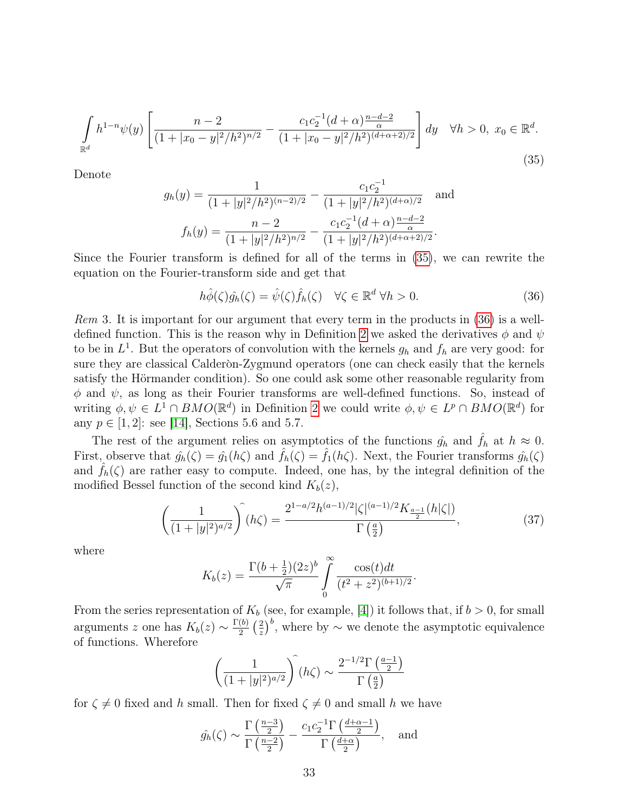<span id="page-32-0"></span>
$$
\int_{\mathbb{R}^d} h^{1-n} \psi(y) \left[ \frac{n-2}{(1+|x_0-y|^2/h^2)^{n/2}} - \frac{c_1 c_2^{-1} (d+\alpha) \frac{n-d-2}{\alpha}}{(1+|x_0-y|^2/h^2)^{(d+\alpha+2)/2}} \right] dy \quad \forall h > 0, \ x_0 \in \mathbb{R}^d.
$$
\n(35)

Denote

$$
g_h(y) = \frac{1}{(1+|y|^2/h^2)^{(n-2)/2}} - \frac{c_1 c_2^{-1}}{(1+|y|^2/h^2)^{(d+\alpha)/2}} \text{ and}
$$

$$
f_h(y) = \frac{n-2}{(1+|y|^2/h^2)^{n/2}} - \frac{c_1 c_2^{-1} (d+\alpha) \frac{n-d-2}{\alpha}}{(1+|y|^2/h^2)^{(d+\alpha+2)/2}}.
$$

Since the Fourier transform is defined for all of the terms in [\(35\)](#page-32-0), we can rewrite the equation on the Fourier-transform side and get that

<span id="page-32-1"></span>
$$
h\hat{\phi}(\zeta)\hat{g_h}(\zeta) = \hat{\psi}(\zeta)\hat{f_h}(\zeta) \quad \forall \zeta \in \mathbb{R}^d \,\forall h > 0. \tag{36}
$$

Rem 3. It is important for our argument that every term in the products in [\(36\)](#page-32-1) is a well-defined function. This is the reason why in Definition [2](#page-4-1) we asked the derivatives  $\phi$  and  $\psi$ to be in  $L^1$ . But the operators of convolution with the kernels  $g_h$  and  $f_h$  are very good: for sure they are classical Calderon-Zygmund operators (one can check easily that the kernels satisfy the Hörmander condition). So one could ask some other reasonable regularity from  $\phi$  and  $\psi$ , as long as their Fourier transforms are well-defined functions. So, instead of writing  $\phi, \psi \in L^1 \cap BMO(\mathbb{R}^d)$  in Definition [2](#page-4-1) we could write  $\phi, \psi \in L^p \cap BMO(\mathbb{R}^d)$  for any  $p \in [1, 2]$ : see [\[14\]](#page-39-12), Sections 5.6 and 5.7.

The rest of the argument relies on asymptotics of the functions  $\hat{g}_h$  and  $\hat{f}_h$  at  $h \approx 0$ . First, observe that  $\hat{g}_h(\zeta) = \hat{g}_1(h\zeta)$  and  $\hat{f}_h(\zeta) = \hat{f}_1(h\zeta)$ . Next, the Fourier transforms  $\hat{g}_h(\zeta)$ and  $f_h(\zeta)$  are rather easy to compute. Indeed, one has, by the integral definition of the modified Bessel function of the second kind  $K_b(z)$ ,

$$
\left(\frac{1}{(1+|y|^2)^{a/2}}\right)^{\widehat{}}(h\zeta) = \frac{2^{1-a/2}h^{(a-1)/2}|\zeta|^{(a-1)/2}K_{\frac{a-1}{2}}(h|\zeta|)}{\Gamma\left(\frac{a}{2}\right)},\tag{37}
$$

where

$$
K_b(z) = \frac{\Gamma(b + \frac{1}{2})(2z)^b}{\sqrt{\pi}} \int_0^\infty \frac{\cos(t)dt}{(t^2 + z^2)^{(b+1)/2}}.
$$

From the series representation of  $K_b$  (see, for example, [[4](#page-39-13)]) it follows that, if  $b > 0$ , for small arguments z one has  $K_b(z) \sim \frac{\Gamma(b)}{2}$  $rac{(b)}{2}$   $\left(\frac{2}{z}\right)$  $(\frac{2}{z})^b$ , where by  $\sim$  we denote the asymptotic equivalence of functions. Wherefore

$$
\left(\frac{1}{(1+|y|^2)^{a/2}}\right)^{\widehat{}}(h\zeta) \sim \frac{2^{-1/2}\Gamma\left(\frac{a-1}{2}\right)}{\Gamma\left(\frac{a}{2}\right)}
$$

for  $\zeta \neq 0$  fixed and h small. Then for fixed  $\zeta \neq 0$  and small h we have

$$
\hat{g_h}(\zeta) \sim \frac{\Gamma\left(\frac{n-3}{2}\right)}{\Gamma\left(\frac{n-2}{2}\right)} - \frac{c_1 c_2^{-1} \Gamma\left(\frac{d+\alpha-1}{2}\right)}{\Gamma\left(\frac{d+\alpha}{2}\right)}, \text{ and}
$$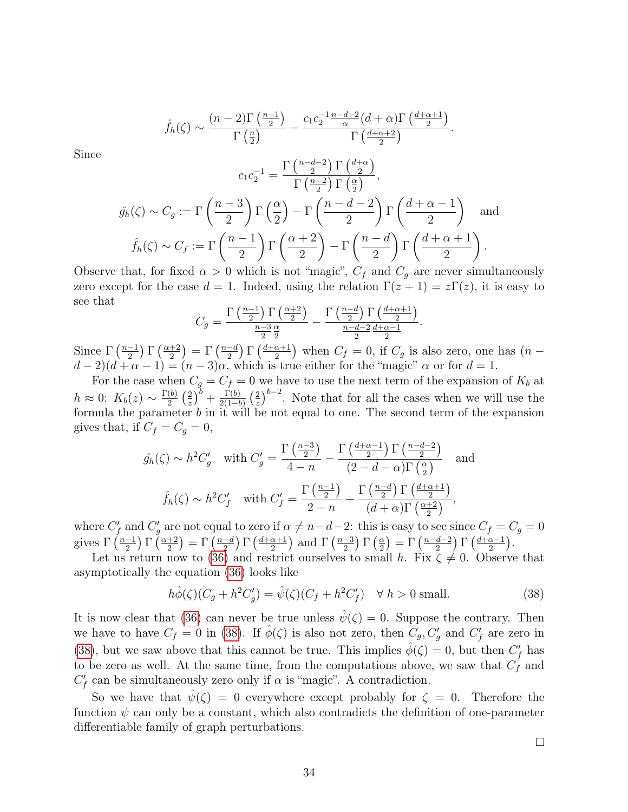$$
\hat{f}_h(\zeta) \sim \frac{(n-2)\Gamma\left(\frac{n-1}{2}\right)}{\Gamma\left(\frac{n}{2}\right)} - \frac{c_1c_2^{-1}\frac{n-d-2}{\alpha}(d+\alpha)\Gamma\left(\frac{d+\alpha+1}{2}\right)}{\Gamma\left(\frac{d+\alpha+2}{2}\right)}.
$$

Since

$$
c_1 c_2^{-1} = \frac{\Gamma\left(\frac{n-d-2}{2}\right) \Gamma\left(\frac{d+\alpha}{2}\right)}{\Gamma\left(\frac{n-2}{2}\right) \Gamma\left(\frac{\alpha}{2}\right)},
$$

$$
\hat{g_h}(\zeta) \sim C_g := \Gamma\left(\frac{n-3}{2}\right) \Gamma\left(\frac{\alpha}{2}\right) - \Gamma\left(\frac{n-d-2}{2}\right) \Gamma\left(\frac{d+\alpha-1}{2}\right) \text{ and }
$$

$$
\hat{f_h}(\zeta) \sim C_f := \Gamma\left(\frac{n-1}{2}\right) \Gamma\left(\frac{\alpha+2}{2}\right) - \Gamma\left(\frac{n-d}{2}\right) \Gamma\left(\frac{d+\alpha+1}{2}\right).
$$

Observe that, for fixed  $\alpha > 0$  which is not "magic",  $C_f$  and  $C_g$  are never simultaneously zero except for the case  $d = 1$ . Indeed, using the relation  $\Gamma(z + 1) = z\Gamma(z)$ , it is easy to see that

$$
C_g = \frac{\Gamma\left(\frac{n-1}{2}\right)\Gamma\left(\frac{\alpha+2}{2}\right)}{\frac{n-3}{2}\frac{\alpha}{2}} - \frac{\Gamma\left(\frac{n-d}{2}\right)\Gamma\left(\frac{d+\alpha+1}{2}\right)}{\frac{n-d-2}{2}\frac{d+\alpha-1}{2}}.
$$

Since  $\Gamma\left(\frac{n-1}{2}\right)$  $\frac{-1}{2}$ )  $\Gamma\left(\frac{\alpha+2}{2}\right)$  $\left(\frac{n-1}{2}\right) = \Gamma\left(\frac{n-d}{2}\right)$  $\frac{-d}{2}$ )  $\Gamma\left(\frac{d+\alpha+1}{2}\right)$  $\left(\frac{\alpha+1}{2}\right)$  when  $C_f = 0$ , if  $C_g$  is also zero, one has  $(n - 1)$  $(d-2)(d+\alpha-1)=(n-3)\alpha$ , which is true either for the "magic"  $\alpha$  or for  $d=1$ .

For the case when  $C_g = C_f = 0$  we have to use the next term of the expansion of  $K_b$  at  $h \approx 0$ :  $K_b(z) \sim \frac{\Gamma(b)}{2}$  $\frac{(b)}{2}$   $\left(\frac{2}{z}\right)$  $(\frac{2}{z})^b + \frac{\Gamma(b)}{2(1-b)}$  $rac{\Gamma(b)}{2(1-b)}\left(\frac{2}{z}\right)$  $\frac{2}{z}$ )<sup>*b*−2</sup>. Note that for all the cases when we will use the formula the parameter  $b$  in it will be not equal to one. The second term of the expansion gives that, if  $C_f = C_g = 0$ ,

$$
\hat{g_h}(\zeta) \sim h^2 C_g' \quad \text{with } C_g' = \frac{\Gamma\left(\frac{n-3}{2}\right)}{4-n} - \frac{\Gamma\left(\frac{d+\alpha-1}{2}\right)\Gamma\left(\frac{n-d-2}{2}\right)}{(2-d-\alpha)\Gamma\left(\frac{\alpha}{2}\right)} \quad \text{and}
$$
\n
$$
\hat{f_h}(\zeta) \sim h^2 C_f' \quad \text{with } C_f' = \frac{\Gamma\left(\frac{n-1}{2}\right)}{2-n} + \frac{\Gamma\left(\frac{n-d}{2}\right)\Gamma\left(\frac{d+\alpha+1}{2}\right)}{(d+\alpha)\Gamma\left(\frac{\alpha+2}{2}\right)},
$$

where  $C'_f$  and  $C'_g$  are not equal to zero if  $\alpha \neq n-d-2$ : this is easy to see since  $C_f = C_g = 0$ gives  $\Gamma\left(\frac{n-1}{2}\right)$  $\frac{-1}{2}$ )  $\Gamma\left(\frac{\alpha+2}{2}\right)$  $\frac{+2}{2}$ ) =  $\Gamma\left(\frac{n-d}{2}\right)$  $\frac{-d}{2}$ )  $\Gamma\left(\frac{d+\alpha+1}{2}\right)$  $\frac{\alpha+1}{2}$ ) and  $\Gamma\left(\frac{n-3}{2}\right)$  $\frac{-3}{2}$ )  $\Gamma\left(\frac{\alpha}{2}\right)$  $\frac{\alpha}{2}\big)=\Gamma\left(\frac{n-d-2}{2}\right)$  $\frac{d-2}{2}$ )  $\Gamma\left(\frac{d+\alpha-1}{2}\right)$  $\frac{\alpha-1}{2}$ .

Let us return now to [\(36\)](#page-32-1) and restrict ourselves to small h. Fix  $\zeta \neq 0$ . Observe that asymptotically the equation [\(36\)](#page-32-1) looks like

<span id="page-33-0"></span>
$$
h\hat{\phi}(\zeta)(C_g + h^2 C'_g) = \hat{\psi}(\zeta)(C_f + h^2 C'_f) \quad \forall \ h > 0 \text{ small.}
$$
 (38)

It is now clear that [\(36\)](#page-32-1) can never be true unless  $\hat{\psi}(\zeta) = 0$ . Suppose the contrary. Then we have to have  $C_f = 0$  in [\(38\)](#page-33-0). If  $\hat{\phi}(\zeta)$  is also not zero, then  $C_g, C_g'$  and  $C_f'$  are zero in [\(38\)](#page-33-0), but we saw above that this cannot be true. This implies  $\hat{\phi}(\zeta) = 0$ , but then  $C_f'$  has to be zero as well. At the same time, from the computations above, we saw that  $C_f$  and  $C_f'$  can be simultaneously zero only if  $\alpha$  is "magic". A contradiction.

So we have that  $\psi(\zeta) = 0$  everywhere except probably for  $\zeta = 0$ . Therefore the function  $\psi$  can only be a constant, which also contradicts the definition of one-parameter differentiable family of graph perturbations.

 $\Box$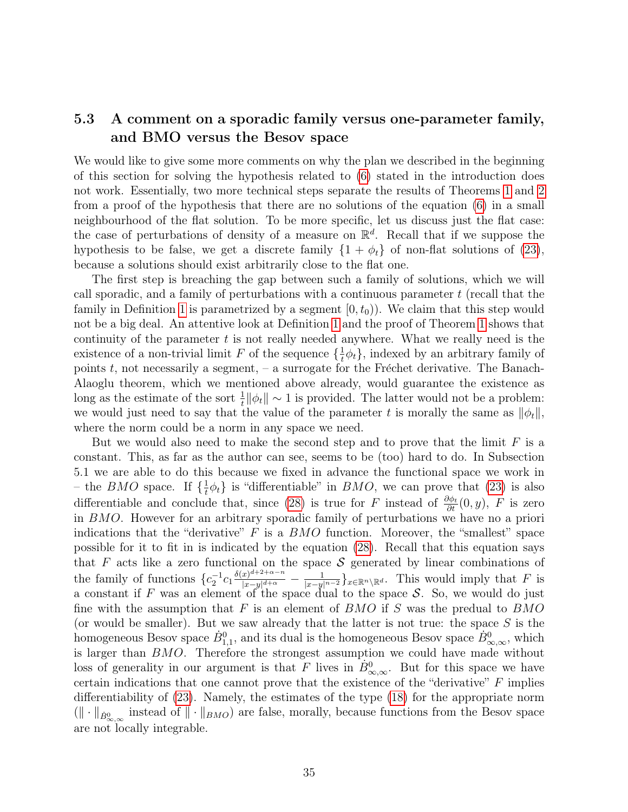### <span id="page-34-0"></span>5.3 A comment on a sporadic family versus one-parameter family, and BMO versus the Besov space

We would like to give some more comments on why the plan we described in the beginning of this section for solving the hypothesis related to [\(6\)](#page-3-0) stated in the introduction does not work. Essentially, two more technical steps separate the results of Theorems [1](#page-5-0) and [2](#page-5-1) from a proof of the hypothesis that there are no solutions of the equation [\(6\)](#page-3-0) in a small neighbourhood of the flat solution. To be more specific, let us discuss just the flat case: the case of perturbations of density of a measure on  $\mathbb{R}^d$ . Recall that if we suppose the hypothesis to be false, we get a discrete family  $\{1 + \phi_t\}$  of non-flat solutions of [\(23\)](#page-22-0), because a solutions should exist arbitrarily close to the flat one.

The first step is breaching the gap between such a family of solutions, which we will call sporadic, and a family of perturbations with a continuous parameter  $t$  (recall that the family in Definition [1](#page-4-0) is parametrized by a segment  $[0, t_0)$ . We claim that this step would not be a big deal. An attentive look at Definition [1](#page-4-0) and the proof of Theorem [1](#page-5-0) shows that continuity of the parameter  $t$  is not really needed anywhere. What we really need is the existence of a non-trivial limit F of the sequence  $\{\frac{1}{t}\}$  $\frac{1}{t}\phi_t$ , indexed by an arbitrary family of points  $t$ , not necessarily a segment,  $-$  a surrogate for the Fréchet derivative. The Banach-Alaoglu theorem, which we mentioned above already, would guarantee the existence as long as the estimate of the sort  $\frac{1}{t} ||\phi_t|| \sim 1$  is provided. The latter would not be a problem: we would just need to say that the value of the parameter t is morally the same as  $\|\phi_t\|$ , where the norm could be a norm in any space we need.

But we would also need to make the second step and to prove that the limit  $F$  is a constant. This, as far as the author can see, seems to be (too) hard to do. In Subsection 5.1 we are able to do this because we fixed in advance the functional space we work in – the *BMO* space. If  $\{\frac{1}{t}\}$  $\frac{1}{t}\phi_t$  is "differentiable" in *BMO*, we can prove that [\(23\)](#page-22-0) is also differentiable and conclude that, since [\(28\)](#page-25-0) is true for  $F$  instead of  $\frac{\partial \phi_t}{\partial t}(0, y)$ ,  $F$  is zero in  $BMO$ . However for an arbitrary sporadic family of perturbations we have no a priori indications that the "derivative"  $F$  is a  $BMO$  function. Moreover, the "smallest" space possible for it to fit in is indicated by the equation [\(28\)](#page-25-0). Recall that this equation says that  $F$  acts like a zero functional on the space  $S$  generated by linear combinations of the family of functions  $\{c_2^{-1}c_1\frac{\delta(x)^{d+2+\alpha-n}}{|x-y|^{d+\alpha}}$  $\frac{(x)^{a+z+\alpha-n}}{(x-y|^{d+\alpha}}-\frac{1}{|x-y|^{n-2}}\}_{x\in\mathbb{R}^n\setminus\mathbb{R}^d}$ . This would imply that F is a constant if F was an element of the space dual to the space  $S$ . So, we would do just fine with the assumption that  $F$  is an element of  $BMO$  if  $S$  was the predual to  $BMO$ (or would be smaller). But we saw already that the latter is not true: the space  $S$  is the homogeneous Besov space  $\dot{B}_{1,1}^0$ , and its dual is the homogeneous Besov space  $\dot{B}_{\infty,\infty}^0$ , which is larger than  $BMO$ . Therefore the strongest assumption we could have made without loss of generality in our argument is that F lives in  $\dot{B}^0_{\infty,\infty}$ . But for this space we have certain indications that one cannot prove that the existence of the "derivative"  $F$  implies differentiability of [\(23\)](#page-22-0). Namely, the estimates of the type [\(18\)](#page-20-2) for the appropriate norm  $(\|\cdot\|_{\dot{B}^0_{\infty,\infty}})$  instead of  $\|\cdot\|_{BMO}$  are false, morally, because functions from the Besov space are not locally integrable.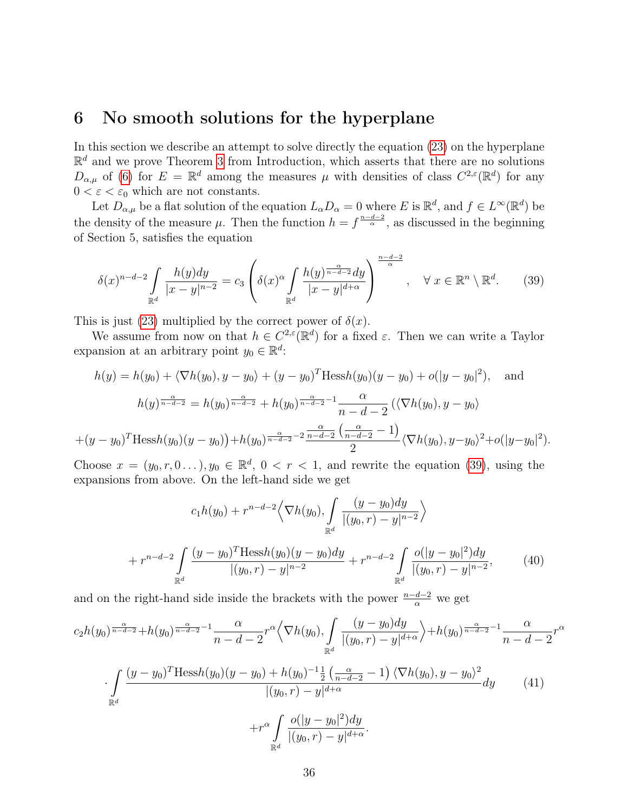### <span id="page-35-0"></span>6 No smooth solutions for the hyperplane

In this section we describe an attempt to solve directly the equation [\(23\)](#page-22-0) on the hyperplane  $\mathbb{R}^d$  and we prove Theorem [3](#page-5-2) from Introduction, which asserts that there are no solutions  $D_{\alpha,\mu}$  of [\(6\)](#page-3-0) for  $E = \mathbb{R}^d$  among the measures  $\mu$  with densities of class  $C^{2,\varepsilon}(\mathbb{R}^d)$  for any  $0 < \varepsilon < \varepsilon_0$  which are not constants.

Let  $D_{\alpha,\mu}$  be a flat solution of the equation  $L_{\alpha}D_{\alpha} = 0$  where E is  $\mathbb{R}^d$ , and  $f \in L^{\infty}(\mathbb{R}^d)$  be the density of the measure  $\mu$ . Then the function  $h = f^{\frac{n-d-2}{\alpha}}$ , as discussed in the beginning of Section 5, satisfies the equation

<span id="page-35-1"></span>
$$
\delta(x)^{n-d-2} \int\limits_{\mathbb{R}^d} \frac{h(y)dy}{|x-y|^{n-2}} = c_3 \left( \delta(x)^{\alpha} \int\limits_{\mathbb{R}^d} \frac{h(y)^{\frac{\alpha}{n-d-2}} dy}{|x-y|^{d+\alpha}} \right)^{\frac{n-d-2}{\alpha}}, \quad \forall \ x \in \mathbb{R}^n \setminus \mathbb{R}^d. \tag{39}
$$

This is just [\(23\)](#page-22-0) multiplied by the correct power of  $\delta(x)$ .

We assume from now on that  $h \in C^{2,\varepsilon}(\mathbb{R}^d)$  for a fixed  $\varepsilon$ . Then we can write a Taylor expansion at an arbitrary point  $y_0 \in \mathbb{R}^d$ :

$$
h(y) = h(y_0) + \langle \nabla h(y_0), y - y_0 \rangle + (y - y_0)^T \text{Hess} h(y_0)(y - y_0) + o(|y - y_0|^2), \text{ and}
$$

$$
h(y)^{\frac{\alpha}{n - d - 2}} = h(y_0)^{\frac{\alpha}{n - d - 2}} + h(y_0)^{\frac{\alpha}{n - d - 2}} \frac{\alpha}{n - d - 2} (\langle \nabla h(y_0), y - y_0 \rangle + (y - y_0)^T \text{Hess} h(y_0)(y - y_0) + h(y_0)^{\frac{\alpha}{n - d - 2}} \frac{\frac{\alpha}{n - d - 2} \left( \frac{\alpha}{n - d - 2} - 1 \right)}{2} \langle \nabla h(y_0), y - y_0 \rangle^2 + o(|y - y_0|^2).
$$

Choose  $x = (y_0, r, 0 \dots), y_0 \in \mathbb{R}^d, 0 < r < 1$ , and rewrite the equation [\(39\)](#page-35-1), using the expansions from above. On the left-hand side we get

<span id="page-35-3"></span>
$$
c_1 h(y_0) + r^{n-d-2} \left\langle \nabla h(y_0), \int_{\mathbb{R}^d} \frac{(y - y_0) dy}{|(y_0, r) - y|^{n-2}} \right\rangle
$$
  
+ 
$$
r^{n-d-2} \int_{\mathbb{R}^d} \frac{(y - y_0)^T \text{Hess } h(y_0)(y - y_0) dy}{|(y_0, r) - y|^{n-2}} + r^{n-d-2} \int_{\mathbb{R}^d} \frac{o(|y - y_0|^2) dy}{|(y_0, r) - y|^{n-2}},
$$
(40)

and on the right-hand side inside the brackets with the power  $\frac{n-d-2}{\alpha}$  we get

<span id="page-35-2"></span>
$$
c_{2}h(y_{0})^{\frac{\alpha}{n-d-2}}+h(y_{0})^{\frac{\alpha}{n-d-2}-1}\frac{\alpha}{n-d-2}r^{\alpha}\left\langle \nabla h(y_{0}), \int_{\mathbb{R}^{d}}\frac{(y-y_{0})dy}{|(y_{0},r)-y|^{d+\alpha}}\right\rangle+h(y_{0})^{\frac{\alpha}{n-d-2}-1}\frac{\alpha}{n-d-2}r^{\alpha}
$$

$$
\cdot \int_{\mathbb{R}^{d}}\frac{(y-y_{0})^{T}\text{Hess}h(y_{0})(y-y_{0})+h(y_{0})^{-1}\frac{1}{2}\left(\frac{\alpha}{n-d-2}-1\right)\left\langle \nabla h(y_{0}), y-y_{0}\right\rangle^{2}}{|(y_{0},r)-y|^{d+\alpha}}dy\qquad(41)
$$

$$
+r^{\alpha}\int_{\mathbb{R}^{d}}\frac{o(|y-y_{0}|^{2})dy}{|(y_{0},r)-y|^{d+\alpha}}.
$$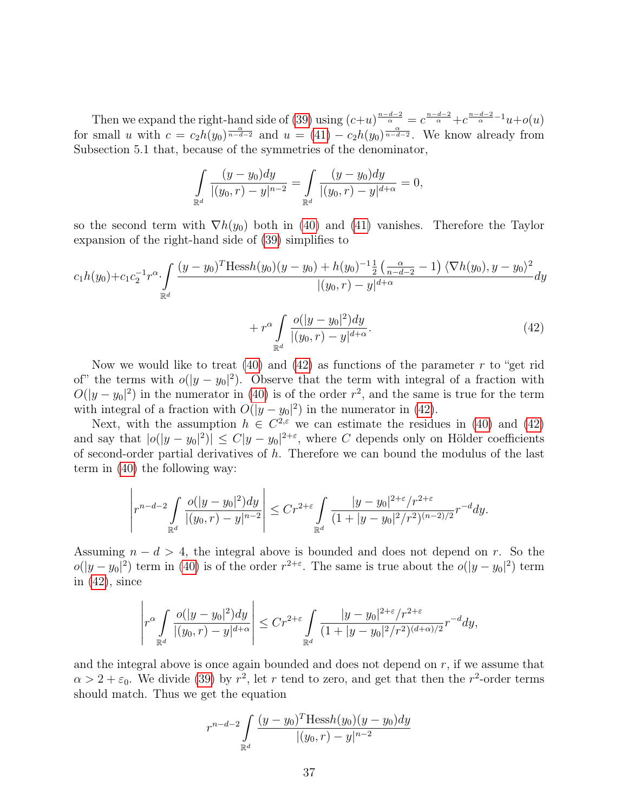Then we expand the right-hand side of [\(39\)](#page-35-1) using  $(c+u)^{\frac{n-d-2}{\alpha}} = c^{\frac{n-d-2}{\alpha}} + c^{\frac{n-d-2}{\alpha}-1}u + o(u)$ for small u with  $c = c_2 h(y_0)^{\frac{\alpha}{n-d-2}}$  and  $u = (41) - c_2 h(y_0)^{\frac{\alpha}{n-d-2}}$  $u = (41) - c_2 h(y_0)^{\frac{\alpha}{n-d-2}}$  $u = (41) - c_2 h(y_0)^{\frac{\alpha}{n-d-2}}$ . We know already from Subsection 5.1 that, because of the symmetries of the denominator,

<span id="page-36-0"></span>
$$
\int_{\mathbb{R}^d} \frac{(y-y_0)dy}{|(y_0,r)-y|^{n-2}} = \int_{\mathbb{R}^d} \frac{(y-y_0)dy}{|(y_0,r)-y|^{d+\alpha}} = 0,
$$

so the second term with  $\nabla h(y_0)$  both in [\(40\)](#page-35-3) and [\(41\)](#page-35-2) vanishes. Therefore the Taylor expansion of the right-hand side of [\(39\)](#page-35-1) simplifies to

$$
c_{1}h(y_{0})+c_{1}c_{2}^{-1}r^{\alpha} \cdot \int\limits_{\mathbb{R}^{d}}\frac{(y-y_{0})^{T}\text{Hess}h(y_{0})(y-y_{0})+h(y_{0})^{-1}\frac{1}{2}\left(\frac{\alpha}{n-d-2}-1\right)\langle \nabla h(y_{0}), y-y_{0}\rangle^{2}}{|(y_{0},r)-y|^{d+\alpha}}dy +r^{\alpha}\int\limits_{\mathbb{R}^{d}}\frac{o(|y-y_{0}|^{2})dy}{|(y_{0},r)-y|^{d+\alpha}}.
$$
\n(42)

Now we would like to treat [\(40\)](#page-35-3) and [\(42\)](#page-36-0) as functions of the parameter  $r$  to "get rid of" the terms with  $o(|y - y_0|^2)$ . Observe that the term with integral of a fraction with  $O(|y-y_0|^2)$  in the numerator in [\(40\)](#page-35-3) is of the order  $r^2$ , and the same is true for the term with integral of a fraction with  $O(|y - y_0|^2)$  in the numerator in [\(42\)](#page-36-0).

Next, with the assumption  $h \in C^{2,\epsilon}$  we can estimate the residues in [\(40\)](#page-35-3) and [\(42\)](#page-36-0) and say that  $|o(|y - y_0|^2)| \le C|y - y_0|^{2+\epsilon}$ , where C depends only on Hölder coefficients of second-order partial derivatives of  $h$ . Therefore we can bound the modulus of the last term in [\(40\)](#page-35-3) the following way:

$$
\left|r^{n-d-2}\int\limits_{\mathbb{R}^d}{\frac{o(|y - y_0|^2)dy}{|(y_0, r) - y|^{n-2}}}\right| \le Cr^{2+\varepsilon}\int\limits_{\mathbb{R}^d}{\frac{|y - y_0|^{2+\varepsilon}/r^{2+\varepsilon} }{(1 + |y - y_0|^2/r^2)^{(n-2)/2}}r^{-d}dy}.
$$

Assuming  $n - d > 4$ , the integral above is bounded and does not depend on r. So the  $o(|y-y_0|^2)$  term in [\(40\)](#page-35-3) is of the order  $r^{2+\epsilon}$ . The same is true about the  $o(|y-y_0|^2)$  term in  $(42)$ , since

$$
\left|r^\alpha\int\limits_{\mathbb{R}^d}\frac{o(|y-y_0|^2)dy}{|(y_0,r)-y|^{d+\alpha}}\right|\le Cr^{2+\varepsilon}\int\limits_{\mathbb{R}^d}\frac{|y-y_0|^{2+\varepsilon}/r^{2+\varepsilon}}{(1+|y-y_0|^2/r^2)^{(d+\alpha)/2}}r^{-d}dy,
$$

and the integral above is once again bounded and does not depend on  $r$ , if we assume that  $\alpha > 2 + \varepsilon_0$ . We divide [\(39\)](#page-35-1) by  $r^2$ , let r tend to zero, and get that then the r<sup>2</sup>-order terms should match. Thus we get the equation

$$
r^{n-d-2} \int_{\mathbb{R}^d} \frac{(y-y_0)^T \text{Hess}h(y_0)(y-y_0)dy}{|(y_0, r) - y|^{n-2}}
$$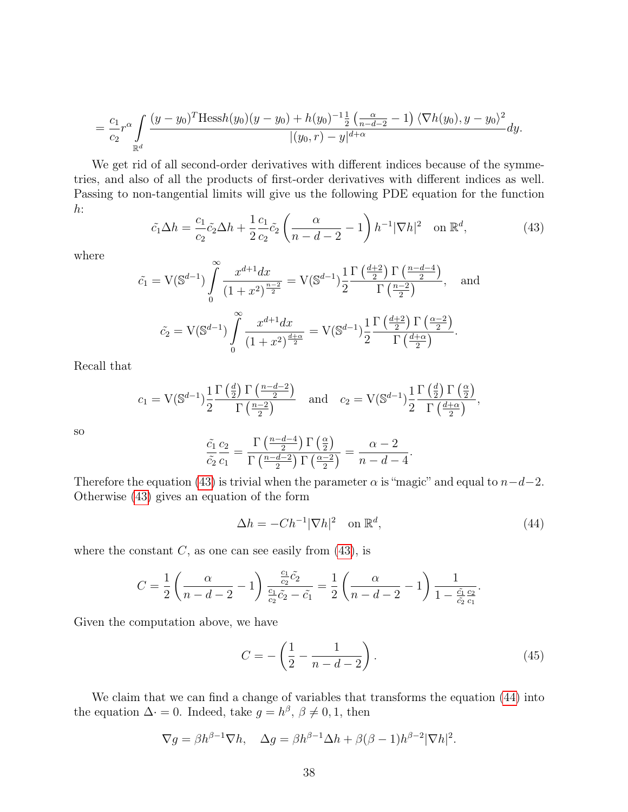$$
= \frac{c_1}{c_2} r^{\alpha} \int\limits_{\mathbb{R}^d} \frac{(y - y_0)^T \text{Hess}(y_0)(y - y_0) + h(y_0)^{-1} \frac{1}{2} \left(\frac{\alpha}{n - d - 2} - 1\right) \langle \nabla h(y_0), y - y_0 \rangle^2}{|(y_0, r) - y|^{d + \alpha}} dy.
$$

We get rid of all second-order derivatives with different indices because of the symmetries, and also of all the products of first-order derivatives with different indices as well. Passing to non-tangential limits will give us the following PDE equation for the function  $h$ :

<span id="page-37-0"></span>
$$
\tilde{c}_1 \Delta h = \frac{c_1}{c_2} \tilde{c}_2 \Delta h + \frac{1}{2} \frac{c_1}{c_2} \tilde{c}_2 \left( \frac{\alpha}{n - d - 2} - 1 \right) h^{-1} |\nabla h|^2 \quad \text{on } \mathbb{R}^d,
$$
\n(43)

where

$$
\tilde{c}_1 = V(\mathbb{S}^{d-1}) \int_0^{\infty} \frac{x^{d+1} dx}{(1+x^2)^{\frac{n-2}{2}}} = V(\mathbb{S}^{d-1}) \frac{1}{2} \frac{\Gamma(\frac{d+2}{2}) \Gamma(\frac{n-d-4}{2})}{\Gamma(\frac{n-2}{2})}, \text{ and}
$$

$$
\tilde{c}_2 = V(\mathbb{S}^{d-1}) \int_0^{\infty} \frac{x^{d+1} dx}{(1+x^2)^{\frac{d+\alpha}{2}}} = V(\mathbb{S}^{d-1}) \frac{1}{2} \frac{\Gamma(\frac{d+2}{2}) \Gamma(\frac{\alpha-2}{2})}{\Gamma(\frac{d+\alpha}{2})}.
$$

Recall that

$$
c_1 = V(\mathbb{S}^{d-1}) \frac{1}{2} \frac{\Gamma\left(\frac{d}{2}\right) \Gamma\left(\frac{n-d-2}{2}\right)}{\Gamma\left(\frac{n-2}{2}\right)} \quad \text{and} \quad c_2 = V(\mathbb{S}^{d-1}) \frac{1}{2} \frac{\Gamma\left(\frac{d}{2}\right) \Gamma\left(\frac{\alpha}{2}\right)}{\Gamma\left(\frac{d+\alpha}{2}\right)},
$$

so

$$
\frac{\tilde{c}_1}{\tilde{c}_2}\frac{c_2}{c_1} = \frac{\Gamma\left(\frac{n-d-4}{2}\right)\Gamma\left(\frac{\alpha}{2}\right)}{\Gamma\left(\frac{n-d-2}{2}\right)\Gamma\left(\frac{\alpha-2}{2}\right)} = \frac{\alpha-2}{n-d-4}.
$$

Therefore the equation [\(43\)](#page-37-0) is trivial when the parameter  $\alpha$  is "magic" and equal to  $n-d-2$ . Otherwise [\(43\)](#page-37-0) gives an equation of the form

<span id="page-37-1"></span>
$$
\Delta h = -Ch^{-1}|\nabla h|^2 \quad \text{on } \mathbb{R}^d,
$$
\n(44)

where the constant  $C$ , as one can see easily from [\(43\)](#page-37-0), is

$$
C = \frac{1}{2} \left( \frac{\alpha}{n - d - 2} - 1 \right) \frac{\frac{c_1}{c_2} \tilde{c}_2}{\frac{c_1}{c_2} \tilde{c}_2 - \tilde{c}_1} = \frac{1}{2} \left( \frac{\alpha}{n - d - 2} - 1 \right) \frac{1}{1 - \frac{\tilde{c}_1}{\tilde{c}_2} \frac{c_2}{c_1}}.
$$

Given the computation above, we have

$$
C = -\left(\frac{1}{2} - \frac{1}{n - d - 2}\right). \tag{45}
$$

We claim that we can find a change of variables that transforms the equation [\(44\)](#page-37-1) into the equation  $\Delta \cdot = 0$ . Indeed, take  $g = h^{\beta}, \beta \neq 0, 1$ , then

$$
\nabla g = \beta h^{\beta - 1} \nabla h, \quad \Delta g = \beta h^{\beta - 1} \Delta h + \beta (\beta - 1) h^{\beta - 2} |\nabla h|^2.
$$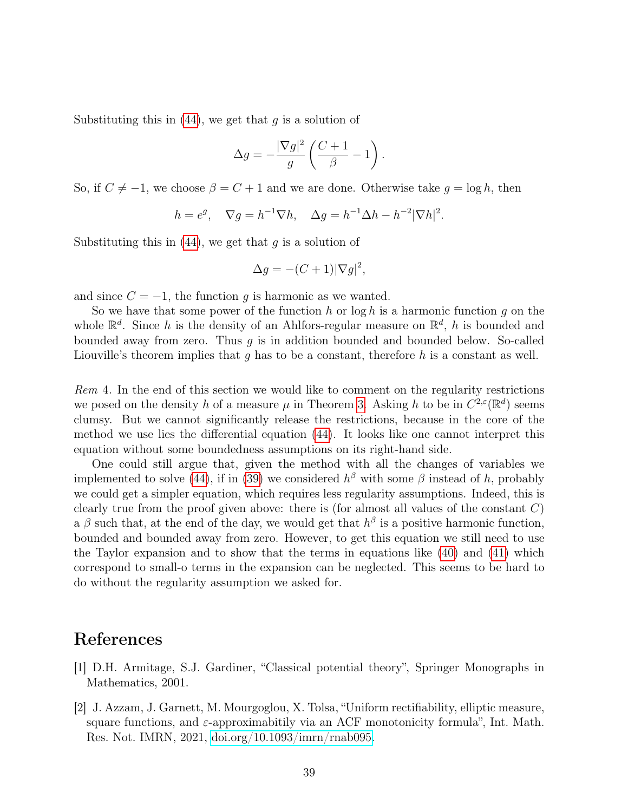Substituting this in  $(44)$ , we get that g is a solution of

$$
\Delta g = -\frac{|\nabla g|^2}{g} \left( \frac{C+1}{\beta} - 1 \right).
$$

So, if  $C \neq -1$ , we choose  $\beta = C + 1$  and we are done. Otherwise take  $g = \log h$ , then

$$
h = e^g, \quad \nabla g = h^{-1} \nabla h, \quad \Delta g = h^{-1} \Delta h - h^{-2} |\nabla h|^2.
$$

Substituting this in  $(44)$ , we get that g is a solution of

$$
\Delta g = -(C+1)|\nabla g|^2,
$$

and since  $C = -1$ , the function g is harmonic as we wanted.

So we have that some power of the function  $h$  or log  $h$  is a harmonic function  $g$  on the whole  $\mathbb{R}^d$ . Since h is the density of an Ahlfors-regular measure on  $\mathbb{R}^d$ , h is bounded and bounded away from zero. Thus  $q$  is in addition bounded and bounded below. So-called Liouville's theorem implies that  $g$  has to be a constant, therefore  $h$  is a constant as well.

Rem 4. In the end of this section we would like to comment on the regularity restrictions we posed on the density h of a measure  $\mu$  in Theorem [3](#page-5-2). Asking h to be in  $C^{2,\varepsilon}(\mathbb{R}^d)$  seems clumsy. But we cannot significantly release the restrictions, because in the core of the method we use lies the differential equation [\(44\)](#page-37-1). It looks like one cannot interpret this equation without some boundedness assumptions on its right-hand side.

One could still argue that, given the method with all the changes of variables we implemented to solve [\(44\)](#page-37-1), if in [\(39\)](#page-35-1) we considered  $h^{\beta}$  with some  $\beta$  instead of h, probably we could get a simpler equation, which requires less regularity assumptions. Indeed, this is clearly true from the proof given above: there is (for almost all values of the constant  $C$ ) a  $\beta$  such that, at the end of the day, we would get that  $h^{\beta}$  is a positive harmonic function, bounded and bounded away from zero. However, to get this equation we still need to use the Taylor expansion and to show that the terms in equations like [\(40\)](#page-35-3) and [\(41\)](#page-35-2) which correspond to small-o terms in the expansion can be neglected. This seems to be hard to do without the regularity assumption we asked for.

### References

- <span id="page-38-1"></span>[1] D.H. Armitage, S.J. Gardiner, "Classical potential theory", Springer Monographs in Mathematics, 2001.
- <span id="page-38-0"></span>[2] J. Azzam, J. Garnett, M. Mourgoglou, X. Tolsa, "Uniform rectifiability, elliptic measure, square functions, and  $\varepsilon$ -approximabitily via an ACF monotonicity formula", Int. Math. Res. Not. IMRN, 2021, [doi.org/10.1093/imrn/rnab095.](https://doi.org/10.1093/imrn/rnab095)